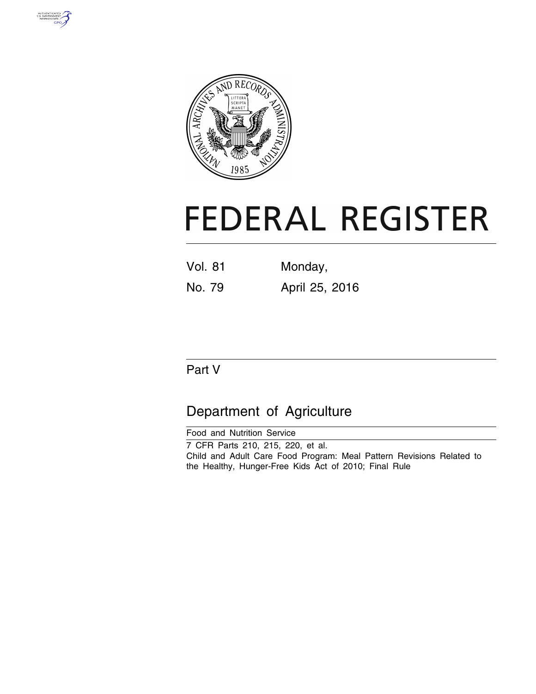



# **FEDERAL REGISTER**

| <b>Vol. 81</b> | Monday, |
|----------------|---------|
|                |         |

No. 79 April 25, 2016

## Part V

## Department of Agriculture

Food and Nutrition Service 7 CFR Parts 210, 215, 220, et al. Child and Adult Care Food Program: Meal Pattern Revisions Related to the Healthy, Hunger-Free Kids Act of 2010; Final Rule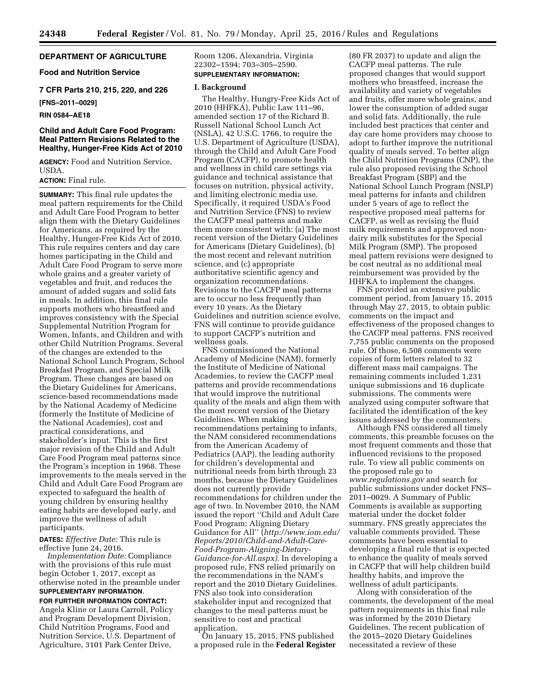#### **DEPARTMENT OF AGRICULTURE**

**Food and Nutrition Service** 

**7 CFR Parts 210, 215, 220, and 226** 

**[FNS–2011–0029]** 

#### **RIN 0584–AE18**

#### **Child and Adult Care Food Program: Meal Pattern Revisions Related to the Healthy, Hunger-Free Kids Act of 2010**

**AGENCY:** Food and Nutrition Service, USDA.

#### **ACTION:** Final rule.

**SUMMARY:** This final rule updates the meal pattern requirements for the Child and Adult Care Food Program to better align them with the Dietary Guidelines for Americans, as required by the Healthy, Hunger-Free Kids Act of 2010. This rule requires centers and day care homes participating in the Child and Adult Care Food Program to serve more whole grains and a greater variety of vegetables and fruit, and reduces the amount of added sugars and solid fats in meals. In addition, this final rule supports mothers who breastfeed and improves consistency with the Special Supplemental Nutrition Program for Women, Infants, and Children and with other Child Nutrition Programs. Several of the changes are extended to the National School Lunch Program, School Breakfast Program, and Special Milk Program. These changes are based on the Dietary Guidelines for Americans, science-based recommendations made by the National Academy of Medicine (formerly the Institute of Medicine of the National Academies), cost and practical considerations, and stakeholder's input. This is the first major revision of the Child and Adult Care Food Program meal patterns since the Program's inception in 1968. These improvements to the meals served in the Child and Adult Care Food Program are expected to safeguard the health of young children by ensuring healthy eating habits are developed early, and improve the wellness of adult participants.

**DATES:** *Effective Date:* This rule is effective June 24, 2016.

*Implementation Date:* Compliance with the provisions of this rule must begin October 1, 2017, except as otherwise noted in the preamble under **SUPPLEMENTARY INFORMATION**.

#### **FOR FURTHER INFORMATION CONTACT:**

Angela Kline or Laura Carroll, Policy and Program Development Division, Child Nutrition Programs, Food and Nutrition Service, U.S. Department of Agriculture, 3101 Park Center Drive,

Room 1206, Alexandria, Virginia 22302–1594; 703–305–2590. **SUPPLEMENTARY INFORMATION:** 

#### **I. Background**

The Healthy, Hungry-Free Kids Act of 2010 (HHFKA), Public Law 111–96, amended section 17 of the Richard B. Russell National School Lunch Act (NSLA), 42 U.S.C. 1766, to require the U.S. Department of Agriculture (USDA), through the Child and Adult Care Food Program (CACFP), to promote health and wellness in child care settings via guidance and technical assistance that focuses on nutrition, physical activity, and limiting electronic media use. Specifically, it required USDA's Food and Nutrition Service (FNS) to review the CACFP meal patterns and make them more consistent with: (a) The most recent version of the Dietary Guidelines for Americans (Dietary Guidelines), (b) the most recent and relevant nutrition science, and (c) appropriate authoritative scientific agency and organization recommendations. Revisions to the CACFP meal patterns are to occur no less frequently than every 10 years. As the Dietary Guidelines and nutrition science evolve, FNS will continue to provide guidance to support CACFP's nutrition and wellness goals.

FNS commissioned the National Academy of Medicine (NAM), formerly the Institute of Medicine of National Academies, to review the CACFP meal patterns and provide recommendations that would improve the nutritional quality of the meals and align them with the most recent version of the Dietary Guidelines. When making recommendations pertaining to infants, the NAM considered recommendations from the American Academy of Pediatrics (AAP), the leading authority for children's developmental and nutritional needs from birth through 23 months, because the Dietary Guidelines does not currently provide recommendations for children under the age of two. In November 2010, the NAM issued the report ''Child and Adult Care Food Program: Aligning Dietary Guidance for All'' (*[http://www.iom.edu/](http://www.iom.edu/Reports/2010/Child-and-Adult-Care-Food-Program-Aligning-Dietary-Guidance-for-All.aspx) [Reports/2010/Child-and-Adult-Care-](http://www.iom.edu/Reports/2010/Child-and-Adult-Care-Food-Program-Aligning-Dietary-Guidance-for-All.aspx)[Food-Program-Aligning-Dietary-](http://www.iom.edu/Reports/2010/Child-and-Adult-Care-Food-Program-Aligning-Dietary-Guidance-for-All.aspx)[Guidance-for-All.aspx\).](http://www.iom.edu/Reports/2010/Child-and-Adult-Care-Food-Program-Aligning-Dietary-Guidance-for-All.aspx)* In developing a proposed rule, FNS relied primarily on the recommendations in the NAM's report and the 2010 Dietary Guidelines. FNS also took into consideration stakeholder input and recognized that changes to the meal patterns must be sensitive to cost and practical application.

On January 15, 2015, FNS published a proposed rule in the **Federal Register** 

(80 FR 2037) to update and align the CACFP meal patterns. The rule proposed changes that would support mothers who breastfeed, increase the availability and variety of vegetables and fruits, offer more whole grains, and lower the consumption of added sugar and solid fats. Additionally, the rule included best practices that center and day care home providers may choose to adopt to further improve the nutritional quality of meals served. To better align the Child Nutrition Programs (CNP), the rule also proposed revising the School Breakfast Program (SBP) and the National School Lunch Program (NSLP) meal patterns for infants and children under 5 years of age to reflect the respective proposed meal patterns for CACFP, as well as revising the fluid milk requirements and approved nondairy milk substitutes for the Special Milk Program (SMP). The proposed meal pattern revisions were designed to be cost neutral as no additional meal reimbursement was provided by the HHFKA to implement the changes.

FNS provided an extensive public comment period, from January 15, 2015 through May 27, 2015, to obtain public comments on the impact and effectiveness of the proposed changes to the CACFP meal patterns. FNS received 7,755 public comments on the proposed rule. Of those, 6,508 comments were copies of form letters related to 32 different mass mail campaigns. The remaining comments included 1,231 unique submissions and 16 duplicate submissions. The comments were analyzed using computer software that facilitated the identification of the key issues addressed by the commenters.

Although FNS considered all timely comments, this preamble focuses on the most frequent comments and those that influenced revisions to the proposed rule. To view all public comments on the proposed rule go to *[www.regulations.gov](http://www.regulations.gov)* and search for public submissions under docket FNS– 2011–0029. A Summary of Public Comments is available as supporting material under the docket folder summary. FNS greatly appreciates the valuable comments provided. These comments have been essential to developing a final rule that is expected to enhance the quality of meals served in CACFP that will help children build healthy habits, and improve the wellness of adult participants.

Along with consideration of the comments, the development of the meal pattern requirements in this final rule was informed by the 2010 Dietary Guidelines. The recent publication of the 2015–2020 Dietary Guidelines necessitated a review of these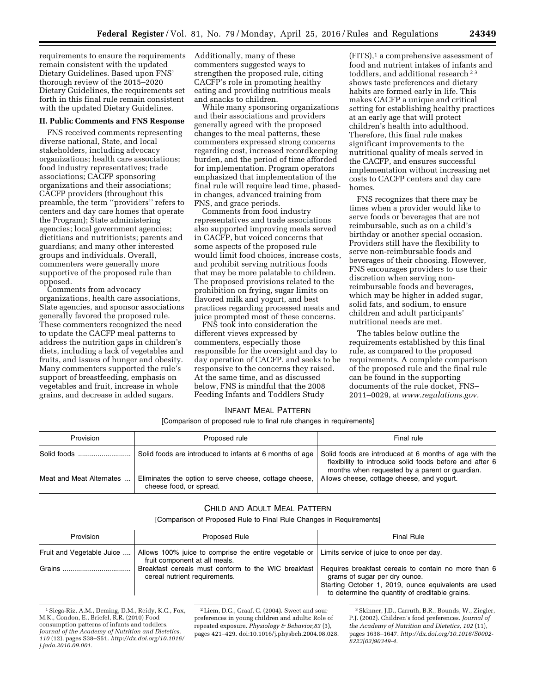requirements to ensure the requirements remain consistent with the updated Dietary Guidelines. Based upon FNS' thorough review of the 2015–2020 Dietary Guidelines, the requirements set forth in this final rule remain consistent with the updated Dietary Guidelines.

#### **II. Public Comments and FNS Response**

FNS received comments representing diverse national, State, and local stakeholders, including advocacy organizations; health care associations; food industry representatives; trade associations; CACFP sponsoring organizations and their associations; CACFP providers (throughout this preamble, the term ''providers'' refers to centers and day care homes that operate the Program); State administering agencies; local government agencies; dietitians and nutritionists; parents and guardians; and many other interested groups and individuals. Overall, commenters were generally more supportive of the proposed rule than opposed.

Comments from advocacy organizations, health care associations, State agencies, and sponsor associations generally favored the proposed rule. These commenters recognized the need to update the CACFP meal patterns to address the nutrition gaps in children's diets, including a lack of vegetables and fruits, and issues of hunger and obesity. Many commenters supported the rule's support of breastfeeding, emphasis on vegetables and fruit, increase in whole grains, and decrease in added sugars.

Additionally, many of these commenters suggested ways to strengthen the proposed rule, citing CACFP's role in promoting healthy eating and providing nutritious meals and snacks to children.

While many sponsoring organizations and their associations and providers generally agreed with the proposed changes to the meal patterns, these commenters expressed strong concerns regarding cost, increased recordkeeping burden, and the period of time afforded for implementation. Program operators emphasized that implementation of the final rule will require lead time, phasedin changes, advanced training from FNS, and grace periods.

Comments from food industry representatives and trade associations also supported improving meals served in CACFP, but voiced concerns that some aspects of the proposed rule would limit food choices, increase costs, and prohibit serving nutritious foods that may be more palatable to children. The proposed provisions related to the prohibition on frying, sugar limits on flavored milk and yogurt, and best practices regarding processed meats and juice prompted most of these concerns.

FNS took into consideration the different views expressed by commenters, especially those responsible for the oversight and day to day operation of CACFP, and seeks to be responsive to the concerns they raised. At the same time, and as discussed below, FNS is mindful that the 2008 Feeding Infants and Toddlers Study

(FITS),1 a comprehensive assessment of food and nutrient intakes of infants and toddlers, and additional research<sup>23</sup> shows taste preferences and dietary habits are formed early in life. This makes CACFP a unique and critical setting for establishing healthy practices at an early age that will protect children's health into adulthood. Therefore, this final rule makes significant improvements to the nutritional quality of meals served in the CACFP, and ensures successful implementation without increasing net costs to CACFP centers and day care homes.

FNS recognizes that there may be times when a provider would like to serve foods or beverages that are not reimbursable, such as on a child's birthday or another special occasion. Providers still have the flexibility to serve non-reimbursable foods and beverages of their choosing. However, FNS encourages providers to use their discretion when serving nonreimbursable foods and beverages, which may be higher in added sugar, solid fats, and sodium, to ensure children and adult participants' nutritional needs are met.

The tables below outline the requirements established by this final rule, as compared to the proposed requirements. A complete comparison of the proposed rule and the final rule can be found in the supporting documents of the rule docket, FNS– 2011–0029, at *[www.regulations.gov.](http://www.regulations.gov)* 

#### INFANT MEAL PATTERN

[Comparison of proposed rule to final rule changes in requirements]

| Provision                | Proposed rule                                                                     | Final rule                                                                                                                                                          |
|--------------------------|-----------------------------------------------------------------------------------|---------------------------------------------------------------------------------------------------------------------------------------------------------------------|
|                          | Solid foods are introduced to infants at 6 months of age                          | Solid foods are introduced at 6 months of age with the<br>flexibility to introduce solid foods before and after 6<br>months when requested by a parent or guardian. |
| Meat and Meat Alternates | Eliminates the option to serve cheese, cottage cheese,<br>cheese food, or spread. | Allows cheese, cottage cheese, and yogurt.                                                                                                                          |

#### CHILD AND ADULT MEAL PATTERN

[Comparison of Proposed Rule to Final Rule Changes in Requirements]

| Provision                 | <b>Proposed Rule</b>                                                                                                            | Final Rule                                                                                                                                                                                       |
|---------------------------|---------------------------------------------------------------------------------------------------------------------------------|--------------------------------------------------------------------------------------------------------------------------------------------------------------------------------------------------|
| Fruit and Vegetable Juice | Allows 100% juice to comprise the entire vegetable or Limits service of juice to once per day.<br>fruit component at all meals. |                                                                                                                                                                                                  |
|                           | Breakfast cereals must conform to the WIC breakfast<br>cereal nutrient requirements.                                            | Requires breakfast cereals to contain no more than 6<br>grams of sugar per dry ounce.<br>Starting October 1, 2019, ounce equivalents are used<br>to determine the quantity of creditable grains. |

<sup>1</sup>Siega-Riz, A.M., Deming, D.M., Reidy, K.C., Fox, M.K., Condon, E., Briefel, R.R. (2010) Food consumption patterns of infants and toddlers. *Journal of the Academy of Nutrition and Dietetics, 110* (12), pages S38–S51. *[http://dx.doi.org/10.1016/](http://dx.doi.org/10.1016/j.jada.2010.09.001)  [j.jada.2010.09.001.](http://dx.doi.org/10.1016/j.jada.2010.09.001)* 

2Liem, D.G., Graaf, C. (2004). Sweet and sour preferences in young children and adults: Role of repeated exposure. *Physiology & Behavior,83* (3), pages 421–429. doi:10.1016/j.physbeh.2004.08.028.

3Skinner, J.D., Carruth, B.R., Bounds, W., Ziegler, P.J. (2002). Children's food preferences. *Journal of the Academy of Nutrition and Dietetics, 102* (11), pages 1638–1647. *http://dx.doi.org/10.1016/S0002- 8223(02)90349-4.*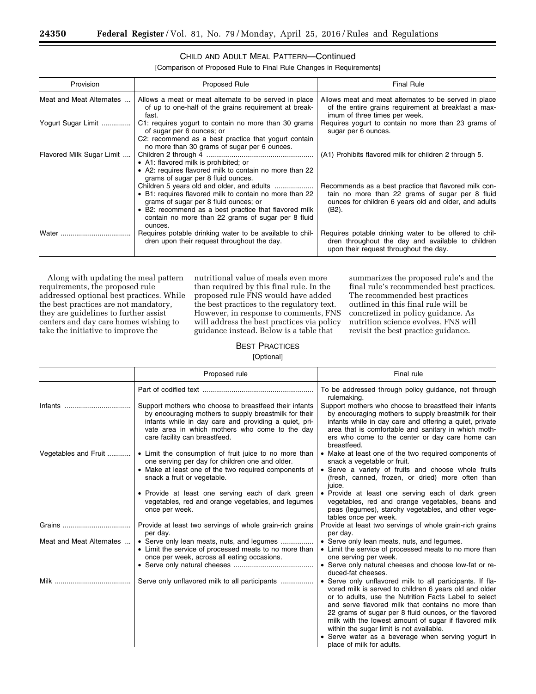#### CHILD AND ADULT MEAL PATTERN—Continued

[Comparison of Proposed Rule to Final Rule Changes in Requirements]

| Provision                 | Proposed Rule                                                                                                                                                                                                                                                    | <b>Final Rule</b>                                                                                                                                                          |
|---------------------------|------------------------------------------------------------------------------------------------------------------------------------------------------------------------------------------------------------------------------------------------------------------|----------------------------------------------------------------------------------------------------------------------------------------------------------------------------|
| Meat and Meat Alternates  | Allows a meat or meat alternate to be served in place<br>of up to one-half of the grains requirement at break-<br>fast.                                                                                                                                          | Allows meat and meat alternates to be served in place<br>of the entire grains requirement at breakfast a max-<br>imum of three times per week.                             |
| Yogurt Sugar Limit        | C1: requires yogurt to contain no more than 30 grams<br>of sugar per 6 ounces; or<br>C2: recommend as a best practice that yogurt contain                                                                                                                        | Requires yogurt to contain no more than 23 grams of<br>sugar per 6 ounces.                                                                                                 |
| Flavored Milk Sugar Limit | no more than 30 grams of sugar per 6 ounces.<br>• A1: flavored milk is prohibited; or<br>• A2: requires flavored milk to contain no more than 22                                                                                                                 | (A1) Prohibits flavored milk for children 2 through 5.                                                                                                                     |
|                           | grams of sugar per 8 fluid ounces.<br>• B1: requires flavored milk to contain no more than 22<br>grams of sugar per 8 fluid ounces; or<br>• B2: recommend as a best practice that flavored milk<br>contain no more than 22 grams of sugar per 8 fluid<br>ounces. | Recommends as a best practice that flavored milk con-<br>tain no more than 22 grams of sugar per 8 fluid<br>ounces for children 6 years old and older, and adults<br>(B2). |
| Water                     | Requires potable drinking water to be available to chil-<br>dren upon their request throughout the day.                                                                                                                                                          | Requires potable drinking water to be offered to chil-<br>dren throughout the day and available to children<br>upon their request throughout the day.                      |

Along with updating the meal pattern requirements, the proposed rule addressed optional best practices. While the best practices are not mandatory, they are guidelines to further assist centers and day care homes wishing to take the initiative to improve the

nutritional value of meals even more than required by this final rule. In the proposed rule FNS would have added the best practices to the regulatory text. However, in response to comments, FNS will address the best practices via policy guidance instead. Below is a table that

summarizes the proposed rule's and the final rule's recommended best practices. The recommended best practices outlined in this final rule will be concretized in policy guidance. As nutrition science evolves, FNS will revisit the best practice guidance.

#### BEST PRACTICES [Optional]

|                          | Proposed rule                                                                                                                                                                                                                                               | Final rule                                                                                                                                                                                                                                                                                                                                                                                                             |
|--------------------------|-------------------------------------------------------------------------------------------------------------------------------------------------------------------------------------------------------------------------------------------------------------|------------------------------------------------------------------------------------------------------------------------------------------------------------------------------------------------------------------------------------------------------------------------------------------------------------------------------------------------------------------------------------------------------------------------|
|                          |                                                                                                                                                                                                                                                             | To be addressed through policy guidance, not through<br>rulemaking.                                                                                                                                                                                                                                                                                                                                                    |
| Infants                  | Support mothers who choose to breastfeed their infants<br>by encouraging mothers to supply breastmilk for their<br>infants while in day care and providing a quiet, pri-<br>vate area in which mothers who come to the day<br>care facility can breastfeed. | Support mothers who choose to breastfeed their infants<br>by encouraging mothers to supply breastmilk for their<br>infants while in day care and offering a quiet, private<br>area that is comfortable and sanitary in which moth-<br>ers who come to the center or day care home can<br>breastfeed.                                                                                                                   |
| Vegetables and Fruit     | • Limit the consumption of fruit juice to no more than<br>one serving per day for children one and older.                                                                                                                                                   | • Make at least one of the two required components of<br>snack a vegetable or fruit.                                                                                                                                                                                                                                                                                                                                   |
|                          | • Make at least one of the two required components of<br>snack a fruit or vegetable.                                                                                                                                                                        | • Serve a variety of fruits and choose whole fruits<br>(fresh, canned, frozen, or dried) more often than<br>juice.                                                                                                                                                                                                                                                                                                     |
|                          | • Provide at least one serving each of dark green<br>vegetables, red and orange vegetables, and legumes<br>once per week.                                                                                                                                   | • Provide at least one serving each of dark green<br>vegetables, red and orange vegetables, beans and<br>peas (legumes), starchy vegetables, and other vege-<br>tables once per week.                                                                                                                                                                                                                                  |
| Grains                   | Provide at least two servings of whole grain-rich grains<br>per day.                                                                                                                                                                                        | Provide at least two servings of whole grain-rich grains<br>per day.                                                                                                                                                                                                                                                                                                                                                   |
| Meat and Meat Alternates | • Serve only lean meats, nuts, and legumes<br>• Limit the service of processed meats to no more than<br>once per week, across all eating occasions.                                                                                                         | • Serve only lean meats, nuts, and legumes.<br>• Limit the service of processed meats to no more than<br>one serving per week.<br>• Serve only natural cheeses and choose low-fat or re-                                                                                                                                                                                                                               |
| Milk                     |                                                                                                                                                                                                                                                             | duced-fat cheeses.<br>• Serve only unflavored milk to all participants. If fla-<br>vored milk is served to children 6 years old and older<br>or to adults, use the Nutrition Facts Label to select<br>and serve flavored milk that contains no more than<br>22 grams of sugar per 8 fluid ounces, or the flavored<br>milk with the lowest amount of sugar if flavored milk<br>within the sugar limit is not available. |
|                          |                                                                                                                                                                                                                                                             | • Serve water as a beverage when serving yogurt in<br>place of milk for adults.                                                                                                                                                                                                                                                                                                                                        |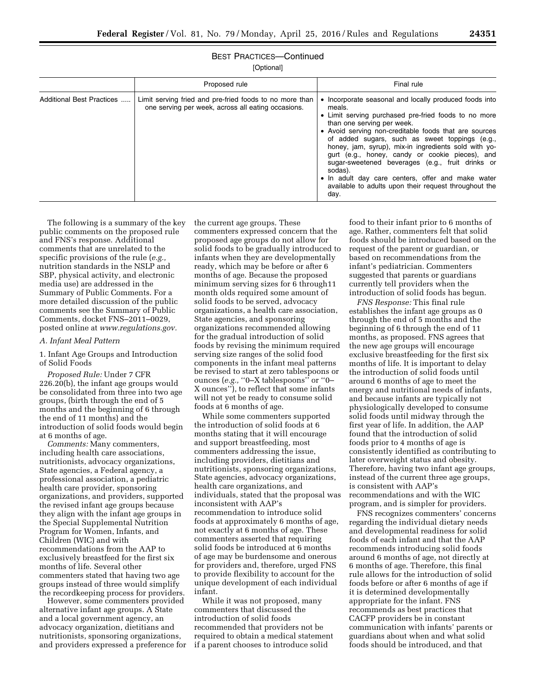### BEST PRACTICES—Continued

[Optional]

|                           | Proposed rule                                                                                                 | Final rule                                                                                                                                                                                                                                                                                                                                                                                                                                                                                                                                                        |
|---------------------------|---------------------------------------------------------------------------------------------------------------|-------------------------------------------------------------------------------------------------------------------------------------------------------------------------------------------------------------------------------------------------------------------------------------------------------------------------------------------------------------------------------------------------------------------------------------------------------------------------------------------------------------------------------------------------------------------|
| Additional Best Practices | Limit serving fried and pre-fried foods to no more than<br>one serving per week, across all eating occasions. | • Incorporate seasonal and locally produced foods into<br>meals.<br>• Limit serving purchased pre-fried foods to no more<br>than one serving per week.<br>• Avoid serving non-creditable foods that are sources<br>of added sugars, such as sweet toppings (e.g.,<br>honey, jam, syrup), mix-in ingredients sold with yo-<br>gurt (e.g., honey, candy or cookie pieces), and<br>sugar-sweetened beverages (e.g., fruit drinks or<br>sodas).<br>• In adult day care centers, offer and make water<br>available to adults upon their request throughout the<br>day. |

The following is a summary of the key public comments on the proposed rule and FNS's response. Additional comments that are unrelated to the specific provisions of the rule (*e.g.,*  nutrition standards in the NSLP and SBP, physical activity, and electronic media use) are addressed in the Summary of Public Comments. For a more detailed discussion of the public comments see the Summary of Public Comments, docket FNS–2011–0029, posted online at *[www.regulations.gov.](http://www.regulations.gov)* 

#### *A. Infant Meal Pattern*

1. Infant Age Groups and Introduction of Solid Foods

*Proposed Rule:* Under 7 CFR 226.20(b), the infant age groups would be consolidated from three into two age groups, (birth through the end of 5 months and the beginning of 6 through the end of 11 months) and the introduction of solid foods would begin at 6 months of age.

*Comments:* Many commenters, including health care associations, nutritionists, advocacy organizations, State agencies, a Federal agency, a professional association, a pediatric health care provider, sponsoring organizations, and providers, supported the revised infant age groups because they align with the infant age groups in the Special Supplemental Nutrition Program for Women, Infants, and Children (WIC) and with recommendations from the AAP to exclusively breastfeed for the first six months of life. Several other commenters stated that having two age groups instead of three would simplify the recordkeeping process for providers.

However, some commenters provided alternative infant age groups. A State and a local government agency, an advocacy organization, dietitians and nutritionists, sponsoring organizations, and providers expressed a preference for the current age groups. These commenters expressed concern that the proposed age groups do not allow for solid foods to be gradually introduced to infants when they are developmentally ready, which may be before or after 6 months of age. Because the proposed minimum serving sizes for 6 through11 month olds required some amount of solid foods to be served, advocacy organizations, a health care association, State agencies, and sponsoring organizations recommended allowing for the gradual introduction of solid foods by revising the minimum required serving size ranges of the solid food components in the infant meal patterns be revised to start at zero tablespoons or ounces (*e.g.,* ''0–X tablespoons'' or ''0– X ounces''), to reflect that some infants will not yet be ready to consume solid foods at 6 months of age.

While some commenters supported the introduction of solid foods at 6 months stating that it will encourage and support breastfeeding, most commenters addressing the issue, including providers, dietitians and nutritionists, sponsoring organizations, State agencies, advocacy organizations, health care organizations, and individuals, stated that the proposal was inconsistent with AAP's recommendation to introduce solid foods at approximately 6 months of age, not exactly at 6 months of age. These commenters asserted that requiring solid foods be introduced at 6 months of age may be burdensome and onerous for providers and, therefore, urged FNS to provide flexibility to account for the unique development of each individual infant.

While it was not proposed, many commenters that discussed the introduction of solid foods recommended that providers not be required to obtain a medical statement if a parent chooses to introduce solid

food to their infant prior to 6 months of age. Rather, commenters felt that solid foods should be introduced based on the request of the parent or guardian, or based on recommendations from the infant's pediatrician. Commenters suggested that parents or guardians currently tell providers when the introduction of solid foods has begun.

*FNS Response:* This final rule establishes the infant age groups as 0 through the end of 5 months and the beginning of 6 through the end of 11 months, as proposed. FNS agrees that the new age groups will encourage exclusive breastfeeding for the first six months of life. It is important to delay the introduction of solid foods until around 6 months of age to meet the energy and nutritional needs of infants, and because infants are typically not physiologically developed to consume solid foods until midway through the first year of life. In addition, the AAP found that the introduction of solid foods prior to 4 months of age is consistently identified as contributing to later overweight status and obesity. Therefore, having two infant age groups, instead of the current three age groups, is consistent with AAP's recommendations and with the WIC program, and is simpler for providers.

FNS recognizes commenters' concerns regarding the individual dietary needs and developmental readiness for solid foods of each infant and that the AAP recommends introducing solid foods around 6 months of age, not directly at 6 months of age. Therefore, this final rule allows for the introduction of solid foods before or after 6 months of age if it is determined developmentally appropriate for the infant. FNS recommends as best practices that CACFP providers be in constant communication with infants' parents or guardians about when and what solid foods should be introduced, and that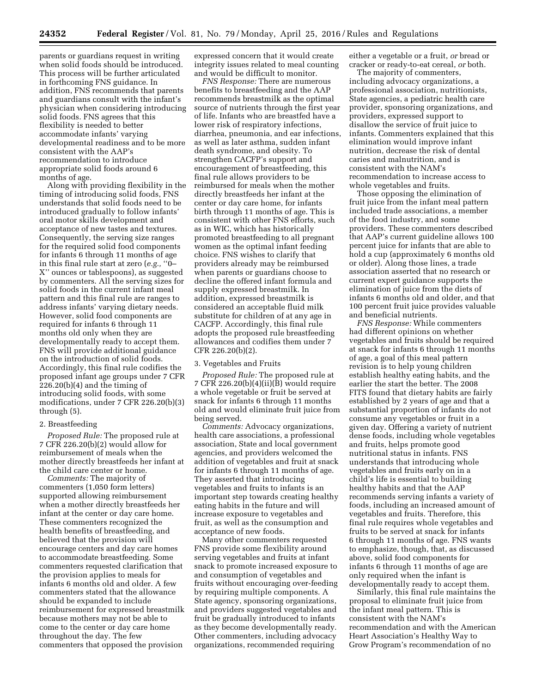parents or guardians request in writing when solid foods should be introduced. This process will be further articulated in forthcoming FNS guidance. In addition, FNS recommends that parents and guardians consult with the infant's physician when considering introducing solid foods. FNS agrees that this flexibility is needed to better accommodate infants' varying developmental readiness and to be more consistent with the AAP's recommendation to introduce appropriate solid foods around 6 months of age.

Along with providing flexibility in the timing of introducing solid foods, FNS understands that solid foods need to be introduced gradually to follow infants' oral motor skills development and acceptance of new tastes and textures. Consequently, the serving size ranges for the required solid food components for infants 6 through 11 months of age in this final rule start at zero (*e.g.,* ''0– X'' ounces or tablespoons), as suggested by commenters. All the serving sizes for solid foods in the current infant meal pattern and this final rule are ranges to address infants' varying dietary needs. However, solid food components are required for infants 6 through 11 months old only when they are developmentally ready to accept them. FNS will provide additional guidance on the introduction of solid foods. Accordingly, this final rule codifies the proposed infant age groups under 7 CFR 226.20(b)(4) and the timing of introducing solid foods, with some modifications, under 7 CFR 226.20(b)(3) through (5).

#### 2. Breastfeeding

*Proposed Rule:* The proposed rule at 7 CFR 226.20(b)(2) would allow for reimbursement of meals when the mother directly breastfeeds her infant at the child care center or home.

*Comments:* The majority of commenters (1,050 form letters) supported allowing reimbursement when a mother directly breastfeeds her infant at the center or day care home. These commenters recognized the health benefits of breastfeeding, and believed that the provision will encourage centers and day care homes to accommodate breastfeeding. Some commenters requested clarification that the provision applies to meals for infants 6 months old and older. A few commenters stated that the allowance should be expanded to include reimbursement for expressed breastmilk because mothers may not be able to come to the center or day care home throughout the day. The few commenters that opposed the provision

expressed concern that it would create integrity issues related to meal counting and would be difficult to monitor.

*FNS Response:* There are numerous benefits to breastfeeding and the AAP recommends breastmilk as the optimal source of nutrients through the first year of life. Infants who are breastfed have a lower risk of respiratory infections, diarrhea, pneumonia, and ear infections, as well as later asthma, sudden infant death syndrome, and obesity. To strengthen CACFP's support and encouragement of breastfeeding, this final rule allows providers to be reimbursed for meals when the mother directly breastfeeds her infant at the center or day care home, for infants birth through 11 months of age. This is consistent with other FNS efforts, such as in WIC, which has historically promoted breastfeeding to all pregnant women as the optimal infant feeding choice. FNS wishes to clarify that providers already may be reimbursed when parents or guardians choose to decline the offered infant formula and supply expressed breastmilk. In addition, expressed breastmilk is considered an acceptable fluid milk substitute for children of at any age in CACFP. Accordingly, this final rule adopts the proposed rule breastfeeding allowances and codifies them under 7 CFR 226.20(b)(2).

#### 3. Vegetables and Fruits

*Proposed Rule:* The proposed rule at 7 CFR 226.20(b)(4)(ii)(B) would require a whole vegetable or fruit be served at snack for infants 6 through 11 months old and would eliminate fruit juice from being served.

*Comments:* Advocacy organizations, health care associations, a professional association, State and local government agencies, and providers welcomed the addition of vegetables and fruit at snack for infants 6 through 11 months of age. They asserted that introducing vegetables and fruits to infants is an important step towards creating healthy eating habits in the future and will increase exposure to vegetables and fruit, as well as the consumption and acceptance of new foods.

Many other commenters requested FNS provide some flexibility around serving vegetables and fruits at infant snack to promote increased exposure to and consumption of vegetables and fruits without encouraging over-feeding by requiring multiple components. A State agency, sponsoring organizations, and providers suggested vegetables and fruit be gradually introduced to infants as they become developmentally ready. Other commenters, including advocacy organizations, recommended requiring

either a vegetable or a fruit, *or* bread or cracker or ready-to-eat cereal, *or* both.

The majority of commenters, including advocacy organizations, a professional association, nutritionists, State agencies, a pediatric health care provider, sponsoring organizations, and providers, expressed support to disallow the service of fruit juice to infants. Commenters explained that this elimination would improve infant nutrition, decrease the risk of dental caries and malnutrition, and is consistent with the NAM's recommendation to increase access to whole vegetables and fruits.

Those opposing the elimination of fruit juice from the infant meal pattern included trade associations, a member of the food industry, and some providers. These commenters described that AAP's current guideline allows 100 percent juice for infants that are able to hold a cup (approximately 6 months old or older). Along those lines, a trade association asserted that no research or current expert guidance supports the elimination of juice from the diets of infants 6 months old and older, and that 100 percent fruit juice provides valuable and beneficial nutrients.

*FNS Response:* While commenters had different opinions on whether vegetables and fruits should be required at snack for infants 6 through 11 months of age, a goal of this meal pattern revision is to help young children establish healthy eating habits, and the earlier the start the better. The 2008 FITS found that dietary habits are fairly established by 2 years of age and that a substantial proportion of infants do not consume any vegetables or fruit in a given day. Offering a variety of nutrient dense foods, including whole vegetables and fruits, helps promote good nutritional status in infants. FNS understands that introducing whole vegetables and fruits early on in a child's life is essential to building healthy habits and that the AAP recommends serving infants a variety of foods, including an increased amount of vegetables and fruits. Therefore, this final rule requires whole vegetables and fruits to be served at snack for infants 6 through 11 months of age. FNS wants to emphasize, though, that, as discussed above, solid food components for infants 6 through 11 months of age are only required when the infant is developmentally ready to accept them.

Similarly, this final rule maintains the proposal to eliminate fruit juice from the infant meal pattern. This is consistent with the NAM's recommendation and with the American Heart Association's Healthy Way to Grow Program's recommendation of no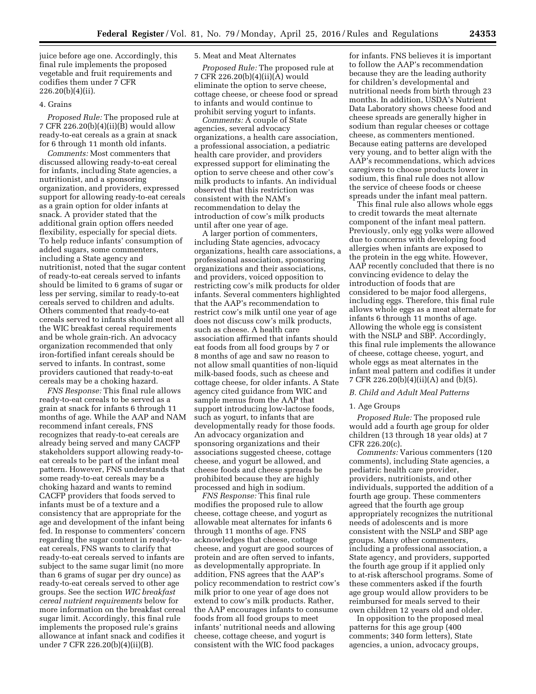juice before age one. Accordingly, this final rule implements the proposed vegetable and fruit requirements and codifies them under 7 CFR 226.20(b)(4)(ii).

#### 4. Grains

*Proposed Rule:* The proposed rule at 7 CFR 226.20(b)(4)(ii)(B) would allow ready-to-eat cereals as a grain at snack for 6 through 11 month old infants.

*Comments:* Most commenters that discussed allowing ready-to-eat cereal for infants, including State agencies, a nutritionist, and a sponsoring organization, and providers, expressed support for allowing ready-to-eat cereals as a grain option for older infants at snack. A provider stated that the additional grain option offers needed flexibility, especially for special diets. To help reduce infants' consumption of added sugars, some commenters, including a State agency and nutritionist, noted that the sugar content of ready-to-eat cereals served to infants should be limited to 6 grams of sugar or less per serving, similar to ready-to-eat cereals served to children and adults. Others commented that ready-to-eat cereals served to infants should meet all the WIC breakfast cereal requirements and be whole grain-rich. An advocacy organization recommended that only iron-fortified infant cereals should be served to infants. In contrast, some providers cautioned that ready-to-eat cereals may be a choking hazard.

*FNS Response:* This final rule allows ready-to-eat cereals to be served as a grain at snack for infants 6 through 11 months of age. While the AAP and NAM recommend infant cereals, FNS recognizes that ready-to-eat cereals are already being served and many CACFP stakeholders support allowing ready-toeat cereals to be part of the infant meal pattern. However, FNS understands that some ready-to-eat cereals may be a choking hazard and wants to remind CACFP providers that foods served to infants must be of a texture and a consistency that are appropriate for the age and development of the infant being fed. In response to commenters' concern regarding the sugar content in ready-toeat cereals, FNS wants to clarify that ready-to-eat cereals served to infants are subject to the same sugar limit (no more than 6 grams of sugar per dry ounce) as ready-to-eat cereals served to other age groups. See the section *WIC breakfast cereal nutrient requirements* below for more information on the breakfast cereal sugar limit. Accordingly, this final rule implements the proposed rule's grains allowance at infant snack and codifies it under 7 CFR 226.20(b)(4)(ii)(B).

#### 5. Meat and Meat Alternates

*Proposed Rule:* The proposed rule at 7 CFR 226.20(b)(4)(ii)(A) would eliminate the option to serve cheese, cottage cheese, or cheese food or spread to infants and would continue to prohibit serving yogurt to infants.

*Comments:* A couple of State agencies, several advocacy organizations, a health care association, a professional association, a pediatric health care provider, and providers expressed support for eliminating the option to serve cheese and other cow's milk products to infants. An individual observed that this restriction was consistent with the NAM's recommendation to delay the introduction of cow's milk products until after one year of age.

A larger portion of commenters, including State agencies, advocacy organizations, health care associations, a professional association, sponsoring organizations and their associations, and providers, voiced opposition to restricting cow's milk products for older infants. Several commenters highlighted that the AAP's recommendation to restrict cow's milk until one year of age does not discuss cow's milk products, such as cheese. A health care association affirmed that infants should eat foods from all food groups by 7 or 8 months of age and saw no reason to not allow small quantities of non-liquid milk-based foods, such as cheese and cottage cheese, for older infants. A State agency cited guidance from WIC and sample menus from the AAP that support introducing low-lactose foods, such as yogurt, to infants that are developmentally ready for those foods. An advocacy organization and sponsoring organizations and their associations suggested cheese, cottage cheese, and yogurt be allowed, and cheese foods and cheese spreads be prohibited because they are highly processed and high in sodium.

*FNS Response:* This final rule modifies the proposed rule to allow cheese, cottage cheese, and yogurt as allowable meat alternates for infants 6 through 11 months of age. FNS acknowledges that cheese, cottage cheese, and yogurt are good sources of protein and are often served to infants, as developmentally appropriate. In addition, FNS agrees that the AAP's policy recommendation to restrict cow's milk prior to one year of age does not extend to cow's milk products. Rather, the AAP encourages infants to consume foods from all food groups to meet infants' nutritional needs and allowing cheese, cottage cheese, and yogurt is consistent with the WIC food packages

for infants. FNS believes it is important to follow the AAP's recommendation because they are the leading authority for children's developmental and nutritional needs from birth through 23 months. In addition, USDA's Nutrient Data Laboratory shows cheese food and cheese spreads are generally higher in sodium than regular cheeses or cottage cheese, as commenters mentioned. Because eating patterns are developed very young, and to better align with the AAP's recommendations, which advices caregivers to choose products lower in sodium, this final rule does not allow the service of cheese foods or cheese spreads under the infant meal pattern.

This final rule also allows whole eggs to credit towards the meat alternate component of the infant meal pattern. Previously, only egg yolks were allowed due to concerns with developing food allergies when infants are exposed to the protein in the egg white. However, AAP recently concluded that there is no convincing evidence to delay the introduction of foods that are considered to be major food allergens, including eggs. Therefore, this final rule allows whole eggs as a meat alternate for infants 6 through 11 months of age. Allowing the whole egg is consistent with the NSLP and SBP. Accordingly, this final rule implements the allowance of cheese, cottage cheese, yogurt, and whole eggs as meat alternates in the infant meal pattern and codifies it under 7 CFR 226.20(b)(4)(ii)(A) and (b)(5).

#### *B. Child and Adult Meal Patterns*

#### 1. Age Groups

*Proposed Rule:* The proposed rule would add a fourth age group for older children (13 through 18 year olds) at 7 CFR 226.20(c).

*Comments:* Various commenters (120 comments), including State agencies, a pediatric health care provider, providers, nutritionists, and other individuals, supported the addition of a fourth age group. These commenters agreed that the fourth age group appropriately recognizes the nutritional needs of adolescents and is more consistent with the NSLP and SBP age groups. Many other commenters, including a professional association, a State agency, and providers, supported the fourth age group if it applied only to at-risk afterschool programs. Some of these commenters asked if the fourth age group would allow providers to be reimbursed for meals served to their own children 12 years old and older.

In opposition to the proposed meal patterns for this age group (400 comments; 340 form letters), State agencies, a union, advocacy groups,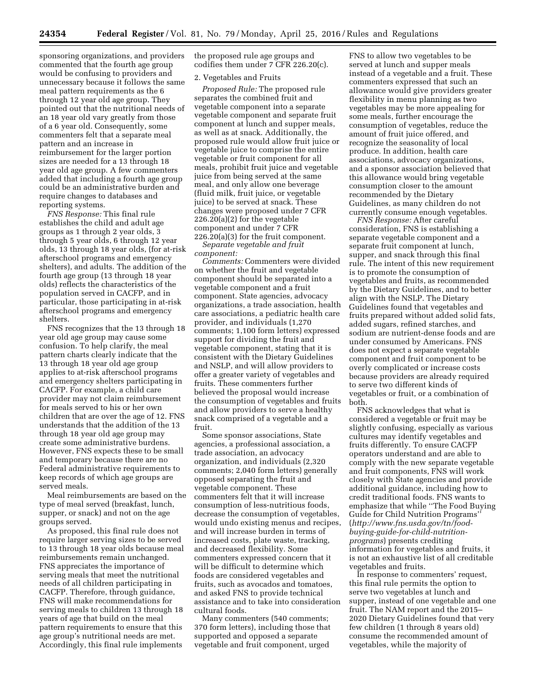sponsoring organizations, and providers commented that the fourth age group would be confusing to providers and unnecessary because it follows the same meal pattern requirements as the 6 through 12 year old age group. They pointed out that the nutritional needs of an 18 year old vary greatly from those of a 6 year old. Consequently, some commenters felt that a separate meal pattern and an increase in reimbursement for the larger portion sizes are needed for a 13 through 18 year old age group. A few commenters added that including a fourth age group could be an administrative burden and require changes to databases and reporting systems.

*FNS Response:* This final rule establishes the child and adult age groups as 1 through 2 year olds, 3 through 5 year olds, 6 through 12 year olds, 13 through 18 year olds, (for at-risk afterschool programs and emergency shelters), and adults. The addition of the fourth age group (13 through 18 year olds) reflects the characteristics of the population served in CACFP, and in particular, those participating in at-risk afterschool programs and emergency shelters.

FNS recognizes that the 13 through 18 year old age group may cause some confusion. To help clarify, the meal pattern charts clearly indicate that the 13 through 18 year old age group applies to at-risk afterschool programs and emergency shelters participating in CACFP. For example, a child care provider may not claim reimbursement for meals served to his or her own children that are over the age of 12. FNS understands that the addition of the 13 through 18 year old age group may create some administrative burdens. However, FNS expects these to be small and temporary because there are no Federal administrative requirements to keep records of which age groups are served meals.

Meal reimbursements are based on the type of meal served (breakfast, lunch, supper, or snack) and not on the age groups served.

As proposed, this final rule does not require larger serving sizes to be served to 13 through 18 year olds because meal reimbursements remain unchanged. FNS appreciates the importance of serving meals that meet the nutritional needs of all children participating in CACFP. Therefore, through guidance, FNS will make recommendations for serving meals to children 13 through 18 years of age that build on the meal pattern requirements to ensure that this age group's nutritional needs are met. Accordingly, this final rule implements

the proposed rule age groups and codifies them under 7 CFR 226.20(c).

#### 2. Vegetables and Fruits

*Proposed Rule:* The proposed rule separates the combined fruit and vegetable component into a separate vegetable component and separate fruit component at lunch and supper meals, as well as at snack. Additionally, the proposed rule would allow fruit juice or vegetable juice to comprise the entire vegetable or fruit component for all meals, prohibit fruit juice and vegetable juice from being served at the same meal, and only allow one beverage (fluid milk, fruit juice, or vegetable juice) to be served at snack. These changes were proposed under 7 CFR 226.20(a)(2) for the vegetable component and under 7 CFR 226.20(a)(3) for the fruit component.

*Separate vegetable and fruit component:* 

*Comments:* Commenters were divided on whether the fruit and vegetable component should be separated into a vegetable component and a fruit component. State agencies, advocacy organizations, a trade association, health care associations, a pediatric health care provider, and individuals (1,270 comments; 1,100 form letters) expressed support for dividing the fruit and vegetable component, stating that it is consistent with the Dietary Guidelines and NSLP, and will allow providers to offer a greater variety of vegetables and fruits. These commenters further believed the proposal would increase the consumption of vegetables and fruits and allow providers to serve a healthy snack comprised of a vegetable and a fruit.

Some sponsor associations, State agencies, a professional association, a trade association, an advocacy organization, and individuals (2,320 comments; 2,040 form letters) generally opposed separating the fruit and vegetable component. These commenters felt that it will increase consumption of less-nutritious foods, decrease the consumption of vegetables, would undo existing menus and recipes, and will increase burden in terms of increased costs, plate waste, tracking, and decreased flexibility. Some commenters expressed concern that it will be difficult to determine which foods are considered vegetables and fruits, such as avocados and tomatoes, and asked FNS to provide technical assistance and to take into consideration cultural foods.

Many commenters (540 comments; 370 form letters), including those that supported and opposed a separate vegetable and fruit component, urged

FNS to allow two vegetables to be served at lunch and supper meals instead of a vegetable and a fruit. These commenters expressed that such an allowance would give providers greater flexibility in menu planning as two vegetables may be more appealing for some meals, further encourage the consumption of vegetables, reduce the amount of fruit juice offered, and recognize the seasonality of local produce. In addition, health care associations, advocacy organizations, and a sponsor association believed that this allowance would bring vegetable consumption closer to the amount recommended by the Dietary Guidelines, as many children do not currently consume enough vegetables.

*FNS Response:* After careful consideration, FNS is establishing a separate vegetable component and a separate fruit component at lunch, supper, and snack through this final rule. The intent of this new requirement is to promote the consumption of vegetables and fruits, as recommended by the Dietary Guidelines, and to better align with the NSLP. The Dietary Guidelines found that vegetables and fruits prepared without added solid fats, added sugars, refined starches, and sodium are nutrient-dense foods and are under consumed by Americans. FNS does not expect a separate vegetable component and fruit component to be overly complicated or increase costs because providers are already required to serve two different kinds of vegetables or fruit, or a combination of both.

FNS acknowledges that what is considered a vegetable or fruit may be slightly confusing, especially as various cultures may identify vegetables and fruits differently. To ensure CACFP operators understand and are able to comply with the new separate vegetable and fruit components, FNS will work closely with State agencies and provide additional guidance, including how to credit traditional foods. FNS wants to emphasize that while ''The Food Buying Guide for Child Nutrition Programs'' (*[http://www.fns.usda.gov/tn/food](http://www.fns.usda.gov/tn/food-buying-guide-for-child-nutrition-programs)buying-guide-for-child-nutrition[programs](http://www.fns.usda.gov/tn/food-buying-guide-for-child-nutrition-programs)*) presents crediting information for vegetables and fruits, it is not an exhaustive list of all creditable vegetables and fruits.

In response to commenters' request, this final rule permits the option to serve two vegetables at lunch and supper, instead of one vegetable and one fruit. The NAM report and the 2015– 2020 Dietary Guidelines found that very few children (1 through 8 years old) consume the recommended amount of vegetables, while the majority of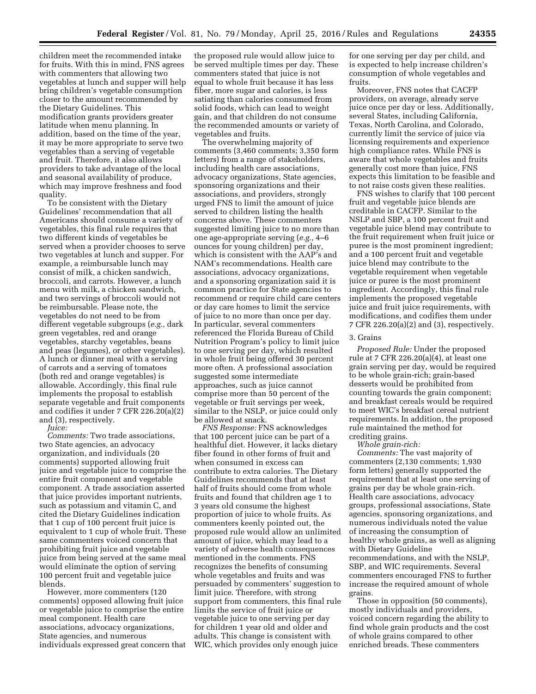children meet the recommended intake for fruits. With this in mind, FNS agrees with commenters that allowing two vegetables at lunch and supper will help bring children's vegetable consumption closer to the amount recommended by the Dietary Guidelines. This modification grants providers greater latitude when menu planning. In addition, based on the time of the year, it may be more appropriate to serve two vegetables than a serving of vegetable and fruit. Therefore, it also allows providers to take advantage of the local and seasonal availability of produce, which may improve freshness and food quality.

To be consistent with the Dietary Guidelines' recommendation that all Americans should consume a variety of vegetables, this final rule requires that two different kinds of vegetables be served when a provider chooses to serve two vegetables at lunch and supper. For example, a reimbursable lunch may consist of milk, a chicken sandwich, broccoli, and carrots. However, a lunch menu with milk, a chicken sandwich, and two servings of broccoli would not be reimbursable. Please note, the vegetables do not need to be from different vegetable subgroups (*e.g.,* dark green vegetables, red and orange vegetables, starchy vegetables, beans and peas (legumes), or other vegetables). A lunch or dinner meal with a serving of carrots and a serving of tomatoes (both red and orange vegetables) is allowable. Accordingly, this final rule implements the proposal to establish separate vegetable and fruit components and codifies it under 7 CFR 226.20(a)(2) and (3), respectively. *Juice:* 

*Comments:* Two trade associations, two State agencies, an advocacy organization, and individuals (20 comments) supported allowing fruit juice and vegetable juice to comprise the entire fruit component and vegetable component. A trade association asserted that juice provides important nutrients, such as potassium and vitamin C, and cited the Dietary Guidelines indication that 1 cup of 100 percent fruit juice is equivalent to 1 cup of whole fruit. These same commenters voiced concern that prohibiting fruit juice and vegetable juice from being served at the same meal would eliminate the option of serving 100 percent fruit and vegetable juice blends.

However, more commenters (120 comments) opposed allowing fruit juice or vegetable juice to comprise the entire meal component. Health care associations, advocacy organizations, State agencies, and numerous individuals expressed great concern that

the proposed rule would allow juice to be served multiple times per day. These commenters stated that juice is not equal to whole fruit because it has less fiber, more sugar and calories, is less satiating than calories consumed from solid foods, which can lead to weight gain, and that children do not consume the recommended amounts or variety of vegetables and fruits.

The overwhelming majority of comments (3,460 comments; 3,350 form letters) from a range of stakeholders, including health care associations, advocacy organizations, State agencies, sponsoring organizations and their associations, and providers, strongly urged FNS to limit the amount of juice served to children listing the health concerns above. These commenters suggested limiting juice to no more than one age-appropriate serving (*e.g.,* 4–6 ounces for young children) per day, which is consistent with the AAP's and NAM's recommendations. Health care associations, advocacy organizations, and a sponsoring organization said it is common practice for State agencies to recommend or require child care centers or day care homes to limit the service of juice to no more than once per day. In particular, several commenters referenced the Florida Bureau of Child Nutrition Program's policy to limit juice to one serving per day, which resulted in whole fruit being offered 30 percent more often. A professional association suggested some intermediate approaches, such as juice cannot comprise more than 50 percent of the vegetable or fruit servings per week, similar to the NSLP, or juice could only be allowed at snack.

*FNS Response:* FNS acknowledges that 100 percent juice can be part of a healthful diet. However, it lacks dietary fiber found in other forms of fruit and when consumed in excess can contribute to extra calories. The Dietary Guidelines recommends that at least half of fruits should come from whole fruits and found that children age 1 to 3 years old consume the highest proportion of juice to whole fruits. As commenters keenly pointed out, the proposed rule would allow an unlimited amount of juice, which may lead to a variety of adverse health consequences mentioned in the comments. FNS recognizes the benefits of consuming whole vegetables and fruits and was persuaded by commenters' suggestion to limit juice. Therefore, with strong support from commenters, this final rule limits the service of fruit juice or vegetable juice to one serving per day for children 1 year old and older and adults. This change is consistent with WIC, which provides only enough juice

for one serving per day per child, and is expected to help increase children's consumption of whole vegetables and fruits.

Moreover, FNS notes that CACFP providers, on average, already serve juice once per day or less. Additionally, several States, including California, Texas, North Carolina, and Colorado, currently limit the service of juice via licensing requirements and experience high compliance rates. While FNS is aware that whole vegetables and fruits generally cost more than juice, FNS expects this limitation to be feasible and to not raise costs given these realities.

FNS wishes to clarify that 100 percent fruit and vegetable juice blends are creditable in CACFP. Similar to the NSLP and SBP, a 100 percent fruit and vegetable juice blend may contribute to the fruit requirement when fruit juice or puree is the most prominent ingredient; and a 100 percent fruit and vegetable juice blend may contribute to the vegetable requirement when vegetable juice or puree is the most prominent ingredient. Accordingly, this final rule implements the proposed vegetable juice and fruit juice requirements, with modifications, and codifies them under 7 CFR 226.20(a)(2) and (3), respectively.

#### 3. Grains

*Proposed Rule:* Under the proposed rule at 7 CFR 226.20(a)(4), at least one grain serving per day, would be required to be whole grain-rich; grain-based desserts would be prohibited from counting towards the grain component; and breakfast cereals would be required to meet WIC's breakfast cereal nutrient requirements. In addition, the proposed rule maintained the method for crediting grains.

*Whole grain-rich:* 

*Comments:* The vast majority of commenters (2,130 comments; 1,930 form letters) generally supported the requirement that at least one serving of grains per day be whole grain-rich. Health care associations, advocacy groups, professional associations, State agencies, sponsoring organizations, and numerous individuals noted the value of increasing the consumption of healthy whole grains, as well as aligning with Dietary Guideline recommendations, and with the NSLP, SBP, and WIC requirements. Several commenters encouraged FNS to further increase the required amount of whole grains.

Those in opposition (50 comments), mostly individuals and providers, voiced concern regarding the ability to find whole grain products and the cost of whole grains compared to other enriched breads. These commenters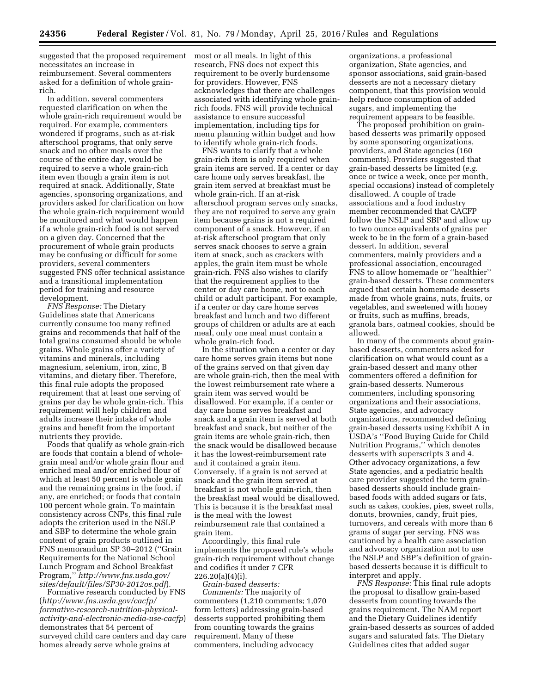suggested that the proposed requirement most or all meals. In light of this necessitates an increase in reimbursement. Several commenters asked for a definition of whole grainrich.

In addition, several commenters requested clarification on when the whole grain-rich requirement would be required. For example, commenters wondered if programs, such as at-risk afterschool programs, that only serve snack and no other meals over the course of the entire day, would be required to serve a whole grain-rich item even though a grain item is not required at snack. Additionally, State agencies, sponsoring organizations, and providers asked for clarification on how the whole grain-rich requirement would be monitored and what would happen if a whole grain-rich food is not served on a given day. Concerned that the procurement of whole grain products may be confusing or difficult for some providers, several commenters suggested FNS offer technical assistance and a transitional implementation period for training and resource development.

*FNS Response:* The Dietary Guidelines state that Americans currently consume too many refined grains and recommends that half of the total grains consumed should be whole grains. Whole grains offer a variety of vitamins and minerals, including magnesium, selenium, iron, zinc, B vitamins, and dietary fiber. Therefore, this final rule adopts the proposed requirement that at least one serving of grains per day be whole grain-rich. This requirement will help children and adults increase their intake of whole grains and benefit from the important nutrients they provide.

Foods that qualify as whole grain-rich are foods that contain a blend of wholegrain meal and/or whole grain flour and enriched meal and/or enriched flour of which at least 50 percent is whole grain and the remaining grains in the food, if any, are enriched; or foods that contain 100 percent whole grain. To maintain consistency across CNPs, this final rule adopts the criterion used in the NSLP and SBP to determine the whole grain content of grain products outlined in FNS memorandum SP 30–2012 (''Grain Requirements for the National School Lunch Program and School Breakfast Program,'' *[http://www.fns.usda.gov/](http://www.fns.usda.gov/sites/default/files/SP30-2012os.pdf) [sites/default/files/SP30-2012os.pdf](http://www.fns.usda.gov/sites/default/files/SP30-2012os.pdf)*).

Formative research conducted by FNS (*[http://www.fns.usda.gov/cacfp/](http://www.fns.usda.gov/cacfp/formative-research-nutrition-physical-activity-and-electronic-media-use-cacfp) [formative-research-nutrition-physical](http://www.fns.usda.gov/cacfp/formative-research-nutrition-physical-activity-and-electronic-media-use-cacfp)[activity-and-electronic-media-use-cacfp](http://www.fns.usda.gov/cacfp/formative-research-nutrition-physical-activity-and-electronic-media-use-cacfp)*) demonstrates that 54 percent of surveyed child care centers and day care homes already serve whole grains at

research, FNS does not expect this requirement to be overly burdensome for providers. However, FNS acknowledges that there are challenges associated with identifying whole grainrich foods. FNS will provide technical assistance to ensure successful implementation, including tips for menu planning within budget and how to identify whole grain-rich foods.

FNS wants to clarify that a whole grain-rich item is only required when grain items are served. If a center or day care home only serves breakfast, the grain item served at breakfast must be whole grain-rich. If an at-risk afterschool program serves only snacks, they are not required to serve any grain item because grains is not a required component of a snack. However, if an at-risk afterschool program that only serves snack chooses to serve a grain item at snack, such as crackers with apples, the grain item must be whole grain-rich. FNS also wishes to clarify that the requirement applies to the center or day care home, not to each child or adult participant. For example, if a center or day care home serves breakfast and lunch and two different groups of children or adults are at each meal, only one meal must contain a whole grain-rich food.

In the situation when a center or day care home serves grain items but none of the grains served on that given day are whole grain-rich, then the meal with the lowest reimbursement rate where a grain item was served would be disallowed. For example, if a center or day care home serves breakfast and snack and a grain item is served at both breakfast and snack, but neither of the grain items are whole grain-rich, then the snack would be disallowed because it has the lowest-reimbursement rate and it contained a grain item. Conversely, if a grain is not served at snack and the grain item served at breakfast is not whole grain-rich, then the breakfast meal would be disallowed. This is because it is the breakfast meal is the meal with the lowest reimbursement rate that contained a grain item.

Accordingly, this final rule implements the proposed rule's whole grain-rich requirement without change and codifies it under 7 CFR  $226.20(a)(4)(i)$ .

*Grain-based desserts: Comments:* The majority of commenters (1,210 comments; 1,070 form letters) addressing grain-based desserts supported prohibiting them from counting towards the grains requirement. Many of these commenters, including advocacy

organizations, a professional organization, State agencies, and sponsor associations, said grain-based desserts are not a necessary dietary component, that this provision would help reduce consumption of added sugars, and implementing the requirement appears to be feasible.

The proposed prohibition on grainbased desserts was primarily opposed by some sponsoring organizations, providers, and State agencies (160 comments). Providers suggested that grain-based desserts be limited (*e.g.*  once or twice a week, once per month, special occasions) instead of completely disallowed. A couple of trade associations and a food industry member recommended that CACFP follow the NSLP and SBP and allow up to two ounce equivalents of grains per week to be in the form of a grain-based dessert. In addition, several commenters, mainly providers and a professional association, encouraged FNS to allow homemade or ''healthier'' grain-based desserts. These commenters argued that certain homemade desserts made from whole grains, nuts, fruits, or vegetables, and sweetened with honey or fruits, such as muffins, breads, granola bars, oatmeal cookies, should be allowed.

In many of the comments about grainbased desserts, commenters asked for clarification on what would count as a grain-based dessert and many other commenters offered a definition for grain-based desserts. Numerous commenters, including sponsoring organizations and their associations, State agencies, and advocacy organizations, recommended defining grain-based desserts using Exhibit A in USDA's ''Food Buying Guide for Child Nutrition Programs,'' which denotes desserts with superscripts 3 and 4. Other advocacy organizations, a few State agencies, and a pediatric health care provider suggested the term grainbased desserts should include grainbased foods with added sugars or fats, such as cakes, cookies, pies, sweet rolls, donuts, brownies, candy, fruit pies, turnovers, and cereals with more than 6 grams of sugar per serving. FNS was cautioned by a health care association and advocacy organization not to use the NSLP and SBP's definition of grainbased desserts because it is difficult to interpret and apply.

*FNS Response:* This final rule adopts the proposal to disallow grain-based desserts from counting towards the grains requirement. The NAM report and the Dietary Guidelines identify grain-based desserts as sources of added sugars and saturated fats. The Dietary Guidelines cites that added sugar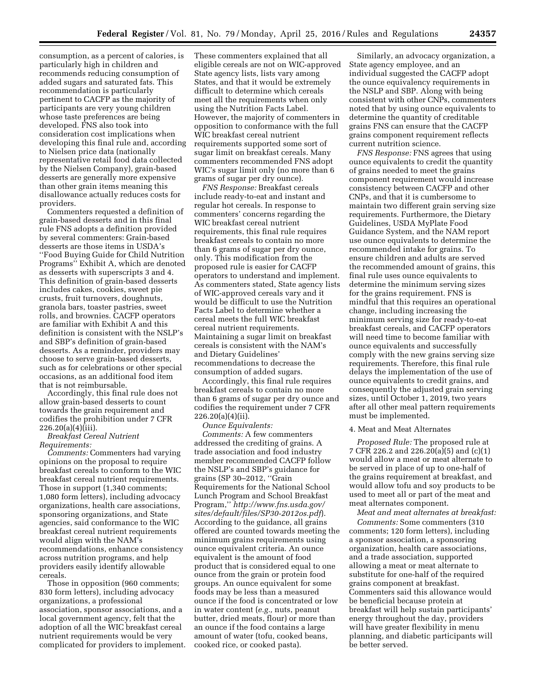consumption, as a percent of calories, is particularly high in children and recommends reducing consumption of added sugars and saturated fats. This recommendation is particularly pertinent to CACFP as the majority of participants are very young children whose taste preferences are being developed. FNS also took into consideration cost implications when developing this final rule and, according to Nielsen price data (nationally representative retail food data collected by the Nielsen Company), grain-based desserts are generally more expensive than other grain items meaning this disallowance actually reduces costs for providers.

Commenters requested a definition of grain-based desserts and in this final rule FNS adopts a definition provided by several commenters: Grain-based desserts are those items in USDA's ''Food Buying Guide for Child Nutrition Programs'' Exhibit A, which are denoted as desserts with superscripts 3 and 4. This definition of grain-based desserts includes cakes, cookies, sweet pie crusts, fruit turnovers, doughnuts, granola bars, toaster pastries, sweet rolls, and brownies. CACFP operators are familiar with Exhibit A and this definition is consistent with the NSLP's and SBP's definition of grain-based desserts. As a reminder, providers may choose to serve grain-based desserts, such as for celebrations or other special occasions, as an additional food item that is not reimbursable.

Accordingly, this final rule does not allow grain-based desserts to count towards the grain requirement and codifies the prohibition under 7 CFR  $226.20(a)(4)(iii)$ .

#### *Breakfast Cereal Nutrient Requirements:*

*Comments:* Commenters had varying opinions on the proposal to require breakfast cereals to conform to the WIC breakfast cereal nutrient requirements. Those in support (1,340 comments; 1,080 form letters), including advocacy organizations, health care associations, sponsoring organizations, and State agencies, said conformance to the WIC breakfast cereal nutrient requirements would align with the NAM's recommendations, enhance consistency across nutrition programs, and help providers easily identify allowable cereals.

Those in opposition (960 comments; 830 form letters), including advocacy organizations, a professional association, sponsor associations, and a local government agency, felt that the adoption of all the WIC breakfast cereal nutrient requirements would be very complicated for providers to implement. These commenters explained that all eligible cereals are not on WIC-approved State agency lists, lists vary among States, and that it would be extremely difficult to determine which cereals meet all the requirements when only using the Nutrition Facts Label. However, the majority of commenters in opposition to conformance with the full WIC breakfast cereal nutrient requirements supported some sort of sugar limit on breakfast cereals. Many commenters recommended FNS adopt WIC's sugar limit only (no more than 6 grams of sugar per dry ounce).

*FNS Response:* Breakfast cereals include ready-to-eat and instant and regular hot cereals. In response to commenters' concerns regarding the WIC breakfast cereal nutrient requirements, this final rule requires breakfast cereals to contain no more than 6 grams of sugar per dry ounce, only. This modification from the proposed rule is easier for CACFP operators to understand and implement. As commenters stated, State agency lists of WIC-approved cereals vary and it would be difficult to use the Nutrition Facts Label to determine whether a cereal meets the full WIC breakfast cereal nutrient requirements. Maintaining a sugar limit on breakfast cereals is consistent with the NAM's and Dietary Guidelines' recommendations to decrease the consumption of added sugars.

Accordingly, this final rule requires breakfast cereals to contain no more than 6 grams of sugar per dry ounce and codifies the requirement under 7 CFR  $226.20(a)(4)(ii)$ .

*Ounce Equivalents:* 

*Comments:* A few commenters addressed the crediting of grains. A trade association and food industry member recommended CACFP follow the NSLP's and SBP's guidance for grains (SP 30–2012, ''Grain Requirements for the National School Lunch Program and School Breakfast Program,'' *[http://www.fns.usda.gov/](http://www.fns.usda.gov/sites/default/files/SP30-2012os.pdf) [sites/default/files/SP30-2012os.pdf](http://www.fns.usda.gov/sites/default/files/SP30-2012os.pdf)*). According to the guidance, all grains offered are counted towards meeting the minimum grains requirements using ounce equivalent criteria. An ounce equivalent is the amount of food product that is considered equal to one ounce from the grain or protein food groups. An ounce equivalent for some foods may be less than a measured ounce if the food is concentrated or low in water content (*e.g.,* nuts, peanut butter, dried meats, flour) or more than an ounce if the food contains a large amount of water (tofu, cooked beans, cooked rice, or cooked pasta).

Similarly, an advocacy organization, a State agency employee, and an individual suggested the CACFP adopt the ounce equivalency requirements in the NSLP and SBP. Along with being consistent with other CNPs, commenters noted that by using ounce equivalents to determine the quantity of creditable grains FNS can ensure that the CACFP grains component requirement reflects current nutrition science.

*FNS Response:* FNS agrees that using ounce equivalents to credit the quantity of grains needed to meet the grains component requirement would increase consistency between CACFP and other CNPs, and that it is cumbersome to maintain two different grain serving size requirements. Furthermore, the Dietary Guidelines, USDA MyPlate Food Guidance System, and the NAM report use ounce equivalents to determine the recommended intake for grains. To ensure children and adults are served the recommended amount of grains, this final rule uses ounce equivalents to determine the minimum serving sizes for the grains requirement. FNS is mindful that this requires an operational change, including increasing the minimum serving size for ready-to-eat breakfast cereals, and CACFP operators will need time to become familiar with ounce equivalents and successfully comply with the new grains serving size requirements. Therefore, this final rule delays the implementation of the use of ounce equivalents to credit grains, and consequently the adjusted grain serving sizes, until October 1, 2019, two years after all other meal pattern requirements must be implemented.

#### 4. Meat and Meat Alternates

*Proposed Rule:* The proposed rule at 7 CFR 226.2 and 226.20(a)(5) and (c)(1) would allow a meat or meat alternate to be served in place of up to one-half of the grains requirement at breakfast, and would allow tofu and soy products to be used to meet all or part of the meat and meat alternates component.

*Meat and meat alternates at breakfast:* 

*Comments:* Some commenters (310 comments; 120 form letters), including a sponsor association, a sponsoring organization, health care associations, and a trade association, supported allowing a meat or meat alternate to substitute for one-half of the required grains component at breakfast. Commenters said this allowance would be beneficial because protein at breakfast will help sustain participants' energy throughout the day, providers will have greater flexibility in menu planning, and diabetic participants will be better served.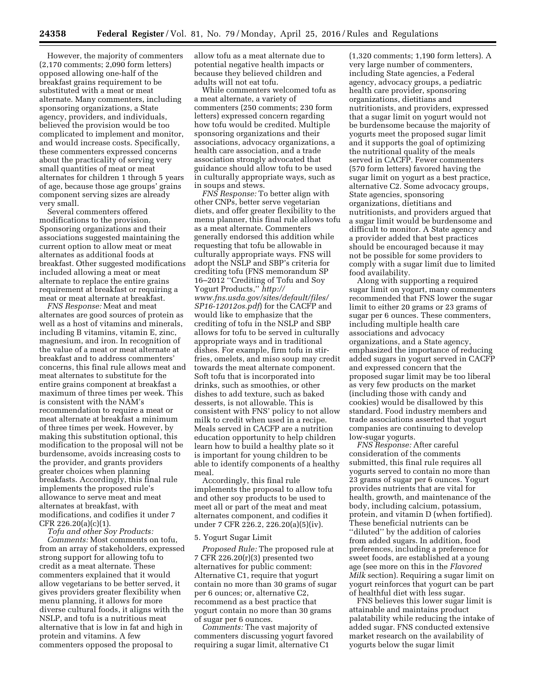However, the majority of commenters (2,170 comments; 2,090 form letters) opposed allowing one-half of the breakfast grains requirement to be substituted with a meat or meat alternate. Many commenters, including sponsoring organizations, a State agency, providers, and individuals, believed the provision would be too complicated to implement and monitor, and would increase costs. Specifically, these commenters expressed concerns about the practicality of serving very small quantities of meat or meat alternates for children 1 through 5 years of age, because those age groups' grains component serving sizes are already very small.

Several commenters offered modifications to the provision. Sponsoring organizations and their associations suggested maintaining the current option to allow meat or meat alternates as additional foods at breakfast. Other suggested modifications included allowing a meat or meat alternate to replace the entire grains requirement at breakfast or requiring a meat or meat alternate at breakfast.

*FNS Response:* Meat and meat alternates are good sources of protein as well as a host of vitamins and minerals, including B vitamins, vitamin E, zinc, magnesium, and iron. In recognition of the value of a meat or meat alternate at breakfast and to address commenters' concerns, this final rule allows meat and meat alternates to substitute for the entire grains component at breakfast a maximum of three times per week. This is consistent with the NAM's recommendation to require a meat or meat alternate at breakfast a minimum of three times per week. However, by making this substitution optional, this modification to the proposal will not be burdensome, avoids increasing costs to the provider, and grants providers greater choices when planning breakfasts. Accordingly, this final rule implements the proposed rule's allowance to serve meat and meat alternates at breakfast, with modifications, and codifies it under 7 CFR 226.20(a)(c)(1).

*Tofu and other Soy Products: Comments:* Most comments on tofu, from an array of stakeholders, expressed strong support for allowing tofu to credit as a meat alternate. These commenters explained that it would allow vegetarians to be better served, it gives providers greater flexibility when menu planning, it allows for more diverse cultural foods, it aligns with the NSLP, and tofu is a nutritious meat alternative that is low in fat and high in protein and vitamins. A few commenters opposed the proposal to

allow tofu as a meat alternate due to potential negative health impacts or because they believed children and adults will not eat tofu.

While commenters welcomed tofu as a meat alternate, a variety of commenters (250 comments; 230 form letters) expressed concern regarding how tofu would be credited. Multiple sponsoring organizations and their associations, advocacy organizations, a health care association, and a trade association strongly advocated that guidance should allow tofu to be used in culturally appropriate ways, such as in soups and stews.

*FNS Response:* To better align with other CNPs, better serve vegetarian diets, and offer greater flexibility to the menu planner, this final rule allows tofu as a meat alternate. Commenters generally endorsed this addition while requesting that tofu be allowable in culturally appropriate ways. FNS will adopt the NSLP and SBP's criteria for crediting tofu (FNS memorandum SP 16–2012 ''Crediting of Tofu and Soy Yogurt Products,'' *[http://](http://www.fns.usda.gov/sites/default/files/SP16-12012os.pdf) [www.fns.usda.gov/sites/default/files/](http://www.fns.usda.gov/sites/default/files/SP16-12012os.pdf) [SP16-12012os.pdf](http://www.fns.usda.gov/sites/default/files/SP16-12012os.pdf)*) for the CACFP and would like to emphasize that the crediting of tofu in the NSLP and SBP allows for tofu to be served in culturally appropriate ways and in traditional dishes. For example, firm tofu in stirfries, omelets, and miso soup may credit towards the meat alternate component. Soft tofu that is incorporated into drinks, such as smoothies, or other dishes to add texture, such as baked desserts, is not allowable. This is consistent with FNS' policy to not allow milk to credit when used in a recipe. Meals served in CACFP are a nutrition education opportunity to help children learn how to build a healthy plate so it is important for young children to be able to identify components of a healthy meal.

Accordingly, this final rule implements the proposal to allow tofu and other soy products to be used to meet all or part of the meat and meat alternates component, and codifies it under 7 CFR 226.2, 226.20(a)(5)(iv).

#### 5. Yogurt Sugar Limit

*Proposed Rule:* The proposed rule at 7 CFR 226.20(r)(3) presented two alternatives for public comment: Alternative C1, require that yogurt contain no more than 30 grams of sugar per 6 ounces; or, alternative C2, recommend as a best practice that yogurt contain no more than 30 grams of sugar per 6 ounces.

*Comments:* The vast majority of commenters discussing yogurt favored requiring a sugar limit, alternative C1

(1,320 comments; 1,190 form letters). A very large number of commenters, including State agencies, a Federal agency, advocacy groups, a pediatric health care provider, sponsoring organizations, dietitians and nutritionists, and providers, expressed that a sugar limit on yogurt would not be burdensome because the majority of yogurts meet the proposed sugar limit and it supports the goal of optimizing the nutritional quality of the meals served in CACFP. Fewer commenters (570 form letters) favored having the sugar limit on yogurt as a best practice, alternative C2. Some advocacy groups, State agencies, sponsoring organizations, dietitians and nutritionists, and providers argued that a sugar limit would be burdensome and difficult to monitor. A State agency and a provider added that best practices should be encouraged because it may not be possible for some providers to comply with a sugar limit due to limited food availability.

Along with supporting a required sugar limit on yogurt, many commenters recommended that FNS lower the sugar limit to either 20 grams or 23 grams of sugar per 6 ounces. These commenters, including multiple health care associations and advocacy organizations, and a State agency, emphasized the importance of reducing added sugars in yogurt served in CACFP and expressed concern that the proposed sugar limit may be too liberal as very few products on the market (including those with candy and cookies) would be disallowed by this standard. Food industry members and trade associations asserted that yogurt companies are continuing to develop low-sugar yogurts.

*FNS Response:* After careful consideration of the comments submitted, this final rule requires all yogurts served to contain no more than 23 grams of sugar per 6 ounces. Yogurt provides nutrients that are vital for health, growth, and maintenance of the body, including calcium, potassium, protein, and vitamin D (when fortified). These beneficial nutrients can be ''diluted'' by the addition of calories from added sugars. In addition, food preferences, including a preference for sweet foods, are established at a young age (see more on this in the *Flavored Milk* section). Requiring a sugar limit on yogurt reinforces that yogurt can be part of healthful diet with less sugar.

FNS believes this lower sugar limit is attainable and maintains product palatability while reducing the intake of added sugar. FNS conducted extensive market research on the availability of yogurts below the sugar limit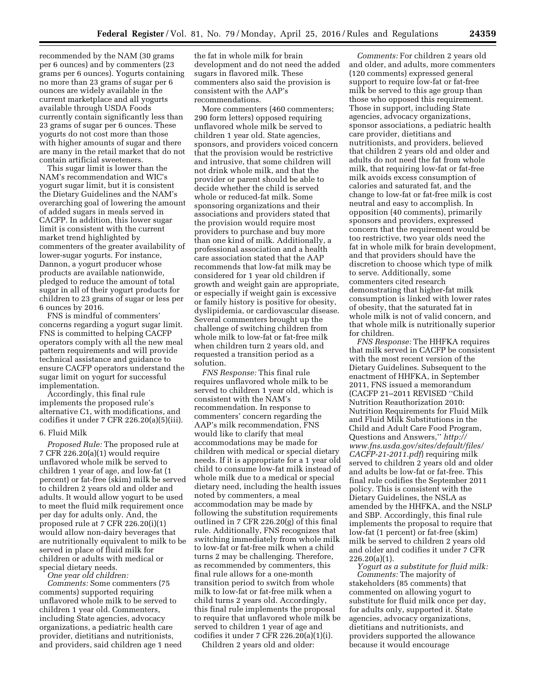recommended by the NAM (30 grams per 6 ounces) and by commenters (23 grams per 6 ounces). Yogurts containing no more than 23 grams of sugar per 6 ounces are widely available in the current marketplace and all yogurts available through USDA Foods currently contain significantly less than 23 grams of sugar per 6 ounces. These yogurts do not cost more than those with higher amounts of sugar and there are many in the retail market that do not contain artificial sweeteners.

This sugar limit is lower than the NAM's recommendation and WIC's yogurt sugar limit, but it is consistent the Dietary Guidelines and the NAM's overarching goal of lowering the amount of added sugars in meals served in CACFP. In addition, this lower sugar limit is consistent with the current market trend highlighted by commenters of the greater availability of lower-sugar yogurts. For instance, Dannon, a yogurt producer whose products are available nationwide, pledged to reduce the amount of total sugar in all of their yogurt products for children to 23 grams of sugar or less per 6 ounces by 2016.

FNS is mindful of commenters' concerns regarding a yogurt sugar limit. FNS is committed to helping CACFP operators comply with all the new meal pattern requirements and will provide technical assistance and guidance to ensure CACFP operators understand the sugar limit on yogurt for successful implementation.

Accordingly, this final rule implements the proposed rule's alternative C1, with modifications, and codifies it under 7 CFR 226.20(a)(5)(iii).

#### 6. Fluid Milk

*Proposed Rule:* The proposed rule at 7 CFR 226.20(a)(1) would require unflavored whole milk be served to children 1 year of age, and low-fat (1 percent) or fat-free (skim) milk be served to children 2 years old and older and adults. It would allow yogurt to be used to meet the fluid milk requirement once per day for adults only. And, the proposed rule at 7 CFR 226.20(i)(1) would allow non-dairy beverages that are nutritionally equivalent to milk to be served in place of fluid milk for children or adults with medical or special dietary needs.

*One year old children: Comments:* Some commenters (75 comments) supported requiring unflavored whole milk to be served to children 1 year old. Commenters,

including State agencies, advocacy organizations, a pediatric health care provider, dietitians and nutritionists, and providers, said children age 1 need the fat in whole milk for brain development and do not need the added sugars in flavored milk. These commenters also said the provision is consistent with the AAP's recommendations.

More commenters (460 commenters; 290 form letters) opposed requiring unflavored whole milk be served to children 1 year old. State agencies, sponsors, and providers voiced concern that the provision would be restrictive and intrusive, that some children will not drink whole milk, and that the provider or parent should be able to decide whether the child is served whole or reduced-fat milk. Some sponsoring organizations and their associations and providers stated that the provision would require most providers to purchase and buy more than one kind of milk. Additionally, a professional association and a health care association stated that the AAP recommends that low-fat milk may be considered for 1 year old children if growth and weight gain are appropriate, or especially if weight gain is excessive or family history is positive for obesity, dyslipidemia, or cardiovascular disease. Several commenters brought up the challenge of switching children from whole milk to low-fat or fat-free milk when children turn 2 years old, and requested a transition period as a solution.

*FNS Response:* This final rule requires unflavored whole milk to be served to children 1 year old, which is consistent with the NAM's recommendation. In response to commenters' concern regarding the AAP's milk recommendation, FNS would like to clarify that meal accommodations may be made for children with medical or special dietary needs. If it is appropriate for a 1 year old child to consume low-fat milk instead of whole milk due to a medical or special dietary need, including the health issues noted by commenters, a meal accommodation may be made by following the substitution requirements outlined in 7 CFR 226.20(g) of this final rule. Additionally, FNS recognizes that switching immediately from whole milk to low-fat or fat-free milk when a child turns 2 may be challenging. Therefore, as recommended by commenters, this final rule allows for a one-month transition period to switch from whole milk to low-fat or fat-free milk when a child turns 2 years old. Accordingly, this final rule implements the proposal to require that unflavored whole milk be served to children 1 year of age and codifies it under 7 CFR 226.20(a)(1)(i).

Children 2 years old and older:

*Comments:* For children 2 years old and older, and adults, more commenters (120 comments) expressed general support to require low-fat or fat-free milk be served to this age group than those who opposed this requirement. Those in support, including State agencies, advocacy organizations, sponsor associations, a pediatric health care provider, dietitians and nutritionists, and providers, believed that children 2 years old and older and adults do not need the fat from whole milk, that requiring low-fat or fat-free milk avoids excess consumption of calories and saturated fat, and the change to low-fat or fat-free milk is cost neutral and easy to accomplish. In opposition (40 comments), primarily sponsors and providers, expressed concern that the requirement would be too restrictive, two year olds need the fat in whole milk for brain development, and that providers should have the discretion to choose which type of milk to serve. Additionally, some commenters cited research demonstrating that higher-fat milk consumption is linked with lower rates of obesity, that the saturated fat in whole milk is not of valid concern, and that whole milk is nutritionally superior for children.

*FNS Response:* The HHFKA requires that milk served in CACFP be consistent with the most recent version of the Dietary Guidelines. Subsequent to the enactment of HHFKA, in September 2011, FNS issued a memorandum (CACFP 21–2011 REVISED ''Child Nutrition Reauthorization 2010: Nutrition Requirements for Fluid Milk and Fluid Milk Substitutions in the Child and Adult Care Food Program, Questions and Answers,'' *[http://](http://www.fns.usda.gov/sites/default/files/CACFP-21-2011.pdf) [www.fns.usda.gov/sites/default/files/](http://www.fns.usda.gov/sites/default/files/CACFP-21-2011.pdf) [CACFP-21-2011.pdf](http://www.fns.usda.gov/sites/default/files/CACFP-21-2011.pdf)*) requiring milk served to children 2 years old and older and adults be low-fat or fat-free. This final rule codifies the September 2011 policy. This is consistent with the Dietary Guidelines, the NSLA as amended by the HHFKA, and the NSLP and SBP. Accordingly, this final rule implements the proposal to require that low-fat (1 percent) or fat-free (skim) milk be served to children 2 years old and older and codifies it under 7 CFR 226.20(a)(1).

*Yogurt as a substitute for fluid milk: Comments:* The majority of stakeholders (85 comments) that commented on allowing yogurt to substitute for fluid milk once per day, for adults only, supported it. State agencies, advocacy organizations, dietitians and nutritionists, and providers supported the allowance because it would encourage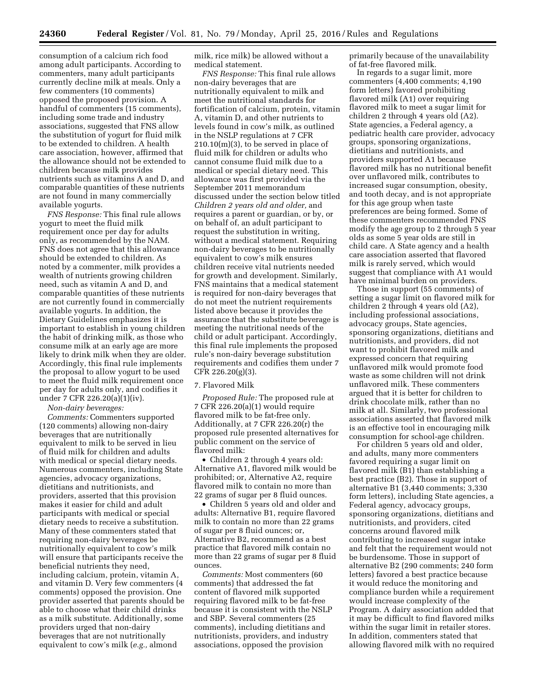consumption of a calcium rich food among adult participants. According to commenters, many adult participants currently decline milk at meals. Only a few commenters (10 comments) opposed the proposed provision. A handful of commenters (15 comments), including some trade and industry associations, suggested that FNS allow the substitution of yogurt for fluid milk to be extended to children. A health care association, however, affirmed that the allowance should not be extended to children because milk provides nutrients such as vitamins A and D, and comparable quantities of these nutrients are not found in many commercially available yogurts.

*FNS Response:* This final rule allows yogurt to meet the fluid milk requirement once per day for adults only, as recommended by the NAM. FNS does not agree that this allowance should be extended to children. As noted by a commenter, milk provides a wealth of nutrients growing children need, such as vitamin A and D, and comparable quantities of these nutrients are not currently found in commercially available yogurts. In addition, the Dietary Guidelines emphasizes it is important to establish in young children the habit of drinking milk, as those who consume milk at an early age are more likely to drink milk when they are older. Accordingly, this final rule implements the proposal to allow yogurt to be used to meet the fluid milk requirement once per day for adults only, and codifies it under 7 CFR 226.20(a)(1)(iv).

*Non-dairy beverages:* 

*Comments:* Commenters supported (120 comments) allowing non-dairy beverages that are nutritionally equivalent to milk to be served in lieu of fluid milk for children and adults with medical or special dietary needs. Numerous commenters, including State agencies, advocacy organizations, dietitians and nutritionists, and providers, asserted that this provision makes it easier for child and adult participants with medical or special dietary needs to receive a substitution. Many of these commenters stated that requiring non-dairy beverages be nutritionally equivalent to cow's milk will ensure that participants receive the beneficial nutrients they need, including calcium, protein, vitamin A, and vitamin D. Very few commenters (4 comments) opposed the provision. One provider asserted that parents should be able to choose what their child drinks as a milk substitute. Additionally, some providers urged that non-dairy beverages that are not nutritionally equivalent to cow's milk (*e.g.,* almond

milk, rice milk) be allowed without a medical statement.

*FNS Response:* This final rule allows non-dairy beverages that are nutritionally equivalent to milk and meet the nutritional standards for fortification of calcium, protein, vitamin A, vitamin D, and other nutrients to levels found in cow's milk, as outlined in the NSLP regulations at 7 CFR  $210.10(m)(3)$ , to be served in place of fluid milk for children or adults who cannot consume fluid milk due to a medical or special dietary need. This allowance was first provided via the September 2011 memorandum discussed under the section below titled *Children 2 years old and older,* and requires a parent or guardian, or by, or on behalf of, an adult participant to request the substitution in writing, without a medical statement. Requiring non-dairy beverages to be nutritionally equivalent to cow's milk ensures children receive vital nutrients needed for growth and development. Similarly, FNS maintains that a medical statement is required for non-dairy beverages that do not meet the nutrient requirements listed above because it provides the assurance that the substitute beverage is meeting the nutritional needs of the child or adult participant. Accordingly, this final rule implements the proposed rule's non-dairy beverage substitution requirements and codifies them under 7 CFR 226.20(g)(3).

#### 7. Flavored Milk

*Proposed Rule:* The proposed rule at 7 CFR 226.20(a)(1) would require flavored milk to be fat-free only. Additionally, at 7 CFR 226.20(r) the proposed rule presented alternatives for public comment on the service of flavored milk:

• Children 2 through 4 years old: Alternative A1, flavored milk would be prohibited; or, Alternative A2, require flavored milk to contain no more than 22 grams of sugar per 8 fluid ounces.

• Children 5 years old and older and adults: Alternative B1, require flavored milk to contain no more than 22 grams of sugar per 8 fluid ounces; or, Alternative B2, recommend as a best practice that flavored milk contain no more than 22 grams of sugar per 8 fluid ounces.

*Comments:* Most commenters (60 comments) that addressed the fat content of flavored milk supported requiring flavored milk to be fat-free because it is consistent with the NSLP and SBP. Several commenters (25 comments), including dietitians and nutritionists, providers, and industry associations, opposed the provision

primarily because of the unavailability of fat-free flavored milk.

In regards to a sugar limit, more commenters (4,400 comments; 4,190 form letters) favored prohibiting flavored milk (A1) over requiring flavored milk to meet a sugar limit for children 2 through 4 years old (A2). State agencies, a Federal agency, a pediatric health care provider, advocacy groups, sponsoring organizations, dietitians and nutritionists, and providers supported A1 because flavored milk has no nutritional benefit over unflavored milk, contributes to increased sugar consumption, obesity, and tooth decay, and is not appropriate for this age group when taste preferences are being formed. Some of these commenters recommended FNS modify the age group to 2 through 5 year olds as some 5 year olds are still in child care. A State agency and a health care association asserted that flavored milk is rarely served, which would suggest that compliance with A1 would have minimal burden on providers.

Those in support (55 comments) of setting a sugar limit on flavored milk for children 2 through 4 years old (A2), including professional associations, advocacy groups, State agencies, sponsoring organizations, dietitians and nutritionists, and providers, did not want to prohibit flavored milk and expressed concern that requiring unflavored milk would promote food waste as some children will not drink unflavored milk. These commenters argued that it is better for children to drink chocolate milk, rather than no milk at all. Similarly, two professional associations asserted that flavored milk is an effective tool in encouraging milk consumption for school-age children.

For children 5 years old and older, and adults, many more commenters favored requiring a sugar limit on flavored milk (B1) than establishing a best practice (B2). Those in support of alternative B1 (3,440 comments; 3,330 form letters), including State agencies, a Federal agency, advocacy groups, sponsoring organizations, dietitians and nutritionists, and providers, cited concerns around flavored milk contributing to increased sugar intake and felt that the requirement would not be burdensome. Those in support of alternative B2 (290 comments; 240 form letters) favored a best practice because it would reduce the monitoring and compliance burden while a requirement would increase complexity of the Program. A dairy association added that it may be difficult to find flavored milks within the sugar limit in retailer stores. In addition, commenters stated that allowing flavored milk with no required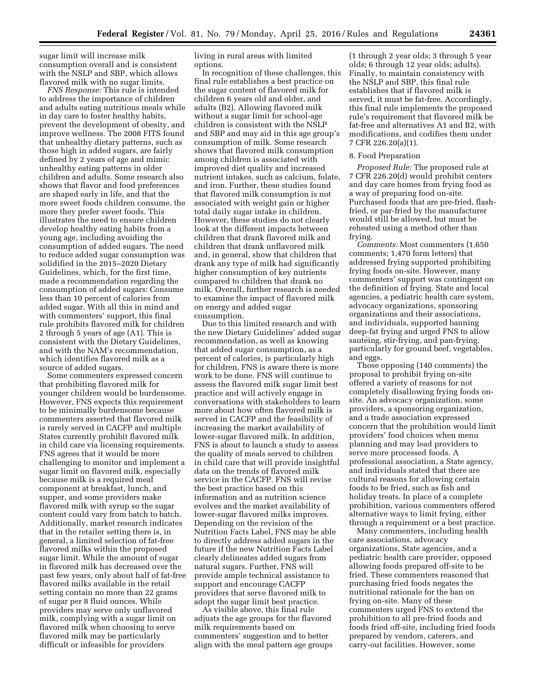sugar limit will increase milk consumption overall and is consistent with the NSLP and SBP, which allows flavored milk with no sugar limits.

*FNS Response:* This rule is intended to address the importance of children and adults eating nutritious meals while in day care to foster healthy habits, prevent the development of obesity, and improve wellness. The 2008 FITS found that unhealthy dietary patterns, such as those high in added sugars, are fairly defined by 2 years of age and mimic unhealthy eating patterns in older children and adults. Some research also shows that flavor and food preferences are shaped early in life, and that the more sweet foods children consume, the more they prefer sweet foods. This illustrates the need to ensure children develop healthy eating habits from a young age, including avoiding the consumption of added sugars. The need to reduce added sugar consumption was solidified in the 2015–2020 Dietary Guidelines, which, for the first time, made a recommendation regarding the consumption of added sugars: Consume less than 10 percent of calories from added sugar. With all this in mind and with commenters' support, this final rule prohibits flavored milk for children 2 through 5 years of age (A1). This is consistent with the Dietary Guidelines, and with the NAM's recommendation, which identifies flavored milk as a source of added sugars.

Some commenters expressed concern that prohibiting flavored milk for younger children would be burdensome. However, FNS expects this requirement to be minimally burdensome because commenters asserted that flavored milk is rarely served in CACFP and multiple States currently prohibit flavored milk in child care via licensing requirements. FNS agrees that it would be more challenging to monitor and implement a sugar limit on flavored milk, especially because milk is a required meal component at breakfast, lunch, and supper, and some providers make flavored milk with syrup so the sugar content could vary from batch to batch. Additionally, market research indicates that in the retailer setting there is, in general, a limited selection of fat-free flavored milks within the proposed sugar limit. While the amount of sugar in flavored milk has decreased over the past few years, only about half of fat-free flavored milks available in the retail setting contain no more than 22 grams of sugar per 8 fluid ounces. While providers may serve only unflavored milk, complying with a sugar limit on flavored milk when choosing to serve flavored milk may be particularly difficult or infeasible for providers

living in rural areas with limited options.

In recognition of these challenges, this final rule establishes a best practice on the sugar content of flavored milk for children 6 years old and older, and adults (B2). Allowing flavored milk without a sugar limit for school-age children is consistent with the NSLP and SBP and may aid in this age group's consumption of milk. Some research shows that flavored milk consumption among children is associated with improved diet quality and increased nutrient intakes, such as calcium, folate, and iron. Further, these studies found that flavored milk consumption is not associated with weight gain or higher total daily sugar intake in children. However, these studies do not clearly look at the different impacts between children that drank flavored milk and children that drank unflavored milk and, in general, show that children that drank any type of milk had significantly higher consumption of key nutrients compared to children that drank no milk. Overall, further research is needed to examine the impact of flavored milk on energy and added sugar consumption.

Due to this limited research and with the new Dietary Guidelines' added sugar recommendation, as well as knowing that added sugar consumption, as a percent of calories, is particularly high for children, FNS is aware there is more work to be done. FNS will continue to assess the flavored milk sugar limit best practice and will actively engage in conversations with stakeholders to learn more about how often flavored milk is served in CACFP and the feasibility of increasing the market availability of lower-sugar flavored milk. In addition, FNS is about to launch a study to assess the quality of meals served to children in child care that will provide insightful data on the trends of flavored milk service in the CACFP. FNS will revise the best practice based on this information and as nutrition science evolves and the market availability of lower-sugar flavored milks improves. Depending on the revision of the Nutrition Facts Label, FNS may be able to directly address added sugars in the future if the new Nutrition Facts Label clearly delineates added sugars from natural sugars. Further, FNS will provide ample technical assistance to support and encourage CACFP providers that serve flavored milk to adopt the sugar limit best practice.

As visible above, this final rule adjusts the age groups for the flavored milk requirements based on commenters' suggestion and to better align with the meal pattern age groups

(1 through 2 year olds; 3 through 5 year olds; 6 through 12 year olds; adults). Finally, to maintain consistency with the NSLP and SBP, this final rule establishes that if flavored milk is served, it must be fat-free. Accordingly, this final rule implements the proposed rule's requirement that flavored milk be fat-free and alternatives A1 and B2, with modifications, and codifies them under 7 CFR 226.20(a)(1).

#### 8. Food Preparation

*Proposed Rule:* The proposed rule at 7 CFR 226.20(d) would prohibit centers and day care homes from frying food as a way of preparing food on-site. Purchased foods that are pre-fried, flashfried, or par-fried by the manufacturer would still be allowed, but must be reheated using a method other than frying.

*Comments:* Most commenters (1,650 comments; 1,470 form letters) that addressed frying supported prohibiting frying foods on-site. However, many commenters' support was contingent on the definition of frying. State and local agencies, a pediatric health care system, advocacy organizations, sponsoring organizations and their associations, and individuals, supported banning deep-fat frying and urged FNS to allow sautéing, stir-frying, and pan-frying, particularly for ground beef, vegetables, and eggs.

Those opposing (140 comments) the proposal to prohibit frying on-site offered a variety of reasons for not completely disallowing frying foods onsite. An advocacy organization, some providers, a sponsoring organization, and a trade association expressed concern that the prohibition would limit providers' food choices when menu planning and may lead providers to serve more processed foods. A professional association, a State agency, and individuals stated that there are cultural reasons for allowing certain foods to be fried, such as fish and holiday treats. In place of a complete prohibition, various commenters offered alternative ways to limit frying, either through a requirement or a best practice.

Many commenters, including health care associations, advocacy organizations, State agencies, and a pediatric health care provider, opposed allowing foods prepared off-site to be fried. These commenters reasoned that purchasing fried foods negates the nutritional rationale for the ban on frying on-site. Many of these commenters urged FNS to extend the prohibition to all pre-fried foods and foods fried off-site, including fried foods prepared by vendors, caterers, and carry-out facilities. However, some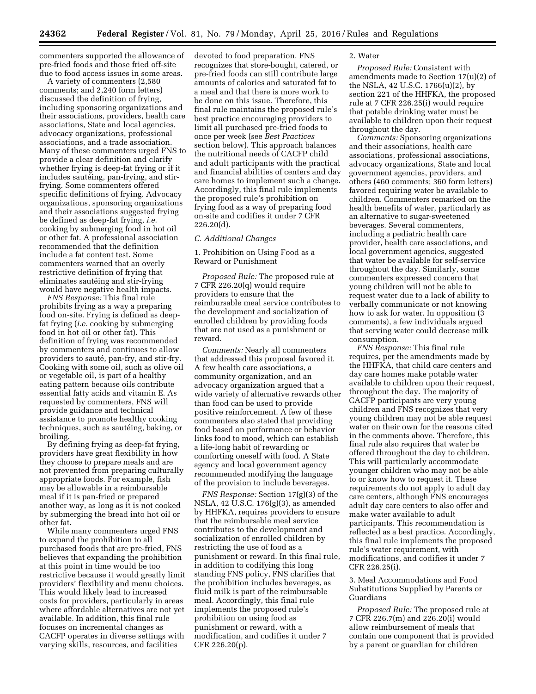commenters supported the allowance of pre-fried foods and those fried off-site due to food access issues in some areas.

A variety of commenters (2,580 comments; and 2,240 form letters) discussed the definition of frying, including sponsoring organizations and their associations, providers, health care associations, State and local agencies, advocacy organizations, professional associations, and a trade association. Many of these commenters urged FNS to provide a clear definition and clarify whether frying is deep-fat frying or if it includes sautéing, pan-frying, and stirfrying. Some commenters offered specific definitions of frying. Advocacy organizations, sponsoring organizations and their associations suggested frying be defined as deep-fat frying, *i.e.*  cooking by submerging food in hot oil or other fat. A professional association recommended that the definition include a fat content test. Some commenters warned that an overly restrictive definition of frying that eliminates sautéing and stir-frying would have negative health impacts.

*FNS Response:* This final rule prohibits frying as a way a preparing food on-site. Frying is defined as deepfat frying (*i.e.* cooking by submerging food in hot oil or other fat). This definition of frying was recommended by commenters and continues to allow providers to sauté, pan-fry, and stir-fry. Cooking with some oil, such as olive oil or vegetable oil, is part of a healthy eating pattern because oils contribute essential fatty acids and vitamin E. As requested by commenters, FNS will provide guidance and technical assistance to promote healthy cooking techniques, such as sautéing, baking, or broiling.

By defining frying as deep-fat frying, providers have great flexibility in how they choose to prepare meals and are not prevented from preparing culturally appropriate foods. For example, fish may be allowable in a reimbursable meal if it is pan-fried or prepared another way, as long as it is not cooked by submerging the bread into hot oil or other fat.

While many commenters urged FNS to expand the prohibition to all purchased foods that are pre-fried, FNS believes that expanding the prohibition at this point in time would be too restrictive because it would greatly limit providers' flexibility and menu choices. This would likely lead to increased costs for providers, particularly in areas where affordable alternatives are not yet available. In addition, this final rule focuses on incremental changes as CACFP operates in diverse settings with varying skills, resources, and facilities

devoted to food preparation. FNS recognizes that store-bought, catered, or pre-fried foods can still contribute large amounts of calories and saturated fat to a meal and that there is more work to be done on this issue. Therefore, this final rule maintains the proposed rule's best practice encouraging providers to limit all purchased pre-fried foods to once per week (see *Best Practices*  section below). This approach balances the nutritional needs of CACFP child and adult participants with the practical and financial abilities of centers and day care homes to implement such a change. Accordingly, this final rule implements the proposed rule's prohibition on frying food as a way of preparing food on-site and codifies it under 7 CFR 226.20(d).

#### *C. Additional Changes*

1. Prohibition on Using Food as a Reward or Punishment

*Proposed Rule:* The proposed rule at 7 CFR 226.20(q) would require providers to ensure that the reimbursable meal service contributes to the development and socialization of enrolled children by providing foods that are not used as a punishment or reward.

*Comments:* Nearly all commenters that addressed this proposal favored it. A few health care associations, a community organization, and an advocacy organization argued that a wide variety of alternative rewards other than food can be used to provide positive reinforcement. A few of these commenters also stated that providing food based on performance or behavior links food to mood, which can establish a life-long habit of rewarding or comforting oneself with food. A State agency and local government agency recommended modifying the language of the provision to include beverages.

*FNS Response:* Section 17(g)(3) of the NSLA, 42 U.S.C. 176(g)(3), as amended by HHFKA, requires providers to ensure that the reimbursable meal service contributes to the development and socialization of enrolled children by restricting the use of food as a punishment or reward. In this final rule, in addition to codifying this long standing FNS policy, FNS clarifies that the prohibition includes beverages, as fluid milk is part of the reimbursable meal. Accordingly, this final rule implements the proposed rule's prohibition on using food as punishment or reward, with a modification, and codifies it under 7 CFR 226.20(p).

#### 2. Water

*Proposed Rule:* Consistent with amendments made to Section 17(u)(2) of the NSLA, 42 U.S.C. 1766(u)(2), by section 221 of the HHFKA, the proposed rule at 7 CFR 226.25(i) would require that potable drinking water must be available to children upon their request throughout the day.

*Comments:* Sponsoring organizations and their associations, health care associations, professional associations, advocacy organizations, State and local government agencies, providers, and others (460 comments; 360 form letters) favored requiring water be available to children. Commenters remarked on the health benefits of water, particularly as an alternative to sugar-sweetened beverages. Several commenters, including a pediatric health care provider, health care associations, and local government agencies, suggested that water be available for self-service throughout the day. Similarly, some commenters expressed concern that young children will not be able to request water due to a lack of ability to verbally communicate or not knowing how to ask for water. In opposition (3 comments), a few individuals argued that serving water could decrease milk consumption.

*FNS Response:* This final rule requires, per the amendments made by the HHFKA, that child care centers and day care homes make potable water available to children upon their request, throughout the day. The majority of CACFP participants are very young children and FNS recognizes that very young children may not be able request water on their own for the reasons cited in the comments above. Therefore, this final rule also requires that water be offered throughout the day to children. This will particularly accommodate younger children who may not be able to or know how to request it. These requirements do not apply to adult day care centers, although FNS encourages adult day care centers to also offer and make water available to adult participants. This recommendation is reflected as a best practice. Accordingly, this final rule implements the proposed rule's water requirement, with modifications, and codifies it under 7 CFR 226.25(i).

3. Meal Accommodations and Food Substitutions Supplied by Parents or Guardians

*Proposed Rule:* The proposed rule at 7 CFR 226.7(m) and 226.20(i) would allow reimbursement of meals that contain one component that is provided by a parent or guardian for children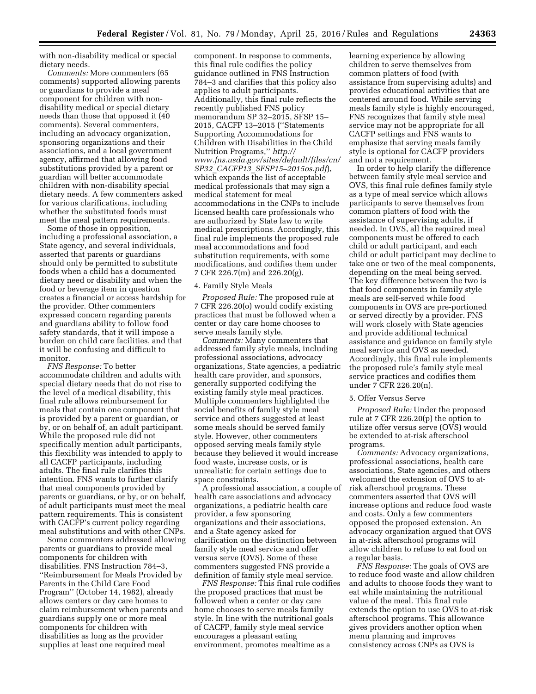with non-disability medical or special dietary needs.

*Comments:* More commenters (65 comments) supported allowing parents or guardians to provide a meal component for children with nondisability medical or special dietary needs than those that opposed it (40 comments). Several commenters, including an advocacy organization, sponsoring organizations and their associations, and a local government agency, affirmed that allowing food substitutions provided by a parent or guardian will better accommodate children with non-disability special dietary needs. A few commenters asked for various clarifications, including whether the substituted foods must meet the meal pattern requirements.

Some of those in opposition, including a professional association, a State agency, and several individuals, asserted that parents or guardians should only be permitted to substitute foods when a child has a documented dietary need or disability and when the food or beverage item in question creates a financial or access hardship for the provider. Other commenters expressed concern regarding parents and guardians ability to follow food safety standards, that it will impose a burden on child care facilities, and that it will be confusing and difficult to monitor.

*FNS Response:* To better accommodate children and adults with special dietary needs that do not rise to the level of a medical disability, this final rule allows reimbursement for meals that contain one component that is provided by a parent or guardian, or by, or on behalf of, an adult participant. While the proposed rule did not specifically mention adult participants, this flexibility was intended to apply to all CACFP participants, including adults. The final rule clarifies this intention. FNS wants to further clarify that meal components provided by parents or guardians, or by, or on behalf, of adult participants must meet the meal pattern requirements. This is consistent with CACFP's current policy regarding meal substitutions and with other CNPs.

Some commenters addressed allowing parents or guardians to provide meal components for children with disabilities. FNS Instruction 784–3, ''Reimbursement for Meals Provided by Parents in the Child Care Food Program'' (October 14, 1982), already allows centers or day care homes to claim reimbursement when parents and guardians supply one or more meal components for children with disabilities as long as the provider supplies at least one required meal

component. In response to comments, this final rule codifies the policy guidance outlined in FNS Instruction 784–3 and clarifies that this policy also applies to adult participants. Additionally, this final rule reflects the recently published FNS policy memorandum SP 32–2015, SFSP 15– 2015, CACFP 13–2015 (''Statements Supporting Accommodations for Children with Disabilities in the Child Nutrition Programs,'' *[http://](http://www.fns.usda.gov/sites/default/files/cn/SP32_CACFP13_SFSP15-2015os.pdf) [www.fns.usda.gov/sites/default/files/cn/](http://www.fns.usda.gov/sites/default/files/cn/SP32_CACFP13_SFSP15-2015os.pdf) SP32*\_*CACFP13*\_*[SFSP15–2015os.pdf](http://www.fns.usda.gov/sites/default/files/cn/SP32_CACFP13_SFSP15-2015os.pdf)*), which expands the list of acceptable medical professionals that may sign a medical statement for meal accommodations in the CNPs to include licensed health care professionals who are authorized by State law to write medical prescriptions. Accordingly, this final rule implements the proposed rule meal accommodations and food substitution requirements, with some modifications, and codifies them under 7 CFR 226.7(m) and 226.20(g).

#### 4. Family Style Meals

*Proposed Rule:* The proposed rule at 7 CFR 226.20(o) would codify existing practices that must be followed when a center or day care home chooses to serve meals family style.

*Comments:* Many commenters that addressed family style meals, including professional associations, advocacy organizations, State agencies, a pediatric health care provider, and sponsors, generally supported codifying the existing family style meal practices. Multiple commenters highlighted the social benefits of family style meal service and others suggested at least some meals should be served family style. However, other commenters opposed serving meals family style because they believed it would increase food waste, increase costs, or is unrealistic for certain settings due to space constraints.

A professional association, a couple of health care associations and advocacy organizations, a pediatric health care provider, a few sponsoring organizations and their associations, and a State agency asked for clarification on the distinction between family style meal service and offer versus serve (OVS). Some of these commenters suggested FNS provide a definition of family style meal service.

*FNS Response:* This final rule codifies the proposed practices that must be followed when a center or day care home chooses to serve meals family style. In line with the nutritional goals of CACFP, family style meal service encourages a pleasant eating environment, promotes mealtime as a

learning experience by allowing children to serve themselves from common platters of food (with assistance from supervising adults) and provides educational activities that are centered around food. While serving meals family style is highly encouraged, FNS recognizes that family style meal service may not be appropriate for all CACFP settings and FNS wants to emphasize that serving meals family style is optional for CACFP providers and not a requirement.

In order to help clarify the difference between family style meal service and OVS, this final rule defines family style as a type of meal service which allows participants to serve themselves from common platters of food with the assistance of supervising adults, if needed. In OVS, all the required meal components must be offered to each child or adult participant, and each child or adult participant may decline to take one or two of the meal components, depending on the meal being served. The key difference between the two is that food components in family style meals are self-served while food components in OVS are pre-portioned or served directly by a provider. FNS will work closely with State agencies and provide additional technical assistance and guidance on family style meal service and OVS as needed. Accordingly, this final rule implements the proposed rule's family style meal service practices and codifies them under 7 CFR 226.20(n).

#### 5. Offer Versus Serve

*Proposed Rule:* Under the proposed rule at 7 CFR 226.20(p) the option to utilize offer versus serve (OVS) would be extended to at-risk afterschool programs.

*Comments:* Advocacy organizations, professional associations, health care associations, State agencies, and others welcomed the extension of OVS to atrisk afterschool programs. These commenters asserted that OVS will increase options and reduce food waste and costs. Only a few commenters opposed the proposed extension. An advocacy organization argued that OVS in at-risk afterschool programs will allow children to refuse to eat food on a regular basis.

*FNS Response:* The goals of OVS are to reduce food waste and allow children and adults to choose foods they want to eat while maintaining the nutritional value of the meal. This final rule extends the option to use OVS to at-risk afterschool programs. This allowance gives providers another option when menu planning and improves consistency across CNPs as OVS is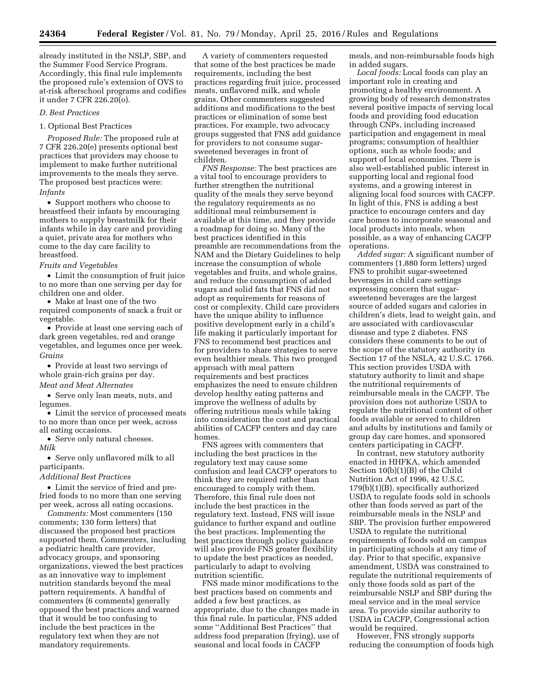already instituted in the NSLP, SBP, and the Summer Food Service Program. Accordingly, this final rule implements the proposed rule's extension of OVS to at-risk afterschool programs and codifies it under 7 CFR 226.20(o).

#### *D. Best Practices*

#### 1. Optional Best Practices

*Proposed Rule:* The proposed rule at 7 CFR 226.20(e) presents optional best practices that providers may choose to implement to make further nutritional improvements to the meals they serve. The proposed best practices were: *Infants* 

• Support mothers who choose to breastfeed their infants by encouraging mothers to supply breastmilk for their infants while in day care and providing a quiet, private area for mothers who come to the day care facility to breastfeed.

#### *Fruits and Vegetables*

• Limit the consumption of fruit juice to no more than one serving per day for children one and older.

• Make at least one of the two required components of snack a fruit or vegetable.

• Provide at least one serving each of dark green vegetables, red and orange vegetables, and legumes once per week. *Grains* 

• Provide at least two servings of whole grain-rich grains per day. *Meat and Meat Alternates* 

• Serve only lean meats, nuts, and legumes.

• Limit the service of processed meats to no more than once per week, across all eating occasions.

• Serve only natural cheeses. *Milk* 

• Serve only unflavored milk to all participants.

#### *Additional Best Practices*

• Limit the service of fried and prefried foods to no more than one serving per week, across all eating occasions.

*Comments:* Most commenters (150 comments; 130 form letters) that discussed the proposed best practices supported them. Commenters, including a pediatric health care provider, advocacy groups, and sponsoring organizations, viewed the best practices as an innovative way to implement nutrition standards beyond the meal pattern requirements. A handful of commenters (6 comments) generally opposed the best practices and warned that it would be too confusing to include the best practices in the regulatory text when they are not mandatory requirements.

A variety of commenters requested that some of the best practices be made requirements, including the best practices regarding fruit juice, processed meats, unflavored milk, and whole grains. Other commenters suggested additions and modifications to the best practices or elimination of some best practices. For example, two advocacy groups suggested that FNS add guidance for providers to not consume sugarsweetened beverages in front of children.

*FNS Response:* The best practices are a vital tool to encourage providers to further strengthen the nutritional quality of the meals they serve beyond the regulatory requirements as no additional meal reimbursement is available at this time, and they provide a roadmap for doing so. Many of the best practices identified in this preamble are recommendations from the NAM and the Dietary Guidelines to help increase the consumption of whole vegetables and fruits, and whole grains, and reduce the consumption of added sugars and solid fats that FNS did not adopt as requirements for reasons of cost or complexity. Child care providers have the unique ability to influence positive development early in a child's life making it particularly important for FNS to recommend best practices and for providers to share strategies to serve even healthier meals. This two pronged approach with meal pattern requirements and best practices emphasizes the need to ensure children develop healthy eating patterns and improve the wellness of adults by offering nutritious meals while taking into consideration the cost and practical abilities of CACFP centers and day care homes.

FNS agrees with commenters that including the best practices in the regulatory text may cause some confusion and lead CACFP operators to think they are required rather than encouraged to comply with them. Therefore, this final rule does not include the best practices in the regulatory text. Instead, FNS will issue guidance to further expand and outline the best practices. Implementing the best practices through policy guidance will also provide FNS greater flexibility to update the best practices as needed, particularly to adapt to evolving nutrition scientific.

FNS made minor modifications to the best practices based on comments and added a few best practices, as appropriate, due to the changes made in this final rule. In particular, FNS added some ''Additional Best Practices'' that address food preparation (frying), use of seasonal and local foods in CACFP

meals, and non-reimbursable foods high in added sugars.

*Local foods:* Local foods can play an important role in creating and promoting a healthy environment. A growing body of research demonstrates several positive impacts of serving local foods and providing food education through CNPs, including increased participation and engagement in meal programs; consumption of healthier options, such as whole foods; and support of local economies. There is also well-established public interest in supporting local and regional food systems, and a growing interest in aligning local food sources with CACFP. In light of this, FNS is adding a best practice to encourage centers and day care homes to incorporate seasonal and local products into meals, when possible, as a way of enhancing CACFP operations.

*Added sugar:* A significant number of commenters (1,880 form letters) urged FNS to prohibit sugar-sweetened beverages in child care settings expressing concern that sugarsweetened beverages are the largest source of added sugars and calories in children's diets, lead to weight gain, and are associated with cardiovascular disease and type 2 diabetes. FNS considers these comments to be out of the scope of the statutory authority in Section 17 of the NSLA, 42 U.S.C. 1766. This section provides USDA with statutory authority to limit and shape the nutritional requirements of reimbursable meals in the CACFP. The provision does not authorize USDA to regulate the nutritional content of other foods available or served to children and adults by institutions and family or group day care homes, and sponsored centers participating in CACFP.

In contrast, new statutory authority enacted in HHFKA, which amended Section 10(b)(1)(B) of the Child Nutrition Act of 1996, 42 U.S.C. 179(b)(1)(B), specifically authorized USDA to regulate foods sold in schools other than foods served as part of the reimbursable meals in the NSLP and SBP. The provision further empowered USDA to regulate the nutritional requirements of foods sold on campus in participating schools at any time of day. Prior to that specific, expansive amendment, USDA was constrained to regulate the nutritional requirements of only those foods sold as part of the reimbursable NSLP and SBP during the meal service and in the meal service area. To provide similar authority to USDA in CACFP, Congressional action would be required.

However, FNS strongly supports reducing the consumption of foods high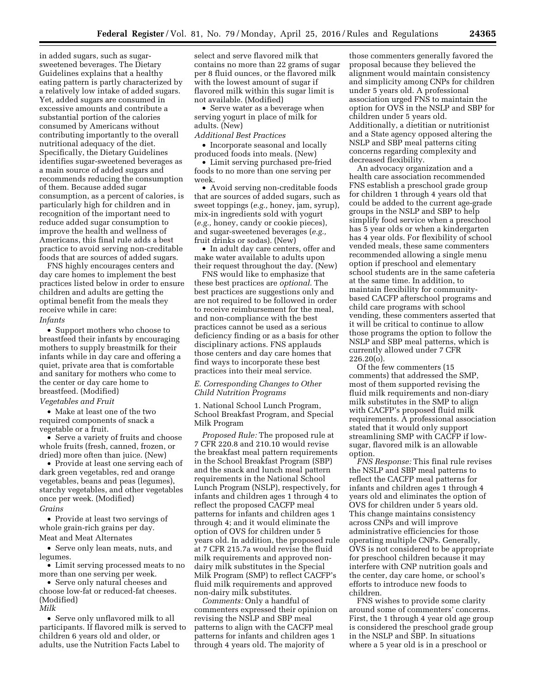in added sugars, such as sugarsweetened beverages. The Dietary Guidelines explains that a healthy eating pattern is partly characterized by a relatively low intake of added sugars. Yet, added sugars are consumed in excessive amounts and contribute a substantial portion of the calories consumed by Americans without contributing importantly to the overall nutritional adequacy of the diet. Specifically, the Dietary Guidelines identifies sugar-sweetened beverages as a main source of added sugars and recommends reducing the consumption of them. Because added sugar consumption, as a percent of calories, is particularly high for children and in recognition of the important need to reduce added sugar consumption to improve the health and wellness of Americans, this final rule adds a best practice to avoid serving non-creditable foods that are sources of added sugars.

FNS highly encourages centers and day care homes to implement the best practices listed below in order to ensure children and adults are getting the optimal benefit from the meals they receive while in care:

#### *Infants*

• Support mothers who choose to breastfeed their infants by encouraging mothers to supply breastmilk for their infants while in day care and offering a quiet, private area that is comfortable and sanitary for mothers who come to the center or day care home to breastfeed. (Modified) *Vegetables and Fruit* 

• Make at least one of the two required components of snack a vegetable or a fruit.

• Serve a variety of fruits and choose whole fruits (fresh, canned, frozen, or dried) more often than juice. (New)

• Provide at least one serving each of dark green vegetables, red and orange vegetables, beans and peas (legumes), starchy vegetables, and other vegetables once per week. (Modified) *Grains* 

• Provide at least two servings of whole grain-rich grains per day. Meat and Meat Alternates

• Serve only lean meats, nuts, and legumes.

• Limit serving processed meats to no more than one serving per week.

• Serve only natural cheeses and choose low-fat or reduced-fat cheeses. (Modified) *Milk* 

• Serve only unflavored milk to all participants. If flavored milk is served to children 6 years old and older, or adults, use the Nutrition Facts Label to

select and serve flavored milk that contains no more than 22 grams of sugar per 8 fluid ounces, or the flavored milk with the lowest amount of sugar if flavored milk within this sugar limit is not available. (Modified)

• Serve water as a beverage when serving yogurt in place of milk for adults. (New)

#### *Additional Best Practices*

• Incorporate seasonal and locally produced foods into meals. (New)

• Limit serving purchased pre-fried foods to no more than one serving per week.

• Avoid serving non-creditable foods that are sources of added sugars, such as sweet toppings (*e.g.,* honey, jam, syrup), mix-in ingredients sold with yogurt (*e.g.,* honey, candy or cookie pieces), and sugar-sweetened beverages (*e.g.,*  fruit drinks or sodas). (New)

• In adult day care centers, offer and make water available to adults upon their request throughout the day. (New)

FNS would like to emphasize that these best practices are *optional.* The best practices are suggestions only and are not required to be followed in order to receive reimbursement for the meal, and non-compliance with the best practices cannot be used as a serious deficiency finding or as a basis for other disciplinary actions. FNS applauds those centers and day care homes that find ways to incorporate these best practices into their meal service.

#### *E. Corresponding Changes to Other Child Nutrition Programs*

1. National School Lunch Program, School Breakfast Program, and Special Milk Program

*Proposed Rule:* The proposed rule at 7 CFR 220.8 and 210.10 would revise the breakfast meal pattern requirements in the School Breakfast Program (SBP) and the snack and lunch meal pattern requirements in the National School Lunch Program (NSLP), respectively, for infants and children ages 1 through 4 to reflect the proposed CACFP meal patterns for infants and children ages 1 through 4; and it would eliminate the option of OVS for children under 5 years old. In addition, the proposed rule at 7 CFR 215.7a would revise the fluid milk requirements and approved nondairy milk substitutes in the Special Milk Program (SMP) to reflect CACFP's fluid milk requirements and approved non-dairy milk substitutes.

*Comments:* Only a handful of commenters expressed their opinion on revising the NSLP and SBP meal patterns to align with the CACFP meal patterns for infants and children ages 1 through 4 years old. The majority of

those commenters generally favored the proposal because they believed the alignment would maintain consistency and simplicity among CNPs for children under 5 years old. A professional association urged FNS to maintain the option for OVS in the NSLP and SBP for children under 5 years old. Additionally, a dietitian or nutritionist and a State agency opposed altering the NSLP and SBP meal patterns citing concerns regarding complexity and decreased flexibility.

An advocacy organization and a health care association recommended FNS establish a preschool grade group for children 1 through 4 years old that could be added to the current age-grade groups in the NSLP and SBP to help simplify food service when a preschool has 5 year olds or when a kindergarten has 4 year olds. For flexibility of school vended meals, these same commenters recommended allowing a single menu option if preschool and elementary school students are in the same cafeteria at the same time. In addition, to maintain flexibility for communitybased CACFP afterschool programs and child care programs with school vending, these commenters asserted that it will be critical to continue to allow those programs the option to follow the NSLP and SBP meal patterns, which is currently allowed under 7 CFR 226.20(o).

Of the few commenters (15 comments) that addressed the SMP, most of them supported revising the fluid milk requirements and non-diary milk substitutes in the SMP to align with CACFP's proposed fluid milk requirements. A professional association stated that it would only support streamlining SMP with CACFP if lowsugar, flavored milk is an allowable option.

*FNS Response:* This final rule revises the NSLP and SBP meal patterns to reflect the CACFP meal patterns for infants and children ages 1 through 4 years old and eliminates the option of OVS for children under 5 years old. This change maintains consistency across CNPs and will improve administrative efficiencies for those operating multiple CNPs. Generally, OVS is not considered to be appropriate for preschool children because it may interfere with CNP nutrition goals and the center, day care home, or school's efforts to introduce new foods to children.

FNS wishes to provide some clarity around some of commenters' concerns. First, the 1 through 4 year old age group is considered the preschool grade group in the NSLP and SBP. In situations where a 5 year old is in a preschool or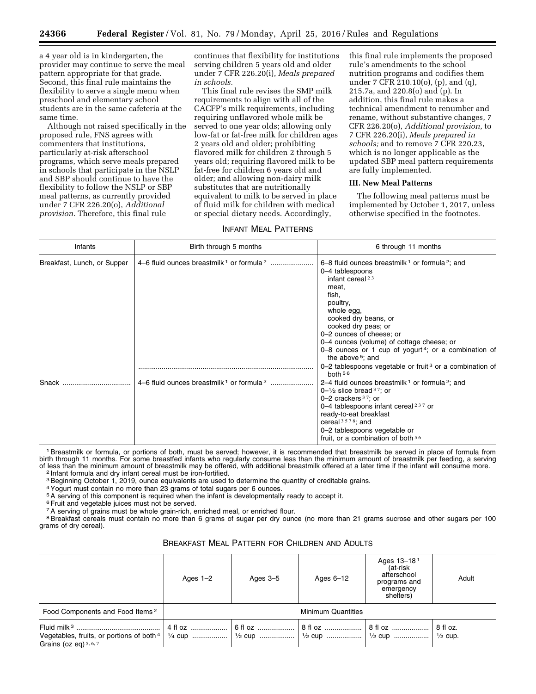a 4 year old is in kindergarten, the provider may continue to serve the meal pattern appropriate for that grade. Second, this final rule maintains the flexibility to serve a single menu when preschool and elementary school students are in the same cafeteria at the same time.

Although not raised specifically in the proposed rule, FNS agrees with commenters that institutions, particularly at-risk afterschool programs, which serve meals prepared in schools that participate in the NSLP and SBP should continue to have the flexibility to follow the NSLP or SBP meal patterns, as currently provided under 7 CFR 226.20(o), *Additional provision.* Therefore, this final rule

continues that flexibility for institutions serving children 5 years old and older under 7 CFR 226.20(i), *Meals prepared in schools.* 

This final rule revises the SMP milk requirements to align with all of the CACFP's milk requirements, including requiring unflavored whole milk be served to one year olds; allowing only low-fat or fat-free milk for children ages 2 years old and older; prohibiting flavored milk for children 2 through 5 years old; requiring flavored milk to be fat-free for children 6 years old and older; and allowing non-dairy milk substitutes that are nutritionally equivalent to milk to be served in place of fluid milk for children with medical or special dietary needs. Accordingly,

#### INFANT MEAL PATTERNS

this final rule implements the proposed rule's amendments to the school nutrition programs and codifies them under 7 CFR 210.10(o), (p), and (q), 215.7a, and 220.8(o) and (p). In addition, this final rule makes a technical amendment to renumber and rename, without substantive changes, 7 CFR 226.20(o), *Additional provision,* to 7 CFR 226.20(i), *Meals prepared in schools;* and to remove 7 CFR 220.23, which is no longer applicable as the updated SBP meal pattern requirements are fully implemented.

#### **III. New Meal Patterns**

The following meal patterns must be implemented by October 1, 2017, unless otherwise specified in the footnotes.

| Infants                     | Birth through 5 months | 6 through 11 months                                                                                                                                                                                                                                                                                                                                                                                                                                                         |
|-----------------------------|------------------------|-----------------------------------------------------------------------------------------------------------------------------------------------------------------------------------------------------------------------------------------------------------------------------------------------------------------------------------------------------------------------------------------------------------------------------------------------------------------------------|
| Breakfast, Lunch, or Supper |                        | 6–8 fluid ounces breastmilk <sup>1</sup> or formula <sup>2</sup> ; and<br>0-4 tablespoons<br>infant cereal <sup>23</sup><br>meat.<br>fish.<br>poultry,<br>whole egg,<br>cooked dry beans, or<br>cooked dry peas; or<br>0-2 ounces of cheese; or<br>0–4 ounces (volume) of cottage cheese; or<br>0-8 ounces or 1 cup of yogurt <sup>4</sup> ; or a combination of<br>the above $5$ : and<br>0-2 tablespoons vegetable or fruit <sup>3</sup> or a combination of<br>both $56$ |
| Snack                       |                        | 2–4 fluid ounces breastmilk <sup>1</sup> or formula <sup>2</sup> ; and<br>$0-1/2$ slice bread 37; or<br>0 $-2$ crackers $37$ ; or<br>0–4 tablespoons infant cereal $237$ or<br>ready-to-eat breakfast<br>cereal $3578$ ; and<br>0-2 tablespoons vegetable or<br>fruit, or a combination of both 56                                                                                                                                                                          |

<sup>1</sup> Breastmilk or formula, or portions of both, must be served; however, it is recommended that breastmilk be served in place of formula from birth through 11 months. For some breastfed infants who regularly consume less than the minimum amount of breastmilk per feeding, a serving of less than the minimum amount of breastmilk may be offered, with additional breastmilk offered at a later time if the infant will consume more.<br><sup>2</sup> Infant formula and dry infant cereal must be iron-fortified.

<sup>3</sup> Beginning October 1, 2019, ounce equivalents are used to determine the quantity of creditable grains.

4Yogurt must contain no more than 23 grams of total sugars per 6 ounces.

5A serving of this component is required when the infant is developmentally ready to accept it.

<sup>6</sup> Fruit and vegetable juices must not be served.

<sup>7</sup>A serving of grains must be whole grain-rich, enriched meal, or enriched flour.

<sup>8</sup> Breakfast cereals must contain no more than 6 grams of sugar per dry ounce (no more than 21 grams sucrose and other sugars per 100 grams of dry cereal).

BREAKFAST MEAL PATTERN FOR CHILDREN AND ADULTS

|                                             | Ages $1-2$                | Ages $3-5$ | Ages $6-12$                                                         | Ages 13-18 <sup>1</sup><br>(at-risk<br>afterschool<br>programs and<br>emergency<br>shelters) | Adult                          |
|---------------------------------------------|---------------------------|------------|---------------------------------------------------------------------|----------------------------------------------------------------------------------------------|--------------------------------|
| Food Components and Food Items <sup>2</sup> | <b>Minimum Quantities</b> |            |                                                                     |                                                                                              |                                |
| Grains (oz eq) $5, 6, 7$                    |                           |            | $\mid$ 6 fl oz ………………… $\mid$ 8 fl oz ………………… $\mid$ 8 fl oz ……………… |                                                                                              | 8 fl oz.<br>$\frac{1}{2}$ cup. |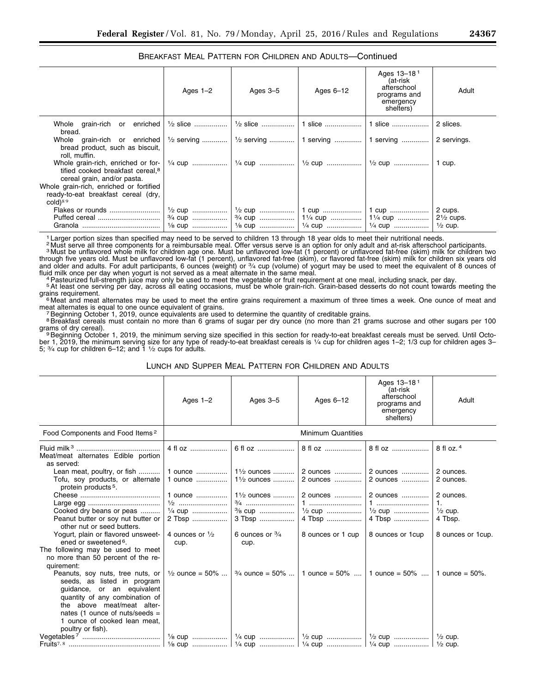#### BREAKFAST MEAL PATTERN FOR CHILDREN AND ADULTS—Continued

|                                                                                                                                           | Ages $1-2$ | Ages $3-5$ | Ages $6-12$ | Ages 13-18 <sup>1</sup><br>(at-risk<br>afterschool<br>programs and<br>emergency<br>shelters) | Adult                |
|-------------------------------------------------------------------------------------------------------------------------------------------|------------|------------|-------------|----------------------------------------------------------------------------------------------|----------------------|
| Whole grain-rich or enriched<br>bread.                                                                                                    |            |            |             |                                                                                              | 2 slices.            |
| Whole grain-rich or enriched<br>bread product, such as biscuit,<br>roll, muffin.                                                          |            |            |             | $\frac{1}{2}$ serving    1/2 serving    1 serving    1 serving    2 servings.                |                      |
| Whole grain-rich, enriched or for- $\vert \frac{1}{4}$ cup<br>tified cooked breakfast cereal. <sup>8</sup><br>cereal grain, and/or pasta. |            |            |             |                                                                                              | 1 cup.               |
| Whole grain-rich, enriched or fortified<br>ready-to-eat breakfast cereal (dry,<br>$cold)$ <sup>89</sup>                                   |            |            |             |                                                                                              |                      |
| Flakes or rounds                                                                                                                          |            |            |             | 3/4 cup    11/4 cup    11/4 cup                                                              | $2\frac{1}{2}$ cups. |

<sup>1</sup> Larger portion sizes than specified may need to be served to children 13 through 18 year olds to meet their nutritional needs.

<sup>2</sup> Must serve all three components for a reimbursable meal. Offer versus serve is an option for only adult and at-risk afterschool participants.<br><sup>3</sup> Must be unflavored whole milk for children age one. Must be unflavored l through five years old. Must be unflavored low-fat (1 percent), unflavored fat-free (skim), or flavored fat-free (skim) milk for children six years old<br>and older and adults. For adult participants, 6 ounces (weight) or ¾ c

fluid milk once per day when yogurt is not served as a meat alternate in the same meal.<br><sup>4</sup> Pasteurized full-strength juice may only be used to meet the vegetable or fruit requirement at one meal, including snack, per day.

<sup>6</sup> Meat and meat alternates may be used to meet the entire grains requirement a maximum of three times a week. One ounce of meat and<br>meat alternates is equal to one ounce equivalent of grains.

Beginning October 1, 2019, ounce equivalents are used to determine the quantity of creditable grains.

<sup>8</sup>Breakfast cereals must contain no more than 6 grams of sugar per dry ounce (no more than 21 grams sucrose and other sugars per 100 grams of dry cereal).

<sup>9</sup> Beginning October 1, 2019, the minimum serving size specified in this section for ready-to-eat breakfast cereals must be served. Until October 1, 2019, the minimum serving size for any type of ready-to-eat breakfast cereals is 1⁄4 cup for children ages 1–2; 1/3 cup for children ages 3– 5;  $\frac{3}{4}$  cup for children 6–12; and  $\frac{1}{2}$  cups for adults.

#### LUNCH AND SUPPER MEAL PATTERN FOR CHILDREN AND ADULTS

|                                                                                                                                                                                                                                                        | Ages $1-2$                                              | Ages $3-5$                                                            | Ages $6-12$                                  | Ages 13-18 <sup>1</sup><br>(at-risk<br>afterschool<br>programs and<br>emergency<br>shelters) | Adult                                                        |
|--------------------------------------------------------------------------------------------------------------------------------------------------------------------------------------------------------------------------------------------------------|---------------------------------------------------------|-----------------------------------------------------------------------|----------------------------------------------|----------------------------------------------------------------------------------------------|--------------------------------------------------------------|
| Food Components and Food Items <sup>2</sup>                                                                                                                                                                                                            |                                                         |                                                                       | <b>Minimum Quantities</b>                    |                                                                                              |                                                              |
| Meat/meat alternates Edible portion<br>as served:                                                                                                                                                                                                      | 4 fl oz                                                 | 6 fl oz                                                               | 8 fl oz                                      | 8 fl oz                                                                                      | 8 fl oz. 4                                                   |
| Lean meat, poultry, or fish<br>Tofu, soy products, or alternate<br>protein products <sup>5</sup> .                                                                                                                                                     | 1 ounce<br>1 ounce                                      | 1½ ounces   <br>$1\frac{1}{2}$ ounces                                 | 2 ounces  2 ounces<br>2 ounces               | 2 ounces                                                                                     | 2 ounces.<br>2 ounces.                                       |
| Cooked dry beans or peas<br>Peanut butter or soy nut butter or<br>other nut or seed butters.                                                                                                                                                           | 1 ounce<br>$\frac{1}{2}$<br>$\frac{1}{4}$ cup<br>2 Tbsp | 1 <sup>1</sup> / <sub>2</sub> ounces<br>3/ <sub>8</sub> cup<br>3 Tbsp | 2 ounces<br>1<br>$\frac{1}{2}$ cup<br>4 Tbsp | 2 ounces<br>1<br><sup>1</sup> / <sub>2</sub> cup<br>4 Tbsp                                   | 2 ounces.<br>$\mathbf{1}$ .<br>$\frac{1}{2}$ cup.<br>4 Tbsp. |
| Yogurt, plain or flavored unsweet-<br>ened or sweetened <sup>6</sup> .<br>The following may be used to meet                                                                                                                                            | 4 ounces or $\frac{1}{2}$<br>cup.                       | 6 ounces or $\frac{3}{4}$<br>cup.                                     | 8 ounces or 1 cup                            | 8 ounces or 1cup                                                                             | 8 ounces or 1cup.                                            |
| no more than 50 percent of the re-<br>quirement:                                                                                                                                                                                                       |                                                         |                                                                       |                                              |                                                                                              |                                                              |
| Peanuts, soy nuts, tree nuts, or<br>seeds, as listed in program<br>guidance, or an equivalent<br>quantity of any combination of<br>the above meat/meat alter-<br>nates (1 ounce of nuts/seeds $=$<br>1 ounce of cooked lean meat,<br>poultry or fish). | $\frac{1}{2}$ ounce = 50%                               | $\frac{3}{4}$ ounce = 50%                                             |                                              | 1 ounce = $50\%$   1 ounce = $50\%$                                                          | 1 ounce = $50\%$ .                                           |
|                                                                                                                                                                                                                                                        |                                                         |                                                                       |                                              |                                                                                              |                                                              |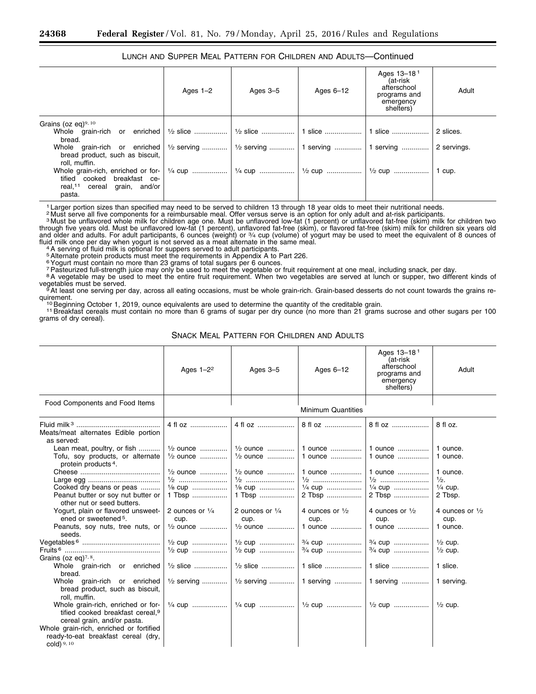#### LUNCH AND SUPPER MEAL PATTERN FOR CHILDREN AND ADULTS—Continued

|                                                                                   | Ages $1-2$ | Ages $3-5$         | Ages 6-12 | Ages 13-18 <sup>1</sup><br>(at-risk<br>afterschool<br>programs and<br>emergency<br>shelters) | Adult       |
|-----------------------------------------------------------------------------------|------------|--------------------|-----------|----------------------------------------------------------------------------------------------|-------------|
| Grains (oz eq) $9,10$                                                             |            |                    |           |                                                                                              |             |
| bread.                                                                            |            |                    |           |                                                                                              | 2 slices.   |
| bread product, such as biscuit,<br>roll, muffin.                                  |            |                    |           |                                                                                              | 2 servings. |
| tified cooked breakfast ce-<br>real, <sup>11</sup> cereal grain, and/or<br>pasta. |            | 1/4 cup    1/2 cup |           | $\frac{1}{2}$ cup                                                                            | 1 cup.      |

1 Larger portion sizes than specified may need to be served to children 13 through 18 year olds to meet their nutritional needs.

a Must serve all five components for a reimbursable meal. Offer versus serve is an option for only adult and at-risk participants.<br><sup>3</sup> Must be unflavored whole milk for children age one. Must be unflavored low-fat (1 perce through five years old. Must be unflavored low-fat (1 percent), unflavored fat-free (skim), or flavored fat-free (skim) milk for children six years old<br>and older and adults. For adult participants, 6 ounces (weight) or ¾ c

fluid milk once per day when yogurt is not served as a meat alternate in the same meal.<br><sup>4</sup> A serving of fluid milk is optional for suppers served to adult participants.<br><sup>5</sup> Alternate protein products must meet the require

6Yogurt must contain no more than 23 grams of total sugars per 6 ounces.

The steurized full-strength juice may only be used to meet the vegetable or fruit requirement at one meal, including snack, per day.<br><sup>8</sup> A vegetable may be used to meet the entire fruit requirement. When two vegetables are

vegetables must be served.<br>
<sup>9</sup>At least one serving per day, across all eating occasions, must be whole grain-rich. Grain-based desserts do not count towards the grains re-<br>
<sup>9</sup>At least one serving per day, across all eati

<sup>10</sup> Beginning October 1, 2019, ounce equivalents are used to determine the quantity of the creditable grain.<br><sup>11</sup> Breakfast cereals must contain no more than 6 grams of sugar per dry ounce (no more than 21 grams sucrose a grams of dry cereal).

SNACK MEAL PATTERN FOR CHILDREN AND ADULTS

|                                                                                                                      | Ages $1-2^2$                                                        | Ages $3-5$                                               | Ages $6-12$                                  | Ages 13-18 <sup>1</sup><br>(at-risk<br>afterschool<br>programs and<br>emergency<br>shelters) | Adult                                                        |
|----------------------------------------------------------------------------------------------------------------------|---------------------------------------------------------------------|----------------------------------------------------------|----------------------------------------------|----------------------------------------------------------------------------------------------|--------------------------------------------------------------|
| Food Components and Food Items                                                                                       |                                                                     |                                                          | <b>Minimum Quantities</b>                    |                                                                                              |                                                              |
| Meats/meat alternates Edible portion<br>as served:                                                                   | 4 fl oz                                                             | 4 fl $QZ$                                                | 8 fl oz                                      | 8 fl oz                                                                                      | 8 fl oz.                                                     |
| Lean meat, poultry, or fish<br>Tofu, soy products, or alternate<br>protein products <sup>4</sup> .                   | $\frac{1}{2}$ ounce<br>$\frac{1}{2}$ ounce                          | $\frac{1}{2}$ ounce<br>$\frac{1}{2}$ ounce               | 1 ounce<br>1 ounce                           | 1 ounce<br>1 ounce                                                                           | 1 ounce.<br>1 ounce.                                         |
| Cooked dry beans or peas<br>Peanut butter or soy nut butter or<br>other nut or seed butters.                         | $\frac{1}{2}$ ounce<br>$\frac{1}{2}$<br>$\frac{1}{8}$ cup<br>1 Tbsp | $\frac{1}{2}$ ounce<br>1/8 cup<br>1 Tbsp                 | 1 ounce<br>1/4 cup<br>2 Tbsp                 | 1 ounce<br>1/4 cup<br>2 Tbsp                                                                 | 1 ounce.<br>$\frac{1}{2}$ .<br>$\frac{1}{4}$ cup.<br>2 Tbsp. |
| Yogurt, plain or flavored unsweet-<br>ened or sweetened <sup>5</sup> .<br>Peanuts, soy nuts, tree nuts, or<br>seeds. | 2 ounces or $\frac{1}{4}$<br>cup.<br>$\frac{1}{2}$ ounce            | 2 ounces or $\frac{1}{4}$<br>cup.<br>$\frac{1}{2}$ ounce | 4 ounces or $\frac{1}{2}$<br>cup.<br>1 ounce | 4 ounces or $\frac{1}{2}$<br>cup.<br>1 ounce                                                 | 4 ounces or $\frac{1}{2}$<br>cup.<br>1 ounce.                |
| Grains (oz eq) $7, 8$ .                                                                                              | $\frac{1}{2}$ cup<br>$\frac{1}{2}$ cup                              | $\frac{1}{2}$ cup<br>$\frac{1}{2}$ cup                   | 3/4 cup<br>3/4 cup                           | $\frac{3}{4}$ cup<br>$\frac{3}{4}$ cup                                                       | $\frac{1}{2}$ cup.<br>$\frac{1}{2}$ cup.                     |
| Whole grain-rich or enriched<br>bread.                                                                               | $\frac{1}{2}$ slice                                                 | $\frac{1}{2}$ slice                                      | 1 slice                                      | 1 slice                                                                                      | 1 slice.                                                     |
| grain-rich or enriched<br>Whole<br>bread product, such as biscuit,<br>roll, muffin.                                  | $\frac{1}{2}$ serving                                               |                                                          |                                              |                                                                                              | 1 serving.                                                   |
| Whole grain-rich, enriched or for-<br>tified cooked breakfast cereal. <sup>9</sup><br>cereal grain, and/or pasta.    |                                                                     |                                                          |                                              |                                                                                              | $\frac{1}{2}$ cup.                                           |
| Whole grain-rich, enriched or fortified<br>ready-to-eat breakfast cereal (dry,<br>cold) $9, 10$                      |                                                                     |                                                          |                                              |                                                                                              |                                                              |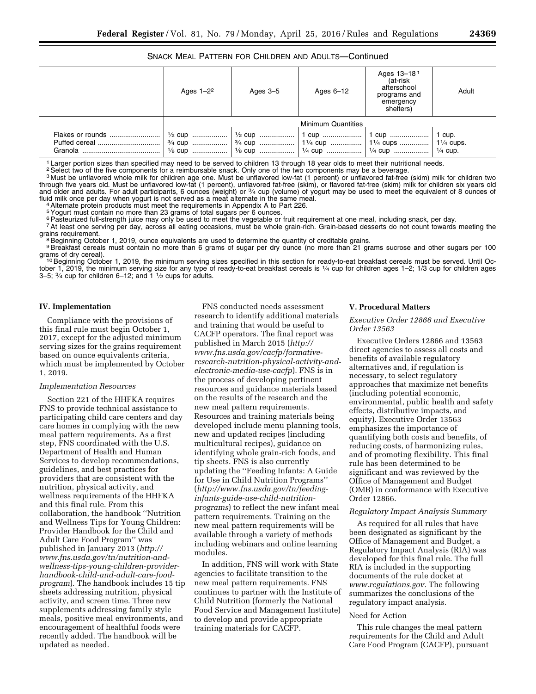#### SNACK MEAL PATTERN FOR CHILDREN AND ADULTS—Continued

|                  | Ages $1-2^2$ | Ages $3-5$ | Ages $6-12$                                                                                                                   | Ages 13-181<br>(at-risk<br>afterschool<br>programs and<br>emergency<br>shelters) | Adult |
|------------------|--------------|------------|-------------------------------------------------------------------------------------------------------------------------------|----------------------------------------------------------------------------------|-------|
|                  |              |            | <b>Minimum Quantities</b>                                                                                                     |                                                                                  |       |
| Flakes or rounds |              |            | 1⁄2 cup ………………   1⁄2 cup ………………   1 cup …………………   1 cup …………………   1 cup.<br>3/4 cup  3/4 cup  11/4 cup  11/4 cups  11/4 cups. |                                                                                  |       |

1 Larger portion sizes than specified may need to be served to children 13 through 18 year olds to meet their nutritional needs.

<sup>2</sup> Select two of the five components for a reimbursable snack. Only one of the two components may be a beverage.

3 Must be unflavored whole milk for children age one. Must be unflavored low-fat (1 percent) or unflavored fat-free (skim) milk for children two through five years old. Must be unflavored low-fat (1 percent), unflavored fat-free (skim), or flavored fat-free (skim) milk for children six years old<br>and older and adults. For adult participants, 6 ounces (weight) or ¾ c fluid milk once per day when yogurt is not served as a meat alternate in the same meal.<br><sup>4</sup>Alternate protein products must meet the requirements in Appendix A to Part 226.

Figuritative previous respect than 23 grams of total sugars per 6 ounces.<br>
<sup>5</sup> Pogurt must contain no more than 23 grams of total sugars per 6 ounces.<br>
<sup>6</sup> Pasteurized full-strength juice may only be used to meet the veget

<sup>7</sup>At least one serving per day, across all eating occasions, must be whole grain-rich. Grain-based desserts do not count towards meeting the grains requirement.

<sup>8</sup> Beginning October 1, 2019, ounce equivalents are used to determine the quantity of creditable grains.

<sup>9</sup>Breakfast cereals must contain no more than 6 grams of sugar per dry ounce (no more than 21 grams sucrose and other sugars per 100 grams of dry cereal).

<sup>10</sup> Beginning October 1, 2019, the minimum serving sizes specified in this section for ready-to-eat breakfast cereals must be served. Until October 1, 2019, the minimum serving size for any type of ready-to-eat breakfast cereals is 1⁄4 cup for children ages 1–2; 1/3 cup for children ages 3–5;  $\frac{3}{4}$  cup for children 6–12; and 1  $\frac{1}{2}$  cups for adults.

#### **IV. Implementation**

Compliance with the provisions of this final rule must begin October 1, 2017, except for the adjusted minimum serving sizes for the grains requirement based on ounce equivalents criteria, which must be implemented by October 1, 2019.

#### *Implementation Resources*

Section 221 of the HHFKA requires FNS to provide technical assistance to participating child care centers and day care homes in complying with the new meal pattern requirements. As a first step, FNS coordinated with the U.S. Department of Health and Human Services to develop recommendations, guidelines, and best practices for providers that are consistent with the nutrition, physical activity, and wellness requirements of the HHFKA and this final rule. From this collaboration, the handbook ''Nutrition and Wellness Tips for Young Children: Provider Handbook for the Child and Adult Care Food Program'' was published in January 2013 (*[http://](http://www.fns.usda.gov/tn/nutrition-and-wellness-tips-young-children-provider-handbook-child-and-adult-care-food-program) www.fns.usda.gov/tn/nutrition-and[wellness-tips-young-children-provider](http://www.fns.usda.gov/tn/nutrition-and-wellness-tips-young-children-provider-handbook-child-and-adult-care-food-program)handbook-child-and-adult-care-food[program](http://www.fns.usda.gov/tn/nutrition-and-wellness-tips-young-children-provider-handbook-child-and-adult-care-food-program)*). The handbook includes 15 tip sheets addressing nutrition, physical activity, and screen time. Three new supplements addressing family style meals, positive meal environments, and encouragement of healthful foods were recently added. The handbook will be updated as needed.

FNS conducted needs assessment research to identify additional materials and training that would be useful to CACFP operators. The final report was published in March 2015 (*[http://](http://www.fns.usda.gov/cacfp/formative-research-nutrition-physical-activity-and-electronic-media-use-cacfp) www.fns.usda.gov/cacfp/formative[research-nutrition-physical-activity-and](http://www.fns.usda.gov/cacfp/formative-research-nutrition-physical-activity-and-electronic-media-use-cacfp)[electronic-media-use-cacfp](http://www.fns.usda.gov/cacfp/formative-research-nutrition-physical-activity-and-electronic-media-use-cacfp)*). FNS is in the process of developing pertinent resources and guidance materials based on the results of the research and the new meal pattern requirements. Resources and training materials being developed include menu planning tools, new and updated recipes (including multicultural recipes), guidance on identifying whole grain-rich foods, and tip sheets. FNS is also currently updating the ''Feeding Infants: A Guide for Use in Child Nutrition Programs'' (*[http://www.fns.usda.gov/tn/feeding](http://www.fns.usda.gov/tn/feeding-infants-guide-use-child-nutrition-programs)infants-guide-use-child-nutrition[programs](http://www.fns.usda.gov/tn/feeding-infants-guide-use-child-nutrition-programs)*) to reflect the new infant meal pattern requirements. Training on the new meal pattern requirements will be available through a variety of methods including webinars and online learning modules.

In addition, FNS will work with State agencies to facilitate transition to the new meal pattern requirements. FNS continues to partner with the Institute of Child Nutrition (formerly the National Food Service and Management Institute) to develop and provide appropriate training materials for CACFP.

#### **V. Procedural Matters**

#### *Executive Order 12866 and Executive Order 13563*

Executive Orders 12866 and 13563 direct agencies to assess all costs and benefits of available regulatory alternatives and, if regulation is necessary, to select regulatory approaches that maximize net benefits (including potential economic, environmental, public health and safety effects, distributive impacts, and equity). Executive Order 13563 emphasizes the importance of quantifying both costs and benefits, of reducing costs, of harmonizing rules, and of promoting flexibility. This final rule has been determined to be significant and was reviewed by the Office of Management and Budget (OMB) in conformance with Executive Order 12866.

#### *Regulatory Impact Analysis Summary*

As required for all rules that have been designated as significant by the Office of Management and Budget, a Regulatory Impact Analysis (RIA) was developed for this final rule. The full RIA is included in the supporting documents of the rule docket at *[www.regulations.gov.](http://www.regulations.gov)* The following summarizes the conclusions of the regulatory impact analysis.

#### Need for Action

This rule changes the meal pattern requirements for the Child and Adult Care Food Program (CACFP), pursuant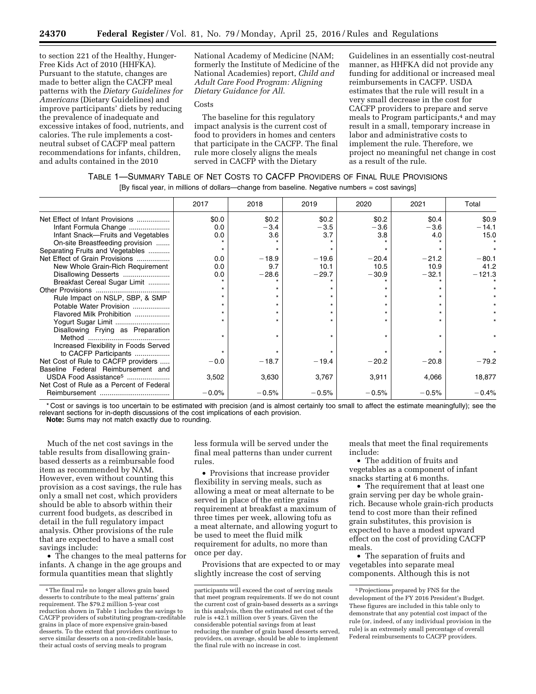to section 221 of the Healthy, Hunger-Free Kids Act of 2010 (HHFKA). Pursuant to the statute, changes are made to better align the CACFP meal patterns with the *Dietary Guidelines for Americans* (Dietary Guidelines) and improve participants' diets by reducing the prevalence of inadequate and excessive intakes of food, nutrients, and calories. The rule implements a costneutral subset of CACFP meal pattern recommendations for infants, children, and adults contained in the 2010

National Academy of Medicine (NAM; formerly the Institute of Medicine of the National Academies) report, *Child and Adult Care Food Program: Aligning Dietary Guidance for All.* 

#### **Costs**

The baseline for this regulatory impact analysis is the current cost of food to providers in homes and centers that participate in the CACFP. The final rule more closely aligns the meals served in CACFP with the Dietary

Guidelines in an essentially cost-neutral manner, as HHFKA did not provide any funding for additional or increased meal reimbursements in CACFP. USDA estimates that the rule will result in a very small decrease in the cost for CACFP providers to prepare and serve meals to Program participants,<sup>4</sup> and may result in a small, temporary increase in labor and administrative costs to implement the rule. Therefore, we project no meaningful net change in cost as a result of the rule.

#### TABLE 1—SUMMARY TABLE OF NET COSTS TO CACFP PROVIDERS OF FINAL RULE PROVISIONS

[By fiscal year, in millions of dollars—change from baseline. Negative numbers = cost savings]

|                                          | 2017    | 2018    | 2019    | 2020    | 2021    | Total    |
|------------------------------------------|---------|---------|---------|---------|---------|----------|
| Net Effect of Infant Provisions          | \$0.0   | \$0.2   | \$0.2\$ | \$0.2\$ | \$0.4   | \$0.9    |
| Infant Formula Change                    | 0.0     | $-3.4$  | $-3.5$  | $-3.6$  | $-3.6$  | $-14.1$  |
| Infant Snack-Fruits and Vegetables       | 0.0     | 3.6     | 3.7     | 3.8     | 4.0     | 15.0     |
| On-site Breastfeeding provision          |         |         |         |         |         |          |
| Separating Fruits and Vegetables         |         |         |         |         |         |          |
| Net Effect of Grain Provisions           | 0.0     | $-18.9$ | $-19.6$ | $-20.4$ | $-21.2$ | $-80.1$  |
| New Whole Grain-Rich Requirement         | 0.0     | 9.7     | 10.1    | 10.5    | 10.9    | 41.2     |
| Disallowing Desserts                     | 0.0     | $-28.6$ | $-29.7$ | $-30.9$ | $-32.1$ | $-121.3$ |
| Breakfast Cereal Sugar Limit             |         |         |         |         |         |          |
|                                          |         |         |         |         |         |          |
| Rule Impact on NSLP, SBP, & SMP          |         |         |         |         |         |          |
| Potable Water Provision                  |         |         |         |         |         |          |
| Flavored Milk Prohibition                |         |         |         |         |         |          |
| Yogurt Sugar Limit                       |         |         |         |         |         |          |
| Disallowing Frying as Preparation        |         |         |         |         |         |          |
|                                          |         |         |         |         |         |          |
| Increased Flexibility in Foods Served    |         |         |         |         |         |          |
| to CACFP Participants                    |         |         |         |         |         |          |
| Net Cost of Rule to CACFP providers      | $-0.0$  | $-18.7$ | $-19.4$ | $-20.2$ | $-20.8$ | $-79.2$  |
| Baseline Federal Reimbursement and       |         |         |         |         |         |          |
| USDA Food Assistance <sup>5</sup>        | 3,502   | 3,630   | 3,767   | 3,911   | 4,066   | 18,877   |
| Net Cost of Rule as a Percent of Federal |         |         |         |         |         |          |
|                                          | $-0.0%$ | $-0.5%$ | $-0.5%$ | $-0.5%$ | $-0.5%$ | $-0.4%$  |

\* Cost or savings is too uncertain to be estimated with precision (and is almost certainly too small to affect the estimate meaningfully); see the relevant sections for in-depth discussions of the cost implications of each provision.

**Note:** Sums may not match exactly due to rounding.

Much of the net cost savings in the table results from disallowing grainbased desserts as a reimbursable food item as recommended by NAM. However, even without counting this provision as a cost savings, the rule has only a small net cost, which providers should be able to absorb within their current food budgets, as described in detail in the full regulatory impact analysis. Other provisions of the rule that are expected to have a small cost savings include:

• The changes to the meal patterns for infants. A change in the age groups and formula quantities mean that slightly

less formula will be served under the final meal patterns than under current rules.

• Provisions that increase provider flexibility in serving meals, such as allowing a meat or meat alternate to be served in place of the entire grains requirement at breakfast a maximum of three times per week, allowing tofu as a meat alternate, and allowing yogurt to be used to meet the fluid milk requirement for adults, no more than once per day.

Provisions that are expected to or may slightly increase the cost of serving

meals that meet the final requirements include:

• The addition of fruits and vegetables as a component of infant snacks starting at 6 months.

• The requirement that at least one grain serving per day be whole grainrich. Because whole grain-rich products tend to cost more than their refined grain substitutes, this provision is expected to have a modest upward effect on the cost of providing CACFP meals.

• The separation of fruits and vegetables into separate meal components. Although this is not

<sup>4</sup>The final rule no longer allows grain based desserts to contribute to the meal patterns' grain requirement. The \$79.2 million 5-year cost reduction shown in Table 1 includes the savings to CACFP providers of substituting program-creditable grains in place of more expensive grain-based desserts. To the extent that providers continue to serve similar desserts on a non-creditable basis, their actual costs of serving meals to program

participants will exceed the cost of serving meals that meet program requirements. If we do not count the current cost of grain-based desserts as a savings in this analysis, then the estimated net cost of the rule is +42.1 million over 5 years. Given the considerable potential savings from at least reducing the number of grain based desserts served, providers, on average, should be able to implement the final rule with no increase in cost.

<sup>5</sup>Projections prepared by FNS for the development of the FY 2016 President's Budget. These figures are included in this table only to demonstrate that any potential cost impact of the rule (or, indeed, of any individual provision in the rule) is an extremely small percentage of overall Federal reimbursements to CACFP providers.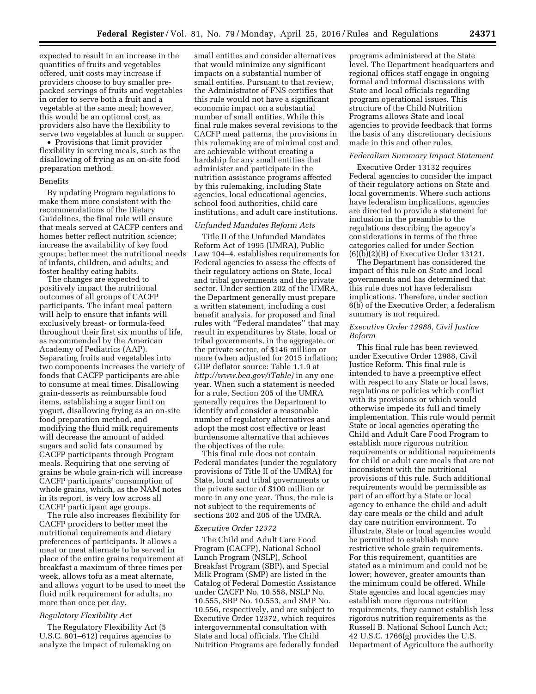expected to result in an increase in the quantities of fruits and vegetables offered, unit costs may increase if providers choose to buy smaller prepacked servings of fruits and vegetables in order to serve both a fruit and a vegetable at the same meal; however, this would be an optional cost, as providers also have the flexibility to serve two vegetables at lunch or supper.

• Provisions that limit provider flexibility in serving meals, such as the disallowing of frying as an on-site food preparation method.

#### Benefits

By updating Program regulations to make them more consistent with the recommendations of the Dietary Guidelines, the final rule will ensure that meals served at CACFP centers and homes better reflect nutrition science; increase the availability of key food groups; better meet the nutritional needs of infants, children, and adults; and foster healthy eating habits.

The changes are expected to positively impact the nutritional outcomes of all groups of CACFP participants. The infant meal pattern will help to ensure that infants will exclusively breast- or formula-feed throughout their first six months of life, as recommended by the American Academy of Pediatrics (AAP). Separating fruits and vegetables into two components increases the variety of foods that CACFP participants are able to consume at meal times. Disallowing grain-desserts as reimbursable food items, establishing a sugar limit on yogurt, disallowing frying as an on-site food preparation method, and modifying the fluid milk requirements will decrease the amount of added sugars and solid fats consumed by CACFP participants through Program meals. Requiring that one serving of grains be whole grain-rich will increase CACFP participants' consumption of whole grains, which, as the NAM notes in its report, is very low across all CACFP participant age groups.

The rule also increases flexibility for CACFP providers to better meet the nutritional requirements and dietary preferences of participants. It allows a meat or meat alternate to be served in place of the entire grains requirement at breakfast a maximum of three times per week, allows tofu as a meat alternate, and allows yogurt to be used to meet the fluid milk requirement for adults, no more than once per day.

#### *Regulatory Flexibility Act*

The Regulatory Flexibility Act (5 U.S.C. 601–612) requires agencies to analyze the impact of rulemaking on

small entities and consider alternatives that would minimize any significant impacts on a substantial number of small entities. Pursuant to that review, the Administrator of FNS certifies that this rule would not have a significant economic impact on a substantial number of small entities. While this final rule makes several revisions to the CACFP meal patterns, the provisions in this rulemaking are of minimal cost and are achievable without creating a hardship for any small entities that administer and participate in the nutrition assistance programs affected by this rulemaking, including State agencies, local educational agencies, school food authorities, child care institutions, and adult care institutions.

#### *Unfunded Mandates Reform Acts*

Title II of the Unfunded Mandates Reform Act of 1995 (UMRA), Public Law 104–4, establishes requirements for Federal agencies to assess the effects of their regulatory actions on State, local and tribal governments and the private sector. Under section 202 of the UMRA, the Department generally must prepare a written statement, including a cost benefit analysis, for proposed and final rules with ''Federal mandates'' that may result in expenditures by State, local or tribal governments, in the aggregate, or the private sector, of \$146 million or more (when adjusted for 2015 inflation; GDP deflator source: Table 1.1.9 at *[http://www.bea.gov/iTable\)](http://www.bea.gov/iTable)* in any one year. When such a statement is needed for a rule, Section 205 of the UMRA generally requires the Department to identify and consider a reasonable number of regulatory alternatives and adopt the most cost effective or least burdensome alternative that achieves the objectives of the rule.

This final rule does not contain Federal mandates (under the regulatory provisions of Title II of the UMRA) for State, local and tribal governments or the private sector of \$100 million or more in any one year. Thus, the rule is not subject to the requirements of sections 202 and 205 of the UMRA.

#### *Executive Order 12372*

The Child and Adult Care Food Program (CACFP), National School Lunch Program (NSLP), School Breakfast Program (SBP), and Special Milk Program (SMP) are listed in the Catalog of Federal Domestic Assistance under CACFP No. 10.558, NSLP No. 10.555, SBP No. 10.553, and SMP No. 10.556, respectively, and are subject to Executive Order 12372, which requires intergovernmental consultation with State and local officials. The Child Nutrition Programs are federally funded

programs administered at the State level. The Department headquarters and regional offices staff engage in ongoing formal and informal discussions with State and local officials regarding program operational issues. This structure of the Child Nutrition Programs allows State and local agencies to provide feedback that forms the basis of any discretionary decisions made in this and other rules.

#### *Federalism Summary Impact Statement*

Executive Order 13132 requires Federal agencies to consider the impact of their regulatory actions on State and local governments. Where such actions have federalism implications, agencies are directed to provide a statement for inclusion in the preamble to the regulations describing the agency's considerations in terms of the three categories called for under Section  $(6)(\overline{b})(2)(B)$  of Executive Order 13121.

The Department has considered the impact of this rule on State and local governments and has determined that this rule does not have federalism implications. Therefore, under section 6(b) of the Executive Order, a federalism summary is not required.

#### *Executive Order 12988, Civil Justice Reform*

This final rule has been reviewed under Executive Order 12988, Civil Justice Reform. This final rule is intended to have a preemptive effect with respect to any State or local laws, regulations or policies which conflict with its provisions or which would otherwise impede its full and timely implementation. This rule would permit State or local agencies operating the Child and Adult Care Food Program to establish more rigorous nutrition requirements or additional requirements for child or adult care meals that are not inconsistent with the nutritional provisions of this rule. Such additional requirements would be permissible as part of an effort by a State or local agency to enhance the child and adult day care meals or the child and adult day care nutrition environment. To illustrate, State or local agencies would be permitted to establish more restrictive whole grain requirements. For this requirement, quantities are stated as a minimum and could not be lower; however, greater amounts than the minimum could be offered. While State agencies and local agencies may establish more rigorous nutrition requirements, they cannot establish less rigorous nutrition requirements as the Russell B. National School Lunch Act; 42 U.S.C. 1766(g) provides the U.S. Department of Agriculture the authority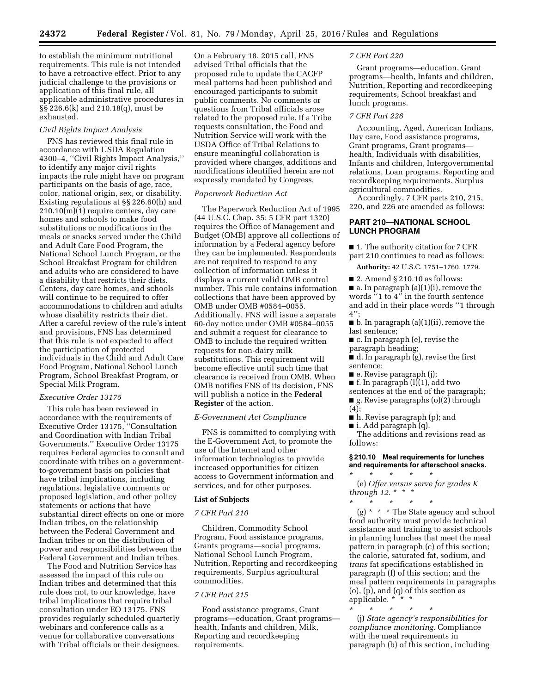to establish the minimum nutritional requirements. This rule is not intended to have a retroactive effect. Prior to any judicial challenge to the provisions or application of this final rule, all applicable administrative procedures in §§ 226.6(k) and 210.18(q), must be exhausted.

#### *Civil Rights Impact Analysis*

FNS has reviewed this final rule in accordance with USDA Regulation 4300–4, ''Civil Rights Impact Analysis,'' to identify any major civil rights impacts the rule might have on program participants on the basis of age, race, color, national origin, sex, or disability. Existing regulations at §§ 226.60(h) and  $210.10(m)(1)$  require centers, day care homes and schools to make food substitutions or modifications in the meals or snacks served under the Child and Adult Care Food Program, the National School Lunch Program, or the School Breakfast Program for children and adults who are considered to have a disability that restricts their diets. Centers, day care homes, and schools will continue to be required to offer accommodations to children and adults whose disability restricts their diet. After a careful review of the rule's intent and provisions, FNS has determined that this rule is not expected to affect the participation of protected individuals in the Child and Adult Care Food Program, National School Lunch Program, School Breakfast Program, or Special Milk Program.

#### *Executive Order 13175*

This rule has been reviewed in accordance with the requirements of Executive Order 13175, ''Consultation and Coordination with Indian Tribal Governments.'' Executive Order 13175 requires Federal agencies to consult and coordinate with tribes on a governmentto-government basis on policies that have tribal implications, including regulations, legislative comments or proposed legislation, and other policy statements or actions that have substantial direct effects on one or more Indian tribes, on the relationship between the Federal Government and Indian tribes or on the distribution of power and responsibilities between the Federal Government and Indian tribes.

The Food and Nutrition Service has assessed the impact of this rule on Indian tribes and determined that this rule does not, to our knowledge, have tribal implications that require tribal consultation under EO 13175. FNS provides regularly scheduled quarterly webinars and conference calls as a venue for collaborative conversations with Tribal officials or their designees.

On a February 18, 2015 call, FNS advised Tribal officials that the proposed rule to update the CACFP meal patterns had been published and encouraged participants to submit public comments. No comments or questions from Tribal officials arose related to the proposed rule. If a Tribe requests consultation, the Food and Nutrition Service will work with the USDA Office of Tribal Relations to ensure meaningful collaboration is provided where changes, additions and modifications identified herein are not expressly mandated by Congress.

#### *Paperwork Reduction Act*

The Paperwork Reduction Act of 1995 (44 U.S.C. Chap. 35; 5 CFR part 1320) requires the Office of Management and Budget (OMB) approve all collections of information by a Federal agency before they can be implemented. Respondents are not required to respond to any collection of information unless it displays a current valid OMB control number. This rule contains information collections that have been approved by OMB under OMB #0584–0055. Additionally, FNS will issue a separate 60-day notice under OMB #0584–0055 and submit a request for clearance to OMB to include the required written requests for non-dairy milk substitutions. This requirement will become effective until such time that clearance is received from OMB. When OMB notifies FNS of its decision, FNS will publish a notice in the **Federal Register** of the action.

#### *E-Government Act Compliance*

FNS is committed to complying with the E-Government Act, to promote the use of the Internet and other information technologies to provide increased opportunities for citizen access to Government information and services, and for other purposes.

#### **List of Subjects**

#### *7 CFR Part 210*

Children, Commodity School Program, Food assistance programs, Grants programs—social programs, National School Lunch Program, Nutrition, Reporting and recordkeeping requirements, Surplus agricultural commodities.

#### *7 CFR Part 215*

Food assistance programs, Grant programs—education, Grant programs health, Infants and children, Milk, Reporting and recordkeeping requirements.

#### *7 CFR Part 220*

Grant programs—education, Grant programs—health, Infants and children, Nutrition, Reporting and recordkeeping requirements, School breakfast and lunch programs.

#### *7 CFR Part 226*

Accounting, Aged, American Indians, Day care, Food assistance programs, Grant programs, Grant programs health, Individuals with disabilities, Infants and children, Intergovernmental relations, Loan programs, Reporting and recordkeeping requirements, Surplus agricultural commodities.

Accordingly, 7 CFR parts 210, 215, 220, and 226 are amended as follows:

#### **PART 210—NATIONAL SCHOOL LUNCH PROGRAM**

■ 1. The authority citation for 7 CFR part 210 continues to read as follows:

**Authority:** 42 U.S.C. 1751–1760, 1779.

 $\blacksquare$  2. Amend § 210.10 as follows:

■ a. In paragraph (a)(1)(i), remove the words ''1 to 4'' in the fourth sentence and add in their place words ''1 through 4'';

■ b. In paragraph (a)(1)(ii), remove the last sentence;

- c. In paragraph (e), revise the paragraph heading;
- d. In paragraph (g), revise the first sentence;
- e. Revise paragraph (j);
- **f.** In paragraph  $(l)(1)$ , add two
- sentences at the end of the paragraph;
- g. Revise paragraphs (o)(2) through
- (4);
- h. Revise paragraph (p); and
- $\blacksquare$  i. Add paragraph (q).

The additions and revisions read as follows:

#### **§ 210.10 Meal requirements for lunches and requirements for afterschool snacks.**

\* \* \* \* \* (e) *Offer versus serve for grades K through 12.* \* \* \*

\* \* \* \* \* (g) \* \* \* The State agency and school food authority must provide technical assistance and training to assist schools in planning lunches that meet the meal pattern in paragraph (c) of this section; the calorie, saturated fat, sodium, and *trans* fat specifications established in paragraph (f) of this section; and the meal pattern requirements in paragraphs (o), (p), and (q) of this section as applicable. \*

\* \* \* \* \* (j) *State agency's responsibilities for compliance monitoring.* Compliance with the meal requirements in paragraph (b) of this section, including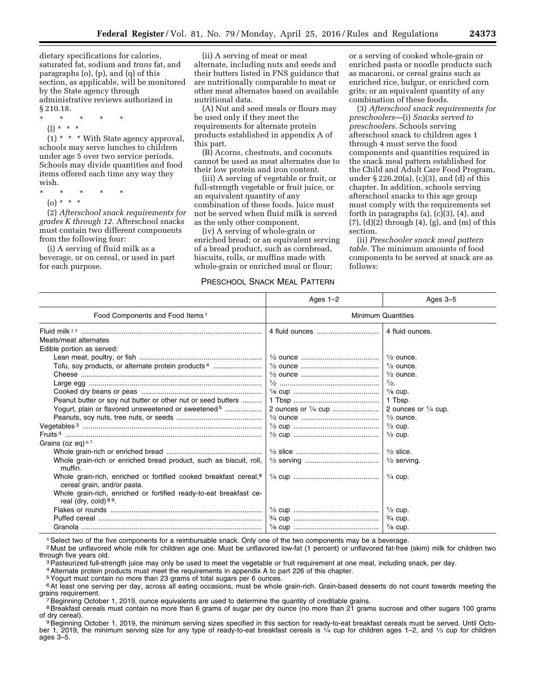dietary specifications for calories, saturated fat, sodium and *trans* fat, and paragraphs (o), (p), and (q) of this section, as applicable, will be monitored by the State agency through administrative reviews authorized in § 210.18.

\* \* \* \* \*

(l) \* \* \*

(1) \* \* \* With State agency approval, schools may serve lunches to children under age 5 over two service periods. Schools may divide quantities and food items offered each time any way they wish.

- \* \* \* \* \*
	- (o) \* \* \*

(2) *Afterschool snack requirements for grades K through 12.* Afterschool snacks must contain two different components from the following four:

(i) A serving of fluid milk as a beverage, or on cereal, or used in part for each purpose.

(ii) A serving of meat or meat alternate, including nuts and seeds and their butters listed in FNS guidance that are nutritionally comparable to meat or other meat alternates based on available nutritional data.

(A) Nut and seed meals or flours may be used only if they meet the requirements for alternate protein products established in appendix A of this part.

(B) Acorns, chestnuts, and coconuts cannot be used as meat alternates due to their low protein and iron content.

(iii) A serving of vegetable or fruit, or full-strength vegetable or fruit juice, or an equivalent quantity of any combination of these foods. Juice must not be served when fluid milk is served as the only other component.

(iv) A serving of whole-grain or enriched bread; or an equivalent serving of a bread product, such as cornbread, biscuits, rolls, or muffins made with whole-grain or enriched meal or flour;

#### PRESCHOOL SNACK MEAL PATTERN

or a serving of cooked whole-grain or enriched pasta or noodle products such as macaroni, or cereal grains such as enriched rice, bulgur, or enriched corn grits; or an equivalent quantity of any combination of these foods.

(3) *Afterschool snack requirements for preschoolers*—(i) *Snacks served to preschoolers.* Schools serving afterschool snack to children ages 1 through 4 must serve the food components and quantities required in the snack meal pattern established for the Child and Adult Care Food Program, under § 226.20(a), (c)(3), and (d) of this chapter. In addition, schools serving afterschool snacks to this age group must comply with the requirements set forth in paragraphs (a), (c)(3), (4), and (7), (d)(2) through (4), (g), and (m) of this section.

(ii) *Preschooler snack meal pattern table.* The minimum amounts of food components to be served at snack are as follows:

|                                                                                                              | Ages $1-2$                | Ages 3-5                       |  |
|--------------------------------------------------------------------------------------------------------------|---------------------------|--------------------------------|--|
| Food Components and Food Items <sup>1</sup>                                                                  | <b>Minimum Quantities</b> |                                |  |
|                                                                                                              |                           | 4 fluid ounces.                |  |
| Meats/meat alternates                                                                                        |                           |                                |  |
| Edible portion as served:                                                                                    |                           |                                |  |
|                                                                                                              |                           | $\frac{1}{2}$ ounce.           |  |
| Tofu, soy products, or alternate protein products <sup>4</sup>                                               |                           | $\frac{1}{2}$ ounce.           |  |
|                                                                                                              |                           | $\frac{1}{2}$ ounce.           |  |
|                                                                                                              |                           | $\frac{1}{2}$ .                |  |
|                                                                                                              |                           | $\frac{1}{8}$ cup.             |  |
| Peanut butter or soy nut butter or other nut or seed butters                                                 |                           | 1 Tbsp.                        |  |
| Yogurt, plain or flavored unsweetened or sweetened <sup>5</sup>                                              | 2 ounces or 1/4 cup       | 2 ounces or $\frac{1}{4}$ cup. |  |
|                                                                                                              |                           | $\frac{1}{2}$ ounce.           |  |
|                                                                                                              |                           | $\frac{1}{2}$ cup.             |  |
|                                                                                                              |                           | $\frac{1}{2}$ cup.             |  |
| Grains (oz eq) $67$                                                                                          |                           |                                |  |
|                                                                                                              |                           | $\frac{1}{2}$ slice.           |  |
| Whole grain-rich or enriched bread product, such as biscuit, roll,<br>muffin.                                |                           | $\frac{1}{2}$ serving.         |  |
| Whole grain-rich, enriched or fortified cooked breakfast cereal, <sup>8</sup><br>cereal grain, and/or pasta. |                           | $\frac{1}{4}$ cup.             |  |
| Whole grain-rich, enriched or fortified ready-to-eat breakfast ce-<br>real (dry, cold) $89$ .                |                           |                                |  |
|                                                                                                              |                           | $\frac{1}{2}$ cup.             |  |
|                                                                                                              |                           | $\frac{3}{4}$ cup.             |  |
|                                                                                                              |                           | $\frac{1}{8}$ cup.             |  |

1Select two of the five components for a reimbursable snack. Only one of the two components may be a beverage.

2 Must be unflavored whole milk for children age one. Must be unflavored low-fat (1 percent) or unflavored fat-free (skim) milk for children two through five years old.<br><sup>3</sup> Pasteurized full-strength juice may only be used to meet the vegetable or fruit requirement at one meal, including snack, per day.<br><sup>4</sup> Alternate protein products must meet the requirements in ap

5Yogurt must contain no more than 23 grams of total sugars per 6 ounces.

6At least one serving per day, across all eating occasions, must be whole grain-rich. Grain-based desserts do not count towards meeting the

<sup>7</sup> Beginning October 1, 2019, ounce equivalents are used to determine the quantity of creditable grains.

<sup>8</sup>Breakfast cereals must contain no more than 6 grams of sugar per dry ounce (no more than 21 grams sucrose and other sugars 100 grams of dry cereal).

<sup>9</sup> Beginning October 1, 2019, the minimum serving sizes specified in this section for ready-to-eat breakfast cereals must be served. Until October 1, 2019, the minimum serving size for any type of ready-to-eat breakfast cereals is 1/4 cup for children ages 1–2, and 1/3 cup for children ages 3–5.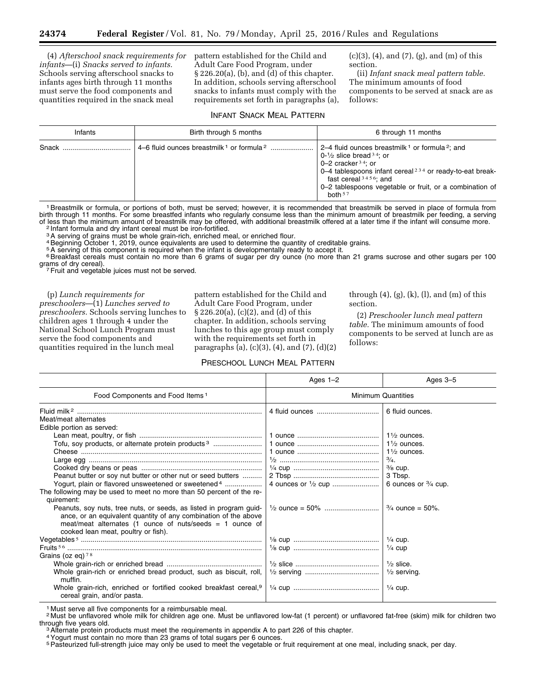(4) *Afterschool snack requirements for infants*—(i) *Snacks served to infants.*  Schools serving afterschool snacks to infants ages birth through 11 months must serve the food components and quantities required in the snack meal

pattern established for the Child and Adult Care Food Program, under § 226.20(a), (b), and (d) of this chapter. In addition, schools serving afterschool snacks to infants must comply with the requirements set forth in paragraphs (a), (c)(3), (4), and (7), (g), and (m) of this section.

(ii) *Infant snack meal pattern table.*  The minimum amounts of food components to be served at snack are as follows:

#### INFANT SNACK MEAL PATTERN

| Infants | Birth through 5 months | 6 through 11 months                                                                                                                                                                                                                                                                                         |
|---------|------------------------|-------------------------------------------------------------------------------------------------------------------------------------------------------------------------------------------------------------------------------------------------------------------------------------------------------------|
|         |                        | 2–4 fluid ounces breastmilk <sup>1</sup> or formula <sup>2</sup> ; and<br>$0-1/2$ slice bread $34$ ; or<br>0–2 cracker $34$ ; or<br>0–4 tablespoons infant cereal <sup>234</sup> or ready-to-eat break-<br>fast cereal $3456$ ; and<br>0–2 tablespoons vegetable or fruit, or a combination of<br>both $57$ |

1 Breastmilk or formula, or portions of both, must be served; however, it is recommended that breastmilk be served in place of formula from birth through 11 months. For some breastfed infants who regularly consume less than the minimum amount of breastmilk per feeding, a serving of less than the minimum amount of breastmilk may be offered, with additional breastmilk offered at a later time if the infant will consume more.<br><sup>2</sup> Infant formula and dry infant cereal must be iron-fortified.

3A serving of grains must be whole grain-rich, enriched meal, or enriched flour.

4Beginning October 1, 2019, ounce equivalents are used to determine the quantity of creditable grains.

5A serving of this component is required when the infant is developmentally ready to accept it.

6Breakfast cereals must contain no more than 6 grams of sugar per dry ounce (no more than 21 grams sucrose and other sugars per 100 grams of dry cereal).

 $\frac{7}{7}$ Fruit and vegetable juices must not be served.

(p) *Lunch requirements for preschoolers*—(1) *Lunches served to preschoolers.* Schools serving lunches to children ages 1 through 4 under the National School Lunch Program must serve the food components and quantities required in the lunch meal

pattern established for the Child and Adult Care Food Program, under § 226.20(a), (c)(2), and (d) of this chapter. In addition, schools serving lunches to this age group must comply with the requirements set forth in paragraphs (a), (c)(3), (4), and (7), (d)(2)

#### PRESCHOOL LUNCH MEAL PATTERN

through  $(4)$ ,  $(g)$ ,  $(k)$ ,  $(l)$ , and  $(m)$  of this section.

(2) *Preschooler lunch meal pattern table.* The minimum amounts of food components to be served at lunch are as follows:

|                                                                                                                                                                                                                                                                                                                                  | Ages $1-2$                | Ages 3-5                                                                                  |  |
|----------------------------------------------------------------------------------------------------------------------------------------------------------------------------------------------------------------------------------------------------------------------------------------------------------------------------------|---------------------------|-------------------------------------------------------------------------------------------|--|
| Food Components and Food Items <sup>1</sup>                                                                                                                                                                                                                                                                                      | <b>Minimum Quantities</b> |                                                                                           |  |
| Meat/meat alternates                                                                                                                                                                                                                                                                                                             | 4 fluid ounces            | 6 fluid ounces.                                                                           |  |
| Edible portion as served:                                                                                                                                                                                                                                                                                                        |                           | $1\frac{1}{2}$ ounces.                                                                    |  |
| Tofu, soy products, or alternate protein products <sup>3</sup>                                                                                                                                                                                                                                                                   |                           | $1\frac{1}{2}$ ounces.<br>$1\frac{1}{2}$ ounces.<br>$\frac{3}{4}$ .<br>$\frac{3}{8}$ cup. |  |
| Peanut butter or soy nut butter or other nut or seed butters<br>Yogurt, plain or flavored unsweetened or sweetened <sup>4</sup>                                                                                                                                                                                                  |                           | 3 Tbsp.<br>6 ounces or $\frac{3}{4}$ cup.                                                 |  |
| The following may be used to meet no more than 50 percent of the re-<br>quirement:<br>Peanuts, soy nuts, tree nuts, or seeds, as listed in program guid-<br>ance, or an equivalent quantity of any combination of the above<br>meat/meat alternates (1 ounce of nuts/seeds $= 1$ ounce of<br>cooked lean meat, poultry or fish). |                           | $\frac{3}{4}$ ounce = 50%.                                                                |  |
| Grains (oz eq) $78$                                                                                                                                                                                                                                                                                                              |                           | $\frac{1}{4}$ cup.<br>$\frac{1}{4}$ cup                                                   |  |
| Whole grain-rich or enriched bread product, such as biscuit, roll,<br>muffin.                                                                                                                                                                                                                                                    |                           | $\frac{1}{2}$ slice.<br>$\frac{1}{2}$ serving.                                            |  |
| Whole grain-rich, enriched or fortified cooked breakfast cereal, 9<br>cereal grain, and/or pasta.                                                                                                                                                                                                                                |                           | $\frac{1}{4}$ cup.                                                                        |  |

1 Must serve all five components for a reimbursable meal.

2 Must be unflavored whole milk for children age one. Must be unflavored low-fat (1 percent) or unflavored fat-free (skim) milk for children two through five years old.<br><sup>3</sup>Alternate protein products must meet the requirements in appendix A to part 226 of this chapter.

4Yogurt must contain no more than 23 grams of total sugars per 6 ounces.

<sup>5</sup>Pasteurized full-strength juice may only be used to meet the vegetable or fruit requirement at one meal, including snack, per day.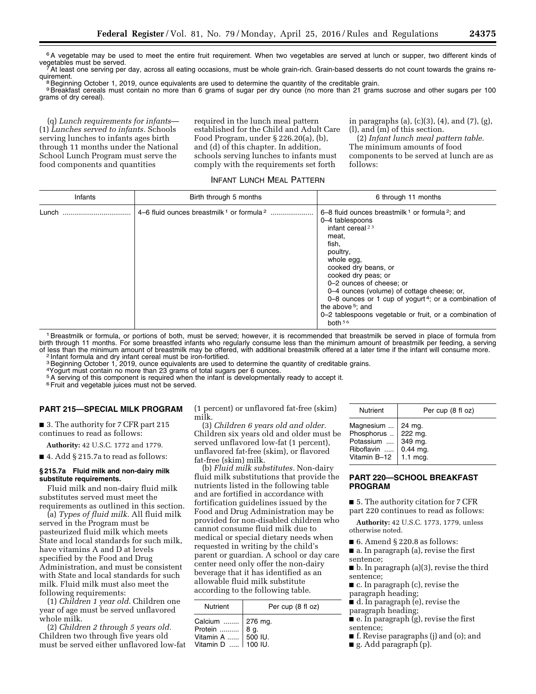<sup>6</sup>A vegetable may be used to meet the entire fruit requirement. When two vegetables are served at lunch or supper, two different kinds of vegetables must be served.<br>
7At least one serving per day, across all eating occasions, must be whole grain-rich. Grain-based desserts do not count towards the grains re-<br>
The serving per day, across all eating occasions,

<sup>8</sup> Beginning October 1, 2019, ounce equivalents are used to determine the quantity of the creditable grain. 9 Breakfast cereals must contain no more than 6 grams of sugar per dry ounce (no more than 21 grams sucrose and other sugars per 100 grams of dry cereal).

(q) *Lunch requirements for infants*— (1) *Lunches served to infants.* Schools serving lunches to infants ages birth through 11 months under the National School Lunch Program must serve the food components and quantities

required in the lunch meal pattern established for the Child and Adult Care Food Program, under § 226.20(a), (b), and (d) of this chapter. In addition, schools serving lunches to infants must comply with the requirements set forth

in paragraphs (a), (c)(3), (4), and (7), (g), (l), and (m) of this section.

(2) *Infant lunch meal pattern table.*  The minimum amounts of food components to be served at lunch are as follows:

INFANT LUNCH MEAL PATTERN

| Infants | Birth through 5 months | 6 through 11 months                                                                                                                                                                                                                                                                                                                                                                                                                                              |
|---------|------------------------|------------------------------------------------------------------------------------------------------------------------------------------------------------------------------------------------------------------------------------------------------------------------------------------------------------------------------------------------------------------------------------------------------------------------------------------------------------------|
| Lunch   |                        | 6–8 fluid ounces breastmilk <sup>1</sup> or formula <sup>2</sup> ; and<br>0-4 tablespoons<br>infant cereal $23$<br>meat,<br>fish,<br>poultry,<br>whole egg,<br>cooked dry beans, or<br>cooked dry peas; or<br>0-2 ounces of cheese; or<br>0–4 ounces (volume) of cottage cheese; or,<br>0-8 ounces or 1 cup of yogurt <sup>4</sup> ; or a combination of<br>the above <sup>5</sup> ; and<br>0–2 tablespoons vegetable or fruit, or a combination of<br>both $56$ |

1Breastmilk or formula, or portions of both, must be served; however, it is recommended that breastmilk be served in place of formula from birth through 11 months. For some breastfed infants who regularly consume less than the minimum amount of breastmilk per feeding, a serving of less than the minimum amount of breastmilk may be offered, with additional breastmilk offered at a later time if the infant will consume more.<br><sup>2</sup> Infant formula and dry infant cereal must be iron-fortified.

2 Infant formula and dry infant cereal must be iron-fortified.<br><sup>3</sup> Beginning October 1, 2019, ounce equivalents are used to determine the quantity of creditable grains.

4Yogurt must contain no more than 23 grams of total sugars per 6 ounces.

5A serving of this component is required when the infant is developmentally ready to accept it.

<sup>6</sup> Fruit and vegetable juices must not be served.

#### **PART 215—SPECIAL MILK PROGRAM**

■ 3. The authority for 7 CFR part 215 continues to read as follows:

**Authority:** 42 U.S.C. 1772 and 1779.

■ 4. Add § 215.7a to read as follows:

#### **§ 215.7a Fluid milk and non-dairy milk substitute requirements.**

Fluid milk and non-dairy fluid milk substitutes served must meet the requirements as outlined in this section.

(a) *Types of fluid milk.* All fluid milk served in the Program must be pasteurized fluid milk which meets State and local standards for such milk, have vitamins A and D at levels specified by the Food and Drug Administration, and must be consistent with State and local standards for such milk. Fluid milk must also meet the following requirements:

(1) *Children 1 year old.* Children one year of age must be served unflavored whole milk.

(2) *Children 2 through 5 years old.*  Children two through five years old must be served either unflavored low-fat (1 percent) or unflavored fat-free (skim) milk.

(3) *Children 6 years old and older.*  Children six years old and older must be served unflavored low-fat (1 percent), unflavored fat-free (skim), or flavored fat-free (skim) milk.

(b) *Fluid milk substitutes.* Non-dairy fluid milk substitutions that provide the nutrients listed in the following table and are fortified in accordance with fortification guidelines issued by the Food and Drug Administration may be provided for non-disabled children who cannot consume fluid milk due to medical or special dietary needs when requested in writing by the child's parent or guardian. A school or day care center need only offer the non-dairy beverage that it has identified as an allowable fluid milk substitute according to the following table.

| <b>Nutrient</b>                                                               | Per cup (8 fl oz) |
|-------------------------------------------------------------------------------|-------------------|
| Calcium  276 mg.<br>Protein  8 g.<br>Vitamin A  500 IU.<br>Vitamin D  100 IU. |                   |

| Nutrient     | Per cup (8 fl oz) |
|--------------|-------------------|
| Magnesium    | 24 mg.            |
| Phosphorus   | 222 mg.           |
| Potassium    | 349 mg.           |
| Riboflavin   | $0.44$ mg.        |
| Vitamin B-12 | $1.1$ mcg.        |

#### **PART 220—SCHOOL BREAKFAST PROGRAM**

■ 5. The authority citation for 7 CFR

part 220 continues to read as follows:

**Authority:** 42 U.S.C. 1773, 1779, unless otherwise noted.

■ 6. Amend § 220.8 as follows:

■ a. In paragraph (a), revise the first sentence;

 $\blacksquare$  b. In paragraph (a)(3), revise the third sentence;

■ c. In paragraph (c), revise the

paragraph heading;

■ d. In paragraph (e), revise the paragraph heading;

■ e. In paragraph (g), revise the first sentence;

■ f. Revise paragraphs (j) and (o); and

■ g. Add paragraph (p).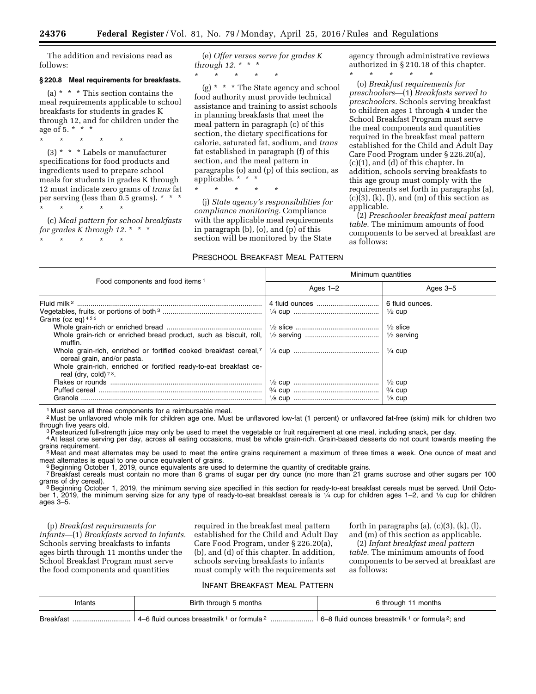The addition and revisions read as follows:

#### **§ 220.8 Meal requirements for breakfasts.**

(a) \* \* \* This section contains the meal requirements applicable to school breakfasts for students in grades K through 12, and for children under the age of 5.  $* * * *$ 

(3) \* \* \* Labels or manufacturer specifications for food products and ingredients used to prepare school meals for students in grades K through 12 must indicate zero grams of *trans* fat per serving (less than 0.5 grams). \* \* \* \* \* \* \* \*

(c) *Meal pattern for school breakfasts* 

*for grades K through 12.* \* \* \*

\* \* \* \* \*

\* \* \* \* \*

(e) *Offer verses serve for grades K through 12.* \* \* \*

\* \* \* \* \*

(g) \* \* \* The State agency and school food authority must provide technical assistance and training to assist schools in planning breakfasts that meet the meal pattern in paragraph (c) of this section, the dietary specifications for calorie, saturated fat, sodium, and *trans*  fat established in paragraph (f) of this section, and the meal pattern in paragraphs (o) and (p) of this section, as applicable. \* \* \*

\* \* \* \* \*

(j) *State agency's responsibilities for compliance monitoring.* Compliance with the applicable meal requirements in paragraph (b), (o), and (p) of this section will be monitored by the State

#### PRESCHOOL BREAKFAST MEAL PATTERN

agency through administrative reviews authorized in § 210.18 of this chapter.

\* \* \* \* \*

(o) *Breakfast requirements for preschoolers*—(1) *Breakfasts served to preschoolers.* Schools serving breakfast to children ages 1 through 4 under the School Breakfast Program must serve the meal components and quantities required in the breakfast meal pattern established for the Child and Adult Day Care Food Program under § 226.20(a), (c)(1), and (d) of this chapter. In addition, schools serving breakfasts to this age group must comply with the requirements set forth in paragraphs (a),  $(c)(3)$ ,  $(k)$ ,  $(l)$ , and  $(m)$  of this section as applicable.

(2) *Preschooler breakfast meal pattern table.* The minimum amounts of food components to be served at breakfast are as follows:

| Food components and food items <sup>1</sup>                                                                                                                                                                                                                                                                            | Minimum quantities |                                                                                                                                                     |  |
|------------------------------------------------------------------------------------------------------------------------------------------------------------------------------------------------------------------------------------------------------------------------------------------------------------------------|--------------------|-----------------------------------------------------------------------------------------------------------------------------------------------------|--|
|                                                                                                                                                                                                                                                                                                                        | Ages $1-2$         | Ages $3-5$                                                                                                                                          |  |
| Grains (oz eq) $456$<br>Whole grain-rich or enriched bread product, such as biscuit, roll,<br>muffin.<br>Whole grain-rich, enriched or fortified cooked breakfast cereal, <sup>7</sup><br>cereal grain, and/or pasta.<br>Whole grain-rich, enriched or fortified ready-to-eat breakfast ce-<br>real (dry, cold) $78$ . |                    | 6 fluid ounces.<br>$\frac{1}{2}$ cup<br>$\frac{1}{2}$ slice<br>$\frac{1}{2}$ serving<br>$\frac{1}{4}$ cup<br>$\frac{1}{2}$ cup<br>$\frac{3}{4}$ cup |  |
| Granola<br>.                                                                                                                                                                                                                                                                                                           |                    | $\frac{1}{8}$ cup                                                                                                                                   |  |

Must serve all three components for a reimbursable meal.

<sup>2</sup> Must be unflavored whole milk for children age one. Must be unflavored low-fat (1 percent) or unflavored fat-free (skim) milk for children two through five years old.

<sup>3</sup> Pasteurized full-strength juice may only be used to meet the vegetable or fruit requirement at one meal, including snack, per day.<br><sup>4</sup> At least one serving per day, across all eating occasions, must be whole grain-rich

<sup>5</sup> <sup>5</sup> Meat and meat alternates may be used to meet the entire grains requirement a maximum of three times a week. One ounce of meat and<br>meat alternates is equal to one ounce equivalent of grains.

Beginning October 1, 2019, ounce equivalents are used to determine the quantity of creditable grains.

<sup>7</sup> Breakfast cereals must contain no more than 6 grams of sugar per dry ounce (no more than 21 grams sucrose and other sugars per 100 grams of dry cereal).

<sup>8</sup> Beginning October 1, 2019, the minimum serving size specified in this section for ready-to-eat breakfast cereals must be served. Until October 1, 2019, the minimum serving size for any type of ready-to-eat breakfast cereals is 1/4 cup for children ages 1–2, and 1/3 cup for children ages 3–5.

(p) *Breakfast requirements for infants*—(1) *Breakfasts served to infants.*  Schools serving breakfasts to infants ages birth through 11 months under the School Breakfast Program must serve the food components and quantities

required in the breakfast meal pattern established for the Child and Adult Day Care Food Program, under § 226.20(a), (b), and (d) of this chapter. In addition, schools serving breakfasts to infants must comply with the requirements set

forth in paragraphs  $(a)$ ,  $(c)(3)$ ,  $(k)$ ,  $(l)$ , and (m) of this section as applicable.

(2) *Infant breakfast meal pattern table.* The minimum amounts of food components to be served at breakfast are as follows:

#### INFANT BREAKFAST MEAL PATTERN

| ntants          | months<br><b>Birth</b><br>through                                                | months<br>through                                                                           |  |
|-----------------|----------------------------------------------------------------------------------|---------------------------------------------------------------------------------------------|--|
| <b>Breakfas</b> | 'or formula <sup>2</sup><br>tluic<br>l ounces breastmilk <sup>ı</sup><br>. 4 – F | <sup>1</sup> or formula <sup>2</sup> ; and<br>, breastmilk <sup>1</sup><br>6 <sub>-</sub> 8 |  |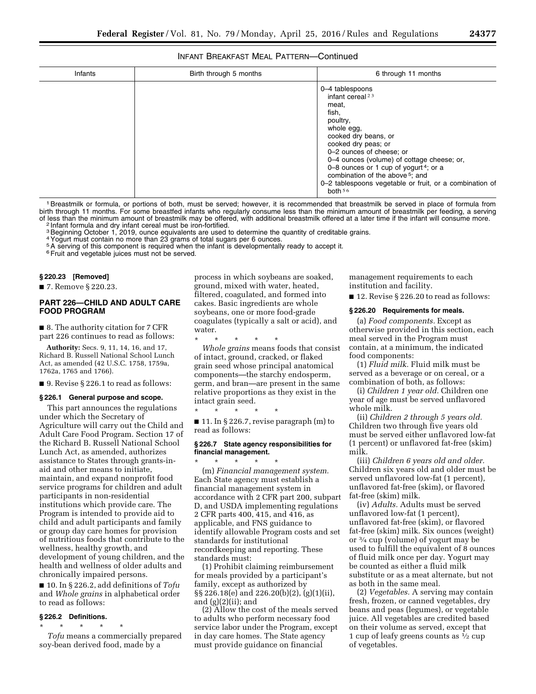#### INFANT BREAKFAST MEAL PATTERN—Continued

| Infants | Birth through 5 months | 6 through 11 months                                                                                                                                                                                                                                                                                                                                                                    |
|---------|------------------------|----------------------------------------------------------------------------------------------------------------------------------------------------------------------------------------------------------------------------------------------------------------------------------------------------------------------------------------------------------------------------------------|
|         |                        | 0-4 tablespoons<br>infant cereal $23$<br>meat,<br>fish,<br>poultry,<br>whole egg,<br>cooked dry beans, or<br>cooked dry peas; or<br>0-2 ounces of cheese; or<br>0-4 ounces (volume) of cottage cheese; or,<br>0–8 ounces or 1 cup of yogurt <sup>4</sup> ; or a<br>combination of the above <sup>5</sup> ; and<br>0-2 tablespoons vegetable or fruit, or a combination of<br>hoth $56$ |

1Breastmilk or formula, or portions of both, must be served; however, it is recommended that breastmilk be served in place of formula from birth through 11 months. For some breastfed infants who regularly consume less than the minimum amount of breastmilk per feeding, a serving of less than the minimum amount of breastmilk may be offered, with additional breastmilk offered at a later time if the infant will consume more. 2 Infant formula and dry infant cereal must be iron-fortified.

<sup>3</sup> Beginning October 1, 2019, ounce equivalents are used to determine the quantity of creditable grains.

4Yogurt must contain no more than 23 grams of total sugars per 6 ounces.

5A serving of this component is required when the infant is developmentally ready to accept it.

<sup>6</sup> Fruit and vegetable juices must not be served.

#### **§ 220.23 [Removed]**

■ 7. Remove § 220.23.

#### **PART 226—CHILD AND ADULT CARE FOOD PROGRAM**

■ 8. The authority citation for 7 CFR part 226 continues to read as follows:

**Authority:** Secs. 9, 11, 14, 16, and 17, Richard B. Russell National School Lunch Act, as amended (42 U.S.C. 1758, 1759a, 1762a, 1765 and 1766).

■ 9. Revise § 226.1 to read as follows:

#### **§ 226.1 General purpose and scope.**

This part announces the regulations under which the Secretary of Agriculture will carry out the Child and Adult Care Food Program. Section 17 of the Richard B. Russell National School Lunch Act, as amended, authorizes assistance to States through grants-inaid and other means to initiate, maintain, and expand nonprofit food service programs for children and adult participants in non-residential institutions which provide care. The Program is intended to provide aid to child and adult participants and family or group day care homes for provision of nutritious foods that contribute to the wellness, healthy growth, and development of young children, and the health and wellness of older adults and chronically impaired persons.

■ 10. In § 226.2, add definitions of *Tofu*  and *Whole grains* in alphabetical order to read as follows:

#### **§ 226.2 Definitions.**

\* \* \* \* \* *Tofu* means a commercially prepared soy-bean derived food, made by a

process in which soybeans are soaked, ground, mixed with water, heated, filtered, coagulated, and formed into cakes. Basic ingredients are whole soybeans, one or more food-grade coagulates (typically a salt or acid), and water.

\* \* \* \* \*

\* \* \* \* \*

*Whole grains* means foods that consist of intact, ground, cracked, or flaked grain seed whose principal anatomical components—the starchy endosperm, germ, and bran—are present in the same relative proportions as they exist in the intact grain seed.<br>\* \* \* \* \* \*

 $\blacksquare$  11. In § 226.7, revise paragraph  $(m)$  to read as follows:

#### **§ 226.7 State agency responsibilities for financial management.**

\* \* \* \* \* (m) *Financial management system.*  Each State agency must establish a financial management system in accordance with 2 CFR part 200, subpart D, and USDA implementing regulations 2 CFR parts 400, 415, and 416, as applicable, and FNS guidance to identify allowable Program costs and set standards for institutional recordkeeping and reporting. These standards must:

(1) Prohibit claiming reimbursement for meals provided by a participant's family, except as authorized by §§ 226.18(e) and 226.20(b)(2), (g)(1)(ii), and  $(g)(2)(ii)$ ; and

(2) Allow the cost of the meals served to adults who perform necessary food service labor under the Program, except in day care homes. The State agency must provide guidance on financial

management requirements to each institution and facility.

■ 12. Revise § 226.20 to read as follows:

#### **§ 226.20 Requirements for meals.**

(a) *Food components.* Except as otherwise provided in this section, each meal served in the Program must contain, at a minimum, the indicated food components:

(1) *Fluid milk.* Fluid milk must be served as a beverage or on cereal, or a combination of both, as follows:

(i) *Children 1 year old.* Children one year of age must be served unflavored whole milk.

(ii) *Children 2 through 5 years old.*  Children two through five years old must be served either unflavored low-fat (1 percent) or unflavored fat-free (skim) milk.

(iii) *Children 6 years old and older.*  Children six years old and older must be served unflavored low-fat (1 percent), unflavored fat-free (skim), or flavored fat-free (skim) milk.

(iv) *Adults.* Adults must be served unflavored low-fat (1 percent), unflavored fat-free (skim), or flavored fat-free (skim) milk. Six ounces (weight) or 3⁄4 cup (volume) of yogurt may be used to fulfill the equivalent of 8 ounces of fluid milk once per day. Yogurt may be counted as either a fluid milk substitute or as a meat alternate, but not as both in the same meal.

(2) *Vegetables.* A serving may contain fresh, frozen, or canned vegetables, dry beans and peas (legumes), or vegetable juice. All vegetables are credited based on their volume as served, except that 1 cup of leafy greens counts as 1⁄2 cup of vegetables.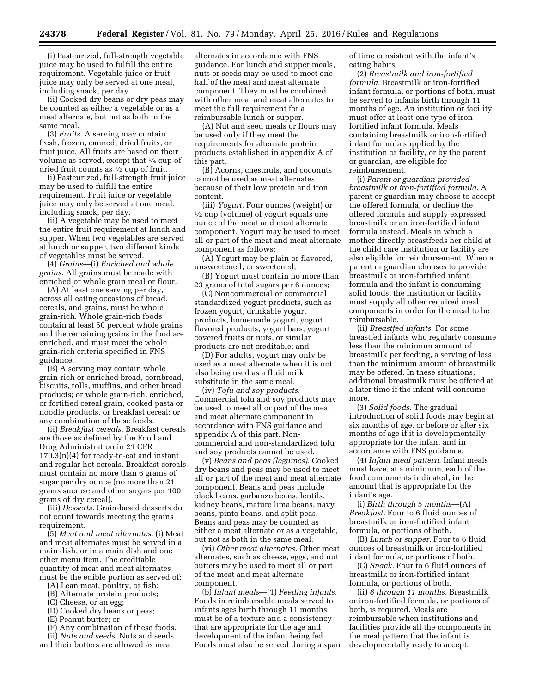(i) Pasteurized, full-strength vegetable juice may be used to fulfill the entire requirement. Vegetable juice or fruit juice may only be served at one meal, including snack, per day.

(ii) Cooked dry beans or dry peas may be counted as either a vegetable or as a meat alternate, but not as both in the same meal.

(3) *Fruits.* A serving may contain fresh, frozen, canned, dried fruits, or fruit juice. All fruits are based on their volume as served, except that 1⁄4 cup of dried fruit counts as 1⁄2 cup of fruit.

(i) Pasteurized, full-strength fruit juice may be used to fulfill the entire requirement. Fruit juice or vegetable juice may only be served at one meal, including snack, per day.

(ii) A vegetable may be used to meet the entire fruit requirement at lunch and supper. When two vegetables are served at lunch or supper, two different kinds of vegetables must be served.

(4) *Grains*—(i) *Enriched and whole grains.* All grains must be made with enriched or whole grain meal or flour.

(A) At least one serving per day, across all eating occasions of bread, cereals, and grains, must be whole grain-rich. Whole grain-rich foods contain at least 50 percent whole grains and the remaining grains in the food are enriched, and must meet the whole grain-rich criteria specified in FNS guidance.

(B) A serving may contain whole grain-rich or enriched bread, cornbread, biscuits, rolls, muffins, and other bread products; or whole grain-rich, enriched, or fortified cereal grain, cooked pasta or noodle products, or breakfast cereal; or any combination of these foods.

(ii) *Breakfast cereals.* Breakfast cereals are those as defined by the Food and Drug Administration in 21 CFR 170.3(n)(4) for ready-to-eat and instant and regular hot cereals. Breakfast cereals must contain no more than 6 grams of sugar per dry ounce (no more than 21 grams sucrose and other sugars per 100 grams of dry cereal).

(iii) *Desserts.* Grain-based desserts do not count towards meeting the grains requirement.

(5) *Meat and meat alternates.* (i) Meat and meat alternates must be served in a main dish, or in a main dish and one other menu item. The creditable quantity of meat and meat alternates must be the edible portion as served of:

(A) Lean meat, poultry, or fish;

(B) Alternate protein products;

(C) Cheese, or an egg;

(D) Cooked dry beans or peas;

(E) Peanut butter; or

(F) Any combination of these foods.

(ii) *Nuts and seeds.* Nuts and seeds and their butters are allowed as meat

alternates in accordance with FNS guidance. For lunch and supper meals, nuts or seeds may be used to meet onehalf of the meat and meat alternate component. They must be combined with other meat and meat alternates to meet the full requirement for a reimbursable lunch or supper.

(A) Nut and seed meals or flours may be used only if they meet the requirements for alternate protein products established in appendix A of this part.

(B) Acorns, chestnuts, and coconuts cannot be used as meat alternates because of their low protein and iron content.

(iii) *Yogurt.* Four ounces (weight) or 1⁄2 cup (volume) of yogurt equals one ounce of the meat and meat alternate component. Yogurt may be used to meet all or part of the meat and meat alternate component as follows:

(A) Yogurt may be plain or flavored, unsweetened, or sweetened;

(B) Yogurt must contain no more than 23 grams of total sugars per 6 ounces;

(C) Noncommercial or commercial standardized yogurt products, such as frozen yogurt, drinkable yogurt products, homemade yogurt, yogurt flavored products, yogurt bars, yogurt covered fruits or nuts, or similar products are not creditable; and

(D) For adults, yogurt may only be used as a meat alternate when it is not also being used as a fluid milk substitute in the same meal.

(iv) *Tofu and soy products.*  Commercial tofu and soy products may be used to meet all or part of the meat and meat alternate component in accordance with FNS guidance and appendix A of this part. Noncommercial and non-standardized tofu and soy products cannot be used.

(v) *Beans and peas (legumes).* Cooked dry beans and peas may be used to meet all or part of the meat and meat alternate component. Beans and peas include black beans, garbanzo beans, lentils, kidney beans, mature lima beans, navy beans, pinto beans, and split peas. Beans and peas may be counted as either a meat alternate or as a vegetable, but not as both in the same meal.

(vi) *Other meat alternates.* Other meat alternates, such as cheese, eggs, and nut butters may be used to meet all or part of the meat and meat alternate component.

(b) *Infant meals*—(1) *Feeding infants.*  Foods in reimbursable meals served to infants ages birth through 11 months must be of a texture and a consistency that are appropriate for the age and development of the infant being fed. Foods must also be served during a span of time consistent with the infant's eating habits.

(2) *Breastmilk and iron-fortified formula.* Breastmilk or iron-fortified infant formula, or portions of both, must be served to infants birth through 11 months of age. An institution or facility must offer at least one type of ironfortified infant formula. Meals containing breastmilk or iron-fortified infant formula supplied by the institution or facility, or by the parent or guardian, are eligible for reimbursement.

(i) *Parent or guardian provided breastmilk or iron-fortified formula.* A parent or guardian may choose to accept the offered formula, or decline the offered formula and supply expressed breastmilk or an iron-fortified infant formula instead. Meals in which a mother directly breastfeeds her child at the child care institution or facility are also eligible for reimbursement. When a parent or guardian chooses to provide breastmilk or iron-fortified infant formula and the infant is consuming solid foods, the institution or facility must supply all other required meal components in order for the meal to be reimbursable.

(ii) *Breastfed infants.* For some breastfed infants who regularly consume less than the minimum amount of breastmilk per feeding, a serving of less than the minimum amount of breastmilk may be offered. In these situations, additional breastmilk must be offered at a later time if the infant will consume more.

(3) *Solid foods.* The gradual introduction of solid foods may begin at six months of age, or before or after six months of age if it is developmentally appropriate for the infant and in accordance with FNS guidance.

(4) *Infant meal pattern.* Infant meals must have, at a minimum, each of the food components indicated, in the amount that is appropriate for the infant's age.

(i) *Birth through 5 months*—(A) *Breakfast.* Four to 6 fluid ounces of breastmilk or iron-fortified infant formula, or portions of both.

(B) *Lunch or supper.* Four to 6 fluid ounces of breastmilk or iron-fortified infant formula, or portions of both.

(C) *Snack.* Four to 6 fluid ounces of breastmilk or iron-fortified infant formula, or portions of both.

(ii) *6 through 11 months.* Breastmilk or iron-fortified formula, or portions of both, is required. Meals are reimbursable when institutions and facilities provide all the components in the meal pattern that the infant is developmentally ready to accept.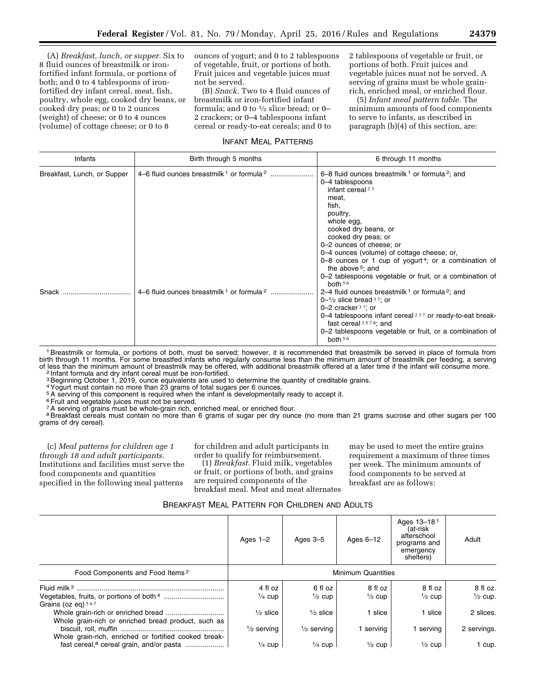(A) *Breakfast, lunch, or supper.* Six to 8 fluid ounces of breastmilk or ironfortified infant formula, or portions of both; and 0 to 4 tablespoons of ironfortified dry infant cereal, meat, fish, poultry, whole egg, cooked dry beans, or cooked dry peas; or 0 to 2 ounces (weight) of cheese; or 0 to 4 ounces (volume) of cottage cheese; or 0 to 8

ounces of yogurt; and 0 to 2 tablespoons of vegetable, fruit, or portions of both. Fruit juices and vegetable juices must not be served.

(B) *Snack.* Two to 4 fluid ounces of breastmilk or iron-fortified infant formula; and 0 to  $\frac{1}{2}$  slice bread; or 0– 2 crackers; or 0–4 tablespoons infant cereal or ready-to-eat cereals; and 0 to 2 tablespoons of vegetable or fruit, or portions of both. Fruit juices and vegetable juices must not be served. A serving of grains must be whole grainrich, enriched meal, or enriched flour.

(5) *Infant meal pattern table.* The minimum amounts of food components to serve to infants, as described in paragraph (b)(4) of this section, are:

#### INFANT MEAL PATTERNS

| Infants                     | Birth through 5 months | 6 through 11 months                                                                                                                                                                                                                                                                                                                                                                                                                            |
|-----------------------------|------------------------|------------------------------------------------------------------------------------------------------------------------------------------------------------------------------------------------------------------------------------------------------------------------------------------------------------------------------------------------------------------------------------------------------------------------------------------------|
| Breakfast, Lunch, or Supper |                        | 6–8 fluid ounces breastmilk $1$ or formula $2$ ; and<br>0-4 tablespoons<br>infant cereal $23$<br>meat.<br>fish,<br>poultry,<br>whole egg,<br>cooked dry beans, or<br>cooked dry peas; or<br>0-2 ounces of cheese; or<br>0–4 ounces (volume) of cottage cheese; or,<br>0–8 ounces or 1 cup of yogurt <sup>4</sup> ; or a combination of<br>the above <sup>5</sup> ; and<br>0-2 tablespoons vegetable or fruit, or a combination of<br>both $56$ |
| Snack                       |                        | 2–4 fluid ounces breastmilk <sup>1</sup> or formula <sup>2</sup> ; and<br>$0-1/2$ slice bread $37$ ; or<br>0-2 cracker $37$ ; or<br>0–4 tablespoons infant cereal <sup>237</sup> or ready-to-eat break-<br>fast cereal $3578$ ; and<br>0-2 tablespoons vegetable or fruit, or a combination of<br>both $56$                                                                                                                                    |

1Breastmilk or formula, or portions of both, must be served; however, it is recommended that breastmilk be served in place of formula from birth through 11 months. For some breastfed infants who regularly consume less than the minimum amount of breastmilk per feeding, a serving of less than the minimum amount of breastmilk may be offered, with additional breastmilk offered at a later time if the infant will consume more.<br><sup>2</sup> Infant formula and dry infant cereal must be iron-fortified.

<sup>3</sup> Beginning October 1, 2019, ounce equivalents are used to determine the quantity of creditable grains.

4Yogurt must contain no more than 23 grams of total sugars per 6 ounces.

5A serving of this component is required when the infant is developmentally ready to accept it.

6Fruit and vegetable juices must not be served.

<sup>7</sup>A serving of grains must be whole-grain rich, enriched meal, or enriched flour.

<sup>8</sup> Breakfast cereals must contain no more than 6 grams of sugar per dry ounce (no more than 21 grams sucrose and other sugars per 100 grams of dry cereal).

(c) *Meal patterns for children age 1 through 18 and adult participants.*  Institutions and facilities must serve the food components and quantities specified in the following meal patterns

for children and adult participants in order to qualify for reimbursement.

(1) *Breakfast.* Fluid milk, vegetables or fruit, or portions of both, and grains are required components of the breakfast meal. Meat and meat alternates may be used to meet the entire grains requirement a maximum of three times per week. The minimum amounts of food components to be served at breakfast are as follows:

|                                                       | Ages $1-2$                | Ages 3-5              | Ages $6-12$       | Ages 13-18 <sup>1</sup><br>(at-risk<br>afterschool<br>programs and<br>emergency<br>shelters) | Adult              |
|-------------------------------------------------------|---------------------------|-----------------------|-------------------|----------------------------------------------------------------------------------------------|--------------------|
| Food Components and Food Items <sup>2</sup>           | <b>Minimum Quantities</b> |                       |                   |                                                                                              |                    |
|                                                       | 4 fl oz                   | 6 fl oz               | 8 fl oz           | 8 fl oz                                                                                      | $8f$ l oz.         |
| Grains (oz eq) $567$                                  | $\frac{1}{4}$ cup         | $\frac{1}{2}$ cup     | $\frac{1}{2}$ cup | $\frac{1}{2}$ cup                                                                            | $\frac{1}{2}$ cup. |
| Whole grain-rich or enriched bread product, such as   | $\frac{1}{2}$ slice       | $\frac{1}{2}$ slice   | 1 slice           | slice                                                                                        | 2 slices.          |
| Whole grain-rich, enriched or fortified cooked break- | $\frac{1}{2}$ serving     | $\frac{1}{2}$ serving | serving           | serving                                                                                      | 2 servings.        |
| fast cereal, <sup>8</sup> cereal grain, and/or pasta  | $\frac{1}{4}$ cup         | $\frac{1}{4}$ cup     | $\frac{1}{2}$ cup | $\frac{1}{2}$ cup                                                                            | 1 cup.             |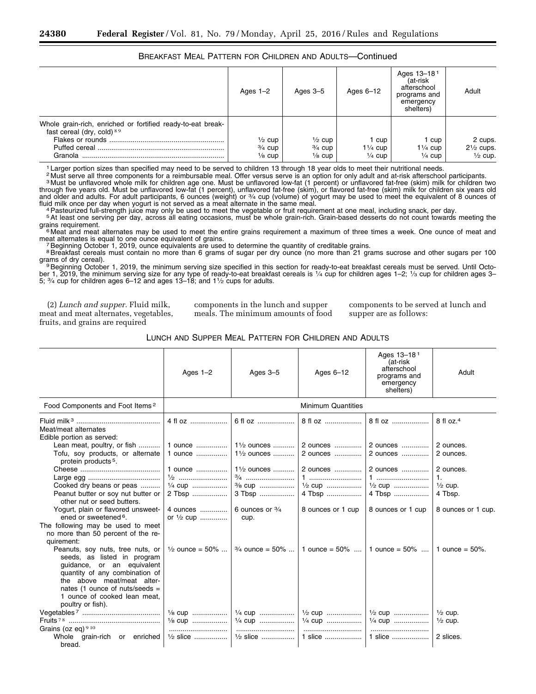#### BREAKFAST MEAL PATTERN FOR CHILDREN AND ADULTS—Continued

|                                                                                                      | Ages $1-2$                                                  | Ages $3-5$                                                  | Ages $6-12$                                    | Ages 13-181<br>(at-risk<br>afterschool<br>programs and<br>emergency<br>shelters) | Adult                                                 |
|------------------------------------------------------------------------------------------------------|-------------------------------------------------------------|-------------------------------------------------------------|------------------------------------------------|----------------------------------------------------------------------------------|-------------------------------------------------------|
| Whole grain-rich, enriched or fortified ready-to-eat break-<br>fast cereal (dry, cold) 89<br>Granola | $\frac{1}{2}$ cup<br>$\frac{3}{4}$ cup<br>$\frac{1}{8}$ cup | $\frac{1}{2}$ cup<br>$\frac{3}{4}$ cup<br>$\frac{1}{8}$ cup | cup<br>$1\frac{1}{4}$ cup<br>$\frac{1}{4}$ cup | cup<br>$1\frac{1}{4}$ cup<br>$\frac{1}{4}$ cup                                   | 2 cups.<br>$2\frac{1}{2}$ cups.<br>$\frac{1}{2}$ cup. |

1 Larger portion sizes than specified may need to be served to children 13 through 18 year olds to meet their nutritional needs.

2 Must serve all three components for a reimbursable meal. Offer versus serve is an option for only adult and at-risk afterschool participants. 3 Must be unflavored whole milk for children age one. Must be unflavored low-fat (1 percent) or unflavored fat-free (skim) milk for children two through five years old. Must be unflavored low-fat (1 percent), unflavored fat-free (skim), or flavored fat-free (skim) milk for children six years old<br>and older and adults. For adult participants, 6 ounces (weight) or ¾ c

fluid milk once per day when yogurt is not served as a meat alternate in the same meal.<br><sup>4</sup> Pasteurized full-strength juice may only be used to meet the vegetable or fruit requirement at one meal, including snack, per day.

Figure requirement.<br>
<sup>6</sup> Meat and meat alternates may be used to meet the entire grains requirement a maximum of three times a week. One ounce of meat and<br>
meat alternates is equal to one ounce equivalent of grains. meat alternates is equal to one ounce equivalent of grains.<br>7 Beginning October 1, 2019, ounce equivalents are used to determine the quantity of creditable grains.

<sup>8</sup> Breakfast cereals must contain no more than 6 grams of sugar per dry ounce (no more than 21 grams sucrose and other sugars per 100

grams of dry cereal).<br><sup>9</sup>Beginning October 1, 2019, the minimum serving size specified in this section for ready-to-eat breakfast cereals must be served. Until October 1, 2019, the minimum serving size for any type of ready-to-eat breakfast cereals is 1⁄4 cup for children ages 1–2; 1⁄3 cup for children ages 3– 5; 3⁄4 cup for children ages 6–12 and ages 13–18; and 11⁄2 cups for adults.

(2) *Lunch and supper.* Fluid milk, meat and meat alternates, vegetables, fruits, and grains are required

components in the lunch and supper meals. The minimum amounts of food components to be served at lunch and supper are as follows:

| LUNCH AND SUPPER MEAL PATTERN FOR CHILDREN AND ADULTS |  |  |  |
|-------------------------------------------------------|--|--|--|
|-------------------------------------------------------|--|--|--|

|                                                                                                                                                                                                                                                        | Ages $1-2$                                         | Ages $3-5$                                                                        | Ages $6-12$                                                  | Ages 13-181<br>(at-risk<br>afterschool<br>programs and<br>emergency<br>shelters) | Adult                                                                              |
|--------------------------------------------------------------------------------------------------------------------------------------------------------------------------------------------------------------------------------------------------------|----------------------------------------------------|-----------------------------------------------------------------------------------|--------------------------------------------------------------|----------------------------------------------------------------------------------|------------------------------------------------------------------------------------|
| Food Components and Foot Items <sup>2</sup>                                                                                                                                                                                                            |                                                    |                                                                                   | <b>Minimum Quantities</b>                                    |                                                                                  |                                                                                    |
| Meat/meat alternates<br>Edible portion as served:                                                                                                                                                                                                      | 4 fl oz                                            | 6 fl oz                                                                           | 8 fl oz                                                      | 8 fl oz                                                                          | $8 \text{ fl oz.}^4$                                                               |
| Lean meat, poultry, or fish<br>Tofu, soy products, or alternate<br>protein products <sup>5</sup> .                                                                                                                                                     | 1 ounce<br>1 ounce                                 | 1 <sup>1</sup> / <sub>2</sub> ounces<br>1 <sup>1</sup> / <sub>2</sub> ounces      | 2 ounces<br>2 ounces                                         | 2 ounces<br>2 ounces                                                             | 2 ounces.<br>2 ounces.                                                             |
| Cooked dry beans or peas<br>Peanut butter or soy nut butter or<br>other nut or seed butters.<br>Yogurt, plain or flavored unsweet-                                                                                                                     | 1 ounce<br>$\frac{1}{4}$ cup<br>2 Tbsp<br>4 ounces | $1\frac{1}{2}$ ounces<br>$\frac{3}{8}$ cup<br>3 Tbsp<br>6 ounces or $\frac{3}{4}$ | 2 ounces<br>$\frac{1}{2}$ cup<br>4 Tbsp<br>8 ounces or 1 cup | 2 ounces<br>1<br>$\frac{1}{2}$ cup<br>4 Tbsp<br>8 ounces or 1 cup                | 2 ounces.<br>$\mathbf{1}$ .<br>$\frac{1}{2}$ cup.<br>4 Tbsp.<br>8 ounces or 1 cup. |
| ened or sweetened <sup>6</sup> .<br>The following may be used to meet<br>no more than 50 percent of the re-<br>quirement:                                                                                                                              | or $\frac{1}{2}$ cup                               | cup.                                                                              |                                                              |                                                                                  |                                                                                    |
| Peanuts, soy nuts, tree nuts, or<br>seeds, as listed in program<br>guidance, or an equivalent<br>quantity of any combination of<br>the above meat/meat alter-<br>nates (1 ounce of nuts/seeds $=$<br>1 ounce of cooked lean meat,<br>poultry or fish). | $\frac{1}{2}$ ounce = 50%                          |                                                                                   | $\frac{3}{4}$ ounce = 50%    1 ounce = 50%    1 ounce = 50%  |                                                                                  | 1 ounce = $50\%$ .                                                                 |
|                                                                                                                                                                                                                                                        | 1/8 cup<br>1/8 cup                                 | $\frac{1}{4}$ CUD<br>$\frac{1}{4}$ cup                                            | $\frac{1}{2}$ cup<br>$\frac{1}{4}$ cup                       | $\frac{1}{2}$ cup<br>$\frac{1}{4}$ cup                                           | $\frac{1}{2}$ cup.<br>$\frac{1}{2}$ cup.                                           |
| Grains (oz eq) $910$<br>Whole grain-rich or enriched<br>bread.                                                                                                                                                                                         | $\frac{1}{2}$ slice                                | $\frac{1}{2}$ slice                                                               | 1 slice                                                      | 1 slice                                                                          | 2 slices.                                                                          |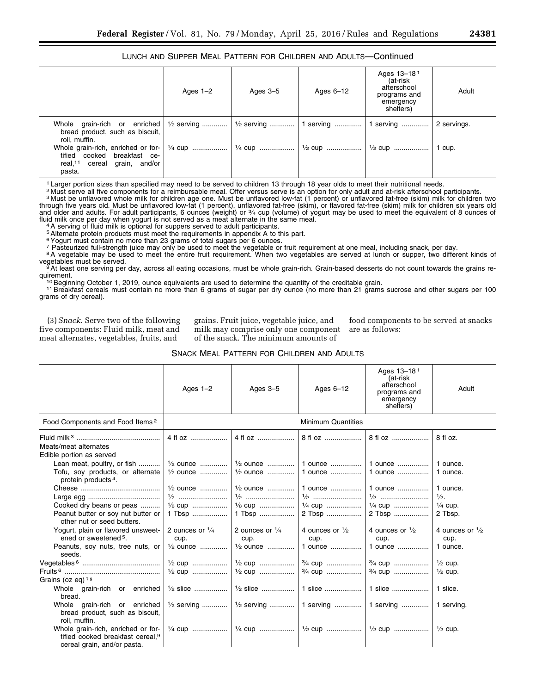#### LUNCH AND SUPPER MEAL PATTERN FOR CHILDREN AND ADULTS—Continued

|                                                                                   | Ages $1-2$ | Ages $3-5$ | Ages 6-12 | Ages 13-181<br>(at-risk<br>afterschool<br>programs and<br>emergency<br>shelters) | Adult       |
|-----------------------------------------------------------------------------------|------------|------------|-----------|----------------------------------------------------------------------------------|-------------|
| bread product, such as biscuit,<br>roll. muffin.                                  |            |            |           |                                                                                  | 2 servings. |
| tified cooked breakfast ce-<br>real, <sup>11</sup> cereal grain, and/or<br>pasta. |            |            |           |                                                                                  |             |

<sup>1</sup> Larger portion sizes than specified may need to be served to children 13 through 18 year olds to meet their nutritional needs.<br><sup>2</sup> Must serve all five components for a reimbursable meal. Offer versus serve is an option

3 Must be unflavored whole milk for children age one. Must be unflavored low-fat (1 percent) or unflavored fat-free (skim) milk for children two through five years old. Must be unflavored low-fat (1 percent), unflavored fat-free (skim), or flavored fat-free (skim) milk for children six years old<br>and older and adults. For adult participants, 6 ounces (weight) or ¾ c fluid milk once per day when yogurt is not served as a meat alternate in the same meal. 4A serving of fluid milk is optional for suppers served to adult participants.

<sup>5</sup> Alternate protein products must meet the requirements in appendix A to this part.

6Yogurt must contain no more than 23 grams of total sugars per 6 ounces.

The matrice contain the move than 20 years of the seated to meet the vegetable or fruit requirement at one meal, including snack, per day.<br><sup>8</sup> A vegetable may be used to meet the entire fruit requirement. When two vegetabl

<sup>9</sup>At least one serving per day, across all eating occasions, must be whole grain-rich. Grain-based desserts do not count towards the grains re-<br>quirement.

10 Beginning October 1, 2019, ounce equivalents are used to determine the quantity of the creditable grain.<br>11 Breakfast cereals must contain no more than 6 grams of sugar per dry ounce (no more than 21 grams sucrose and o grams of dry cereal).

(3) *Snack.* Serve two of the following five components: Fluid milk, meat and meat alternates, vegetables, fruits, and

grains. Fruit juice, vegetable juice, and milk may comprise only one component of the snack. The minimum amounts of

food components to be served at snacks are as follows:

#### SNACK MEAL PATTERN FOR CHILDREN AND ADULTS

|                                                                                                                                                               | Ages $1-2$                                                | Ages $3-5$                                               | Ages $6-12$                                             | Ages 13-18 <sup>1</sup><br>(at-risk<br>afterschool<br>programs and<br>emergency<br>shelters) | Adult                                                        |
|---------------------------------------------------------------------------------------------------------------------------------------------------------------|-----------------------------------------------------------|----------------------------------------------------------|---------------------------------------------------------|----------------------------------------------------------------------------------------------|--------------------------------------------------------------|
| Food Components and Food Items <sup>2</sup>                                                                                                                   |                                                           |                                                          | <b>Minimum Quantities</b>                               |                                                                                              |                                                              |
| Meats/meat alternates<br>Edible portion as served                                                                                                             | 4 fl oz                                                   | 4 fl oz                                                  | 8 fl oz                                                 | 8 fl oz                                                                                      | 8 fl oz.                                                     |
| Lean meat, poultry, or fish<br>Tofu, soy products, or alternate<br>protein products <sup>4</sup> .                                                            | $\frac{1}{2}$ ounce<br>$\frac{1}{2}$ ounce                | $\frac{1}{2}$ ounce<br>$\frac{1}{2}$ ounce               | 1 ounce  1 ounce<br>1 ounce                             | 1 ounce $\ldots$                                                                             | 1 ounce.<br>1 ounce.                                         |
| Cooked dry beans or peas<br>Peanut butter or soy nut butter or                                                                                                | $\frac{1}{2}$ ounce<br>$\frac{1}{2}$<br>1/8 cup<br>1 Tbsp | $\frac{1}{2}$ ounce<br>$\frac{1}{8}$ cup<br>1 Tbsp       | 1 ounce<br>$\frac{1}{2}$<br>$\frac{1}{4}$ cup<br>2 Tbsp | 1 ounce<br>$\frac{1}{4}$ cup<br>2 Tbsp                                                       | 1 ounce.<br>$\frac{1}{2}$ .<br>$\frac{1}{4}$ cup.<br>2 Tbsp. |
| other nut or seed butters.<br>Yogurt, plain or flavored unsweet-<br>ened or sweetened <sup>5</sup> .<br>Peanuts, soy nuts, tree nuts, or<br>seeds.            | 2 ounces or $\frac{1}{4}$<br>cup.<br>$\frac{1}{2}$ ounce  | 2 ounces or $\frac{1}{4}$<br>cup.<br>$\frac{1}{2}$ ounce | 4 ounces or $\frac{1}{2}$<br>cup.<br>1 ounce            | 4 ounces or $\frac{1}{2}$<br>cup.<br>1 ounce                                                 | 4 ounces or $\frac{1}{2}$<br>cup.<br>1 ounce.                |
| Grains (oz eq) $78$                                                                                                                                           | $\frac{1}{2}$ cup<br>$\frac{1}{2}$ cup                    | $\frac{1}{2}$ cup<br>$\frac{1}{2}$ cup                   | $\frac{3}{4}$ cup<br>$\frac{3}{4}$ cup                  | $\frac{3}{4}$ cup<br>3/4 cup                                                                 | $\frac{1}{2}$ cup.<br>$\frac{1}{2}$ cup.                     |
| Whole grain-rich or enriched<br>bread.                                                                                                                        | $\frac{1}{2}$ slice                                       | $\frac{1}{2}$ slice                                      | 1 slice                                                 | 1 slice                                                                                      | 1 slice.                                                     |
| grain-rich or enriched<br>Whole<br>bread product, such as biscuit,<br>roll, muffin.<br>Whole grain-rich, enriched or for-<br>tified cooked breakfast cereal.9 | $\frac{1}{2}$ serving<br>$\frac{1}{4}$ cup                | $\frac{1}{2}$ serving    1 serving    1 serving          |                                                         |                                                                                              | 1 serving.<br>$\frac{1}{2}$ cup.                             |
| cereal grain, and/or pasta.                                                                                                                                   |                                                           |                                                          |                                                         |                                                                                              |                                                              |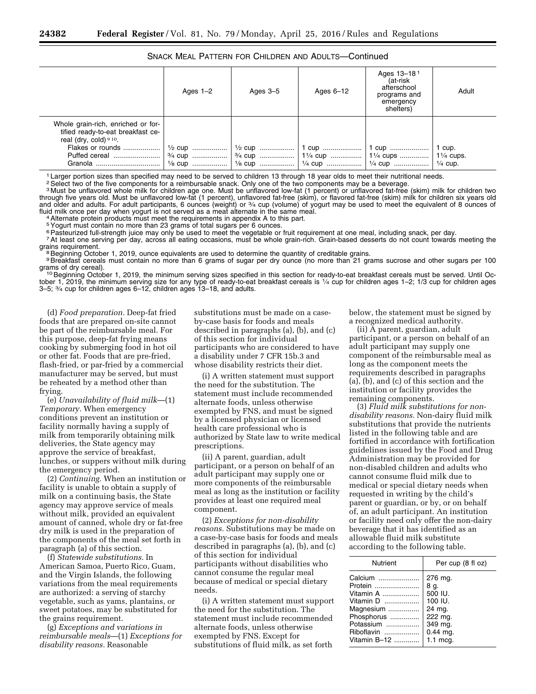#### SNACK MEAL PATTERN FOR CHILDREN AND ADULTS—Continued

|                                                                                                                                          | Ages $1-2$ | Ages $3-5$ | Ages $6-12$                                    | Ages 13-181<br>(at-risk<br>afterschool<br>programs and<br>emergency<br>shelters) | Adult              |
|------------------------------------------------------------------------------------------------------------------------------------------|------------|------------|------------------------------------------------|----------------------------------------------------------------------------------|--------------------|
| Whole grain-rich, enriched or for-<br>tified ready-to-eat breakfast ce-<br>real (dry, cold) $910$ .<br>Flakes or rounds<br>Puffed cereal |            |            | 1/2 cup    1/2 cup    1 cup    1 cup    1 cup. |                                                                                  | $\frac{1}{4}$ cup. |

<sup>1</sup> Larger portion sizes than specified may need to be served to children 13 through 18 year olds to meet their nutritional needs.

<sup>2</sup> Select two of the five components for a reimbursable snack. Only one of the two components may be a beverage.

<sup>3</sup> Must be unflavored whole milk for children age one. Must be unflavored low-fat (1 percent) or unflavored fat-free (skim) milk for children two through five years old. Must be unflavored low-fat (1 percent), unflavored fat-free (skim), or flavored fat-free (skim) milk for children six years old and older and adults. For adult participants, 6 ounces (weight) or 3⁄4 cup (volume) of yogurt may be used to meet the equivalent of 8 ounces of fluid milk once per day when yogurt is not served as a meat alternate in the same meal.<br><sup>4</sup>Alternate protein products must meet the requirements in appendix A to this part.

5 Yogurt must contain no more than 23 grams of total sugars per 6 ounces.<br>
<sup>6</sup> Pasteurized full-strength juice may only be used to meet the vegetable or fruit requirement at one meal, including snack, per day.

7 At least one serving per day, across all eating occasions, must be whole grain-rich. Grain-based desserts do not count towards meeting the

grains requirement.<br><sup>8</sup>Beginning October 1, 2019, ounce equivalents are used to determine the quantity of creditable grains.

<sup>9</sup>Breakfast cereals must contain no more than 6 grams of sugar per dry ounce (no more than 21 grams sucrose and other sugars per 100 grams of dry cereal).

10 Beginning October 1, 2019, the minimum serving sizes specified in this section for ready-to-eat breakfast cereals must be served. Until October 1, 2019, the minimum serving size for any type of ready-to-eat breakfast cereals is 1⁄4 cup for children ages 1–2; 1/3 cup for children ages 3–5; 3⁄4 cup for children ages 6–12, children ages 13–18, and adults.

(d) *Food preparation.* Deep-fat fried foods that are prepared on-site cannot be part of the reimbursable meal. For this purpose, deep-fat frying means cooking by submerging food in hot oil or other fat. Foods that are pre-fried, flash-fried, or par-fried by a commercial manufacturer may be served, but must be reheated by a method other than frying.

(e) *Unavailability of fluid milk*—(1) *Temporary.* When emergency conditions prevent an institution or facility normally having a supply of milk from temporarily obtaining milk deliveries, the State agency may approve the service of breakfast, lunches, or suppers without milk during the emergency period.

(2) *Continuing.* When an institution or facility is unable to obtain a supply of milk on a continuing basis, the State agency may approve service of meals without milk, provided an equivalent amount of canned, whole dry or fat-free dry milk is used in the preparation of the components of the meal set forth in paragraph (a) of this section.

(f) *Statewide substitutions.* In American Samoa, Puerto Rico, Guam, and the Virgin Islands, the following variations from the meal requirements are authorized: a serving of starchy vegetable, such as yams, plantains, or sweet potatoes, may be substituted for the grains requirement.

(g) *Exceptions and variations in reimbursable meals*—(1) *Exceptions for disability reasons.* Reasonable

substitutions must be made on a caseby-case basis for foods and meals described in paragraphs (a), (b), and (c) of this section for individual participants who are considered to have a disability under 7 CFR 15b.3 and whose disability restricts their diet.

(i) A written statement must support the need for the substitution. The statement must include recommended alternate foods, unless otherwise exempted by FNS, and must be signed by a licensed physician or licensed health care professional who is authorized by State law to write medical prescriptions.

(ii) A parent, guardian, adult participant, or a person on behalf of an adult participant may supply one or more components of the reimbursable meal as long as the institution or facility provides at least one required meal component.

(2) *Exceptions for non-disability reasons.* Substitutions may be made on a case-by-case basis for foods and meals described in paragraphs (a), (b), and (c) of this section for individual participants without disabilities who cannot consume the regular meal because of medical or special dietary needs.

(i) A written statement must support the need for the substitution. The statement must include recommended alternate foods, unless otherwise exempted by FNS. Except for substitutions of fluid milk, as set forth

below, the statement must be signed by a recognized medical authority.

(ii) A parent, guardian, adult participant, or a person on behalf of an adult participant may supply one component of the reimbursable meal as long as the component meets the requirements described in paragraphs (a), (b), and (c) of this section and the institution or facility provides the remaining components.

(3) *Fluid milk substitutions for nondisability reasons.* Non-dairy fluid milk substitutions that provide the nutrients listed in the following table and are fortified in accordance with fortification guidelines issued by the Food and Drug Administration may be provided for non-disabled children and adults who cannot consume fluid milk due to medical or special dietary needs when requested in writing by the child's parent or guardian, or by, or on behalf of, an adult participant. An institution or facility need only offer the non-dairy beverage that it has identified as an allowable fluid milk substitute according to the following table.

| Nutrient           | Per cup (8 fl oz)   |
|--------------------|---------------------|
| Calcium            | 276 mg.             |
| Protein            | 8 g.                |
| Vitamin A $\ldots$ | 500 IU.             |
| Vitamin D          | 100 IU.             |
| Magnesium          | 24 mg.              |
| Phosphorus         | 222 mg.             |
| Potassium          | 349 mg.             |
| Riboflavin         | $0.44$ mg.          |
| Vitamin B-12       | $1.1 \text{ mcq}$ . |